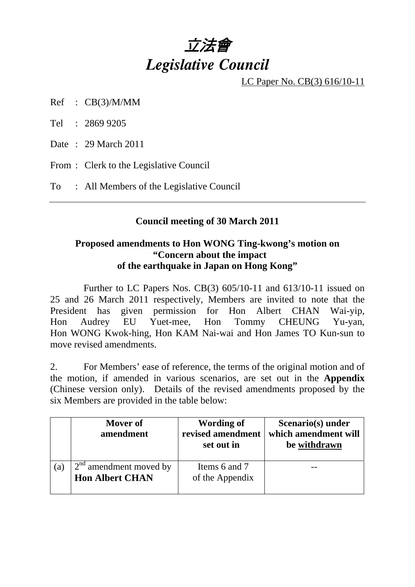# 立法會 *Legislative Council*

LC Paper No. CB(3) 616/10-11

Ref : CB(3)/M/MM

Tel : 2869 9205

Date : 29 March 2011

From : Clerk to the Legislative Council

To : All Members of the Legislative Council

# **Council meeting of 30 March 2011**

### **Proposed amendments to Hon WONG Ting-kwong's motion on "Concern about the impact of the earthquake in Japan on Hong Kong"**

 Further to LC Papers Nos. CB(3) 605/10-11 and 613/10-11 issued on 25 and 26 March 2011 respectively, Members are invited to note that the President has given permission for Hon Albert CHAN Wai-yip, Hon Audrey EU Yuet-mee, Hon Tommy CHEUNG Yu-yan, Hon WONG Kwok-hing, Hon KAM Nai-wai and Hon James TO Kun-sun to move revised amendments.

2. For Members' ease of reference, the terms of the original motion and of the motion, if amended in various scenarios, are set out in the **Appendix**  (Chinese version only). Details of the revised amendments proposed by the six Members are provided in the table below:

|     | Mover of<br>amendment                              | Wording of<br>revised amendment<br>set out in | Scenario(s) under<br>which amendment will<br>be withdrawn |
|-----|----------------------------------------------------|-----------------------------------------------|-----------------------------------------------------------|
| (a) | $2nd$ amendment moved by<br><b>Hon Albert CHAN</b> | Items 6 and 7<br>of the Appendix              |                                                           |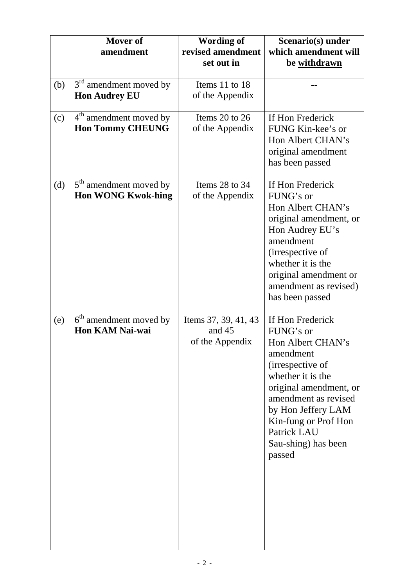|     | Mover of<br>amendment                                           | <b>Wording of</b><br>revised amendment<br>set out in | Scenario(s) under<br>which amendment will<br>be withdrawn                                                                                                                                                                                                |
|-----|-----------------------------------------------------------------|------------------------------------------------------|----------------------------------------------------------------------------------------------------------------------------------------------------------------------------------------------------------------------------------------------------------|
| (b) | $3rd$ amendment moved by<br><b>Hon Audrey EU</b>                | Items 11 to 18<br>of the Appendix                    |                                                                                                                                                                                                                                                          |
| (c) | 4 <sup>th</sup> amendment moved by<br><b>Hon Tommy CHEUNG</b>   | Items $20$ to $26$<br>of the Appendix                | If Hon Frederick<br>FUNG Kin-kee's or<br>Hon Albert CHAN's<br>original amendment<br>has been passed                                                                                                                                                      |
| (d) | 5 <sup>th</sup> amendment moved by<br><b>Hon WONG Kwok-hing</b> | Items 28 to 34<br>of the Appendix                    | If Hon Frederick<br>FUNG's or<br>Hon Albert CHAN's<br>original amendment, or<br>Hon Audrey EU's<br>amendment<br>(irrespective of<br>whether it is the<br>original amendment or<br>amendment as revised)<br>has been passed                               |
| (e) | 6 <sup>th</sup> amendment moved by<br><b>Hon KAM Nai-wai</b>    | Items 37, 39, 41, 43<br>and 45<br>of the Appendix    | If Hon Frederick<br>FUNG's or<br>Hon Albert CHAN's<br>amendment<br>(irrespective of<br>whether it is the<br>original amendment, or<br>amendment as revised<br>by Hon Jeffery LAM<br>Kin-fung or Prof Hon<br>Patrick LAU<br>Sau-shing) has been<br>passed |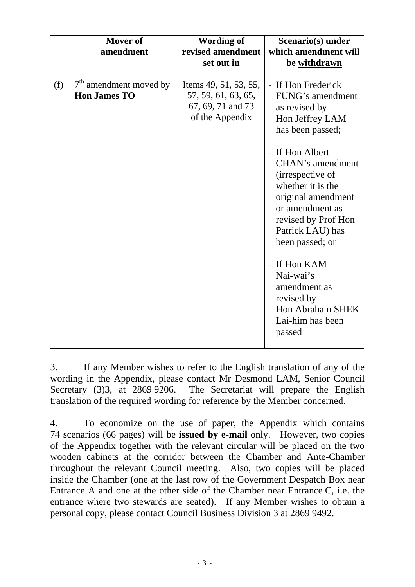|     | Mover of<br>amendment                           | <b>Wording of</b><br>revised amendment<br>set out in                                 | Scenario(s) under<br>which amendment will<br>be withdrawn                                                                                                                                                                                                                                                    |
|-----|-------------------------------------------------|--------------------------------------------------------------------------------------|--------------------------------------------------------------------------------------------------------------------------------------------------------------------------------------------------------------------------------------------------------------------------------------------------------------|
| (f) | $7th$ amendment moved by<br><b>Hon James TO</b> | Items 49, 51, 53, 55,<br>57, 59, 61, 63, 65,<br>67, 69, 71 and 73<br>of the Appendix | - If Hon Frederick<br>FUNG's amendment<br>as revised by<br>Hon Jeffrey LAM<br>has been passed;<br>- If Hon Albert<br><b>CHAN's amendment</b><br>(irrespective of<br>whether it is the<br>original amendment<br>or amendment as<br>revised by Prof Hon<br>Patrick LAU) has<br>been passed; or<br>- If Hon KAM |
|     |                                                 |                                                                                      | Nai-wai's<br>amendment as<br>revised by<br>Hon Abraham SHEK<br>Lai-him has been<br>passed                                                                                                                                                                                                                    |

3. If any Member wishes to refer to the English translation of any of the wording in the Appendix, please contact Mr Desmond LAM, Senior Council Secretary (3)3, at 2869 9206. The Secretariat will prepare the English translation of the required wording for reference by the Member concerned.

4. To economize on the use of paper, the Appendix which contains 74 scenarios (66 pages) will be **issued by e-mail** only. However, two copies of the Appendix together with the relevant circular will be placed on the two wooden cabinets at the corridor between the Chamber and Ante-Chamber throughout the relevant Council meeting. Also, two copies will be placed inside the Chamber (one at the last row of the Government Despatch Box near Entrance A and one at the other side of the Chamber near Entrance C, i.e. the entrance where two stewards are seated). If any Member wishes to obtain a personal copy, please contact Council Business Division 3 at 2869 9492.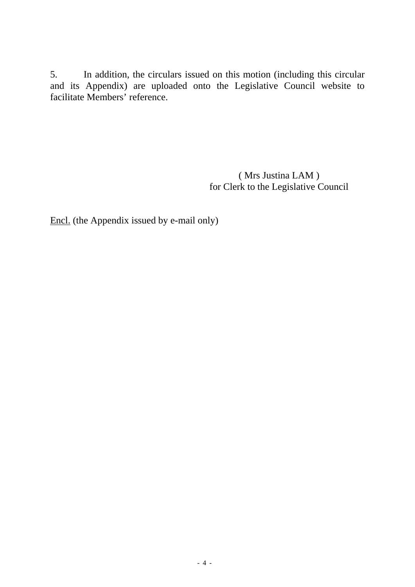5. In addition, the circulars issued on this motion (including this circular and its Appendix) are uploaded onto the Legislative Council website to facilitate Members' reference.

> ( Mrs Justina LAM ) for Clerk to the Legislative Council

Encl. (the Appendix issued by e-mail only)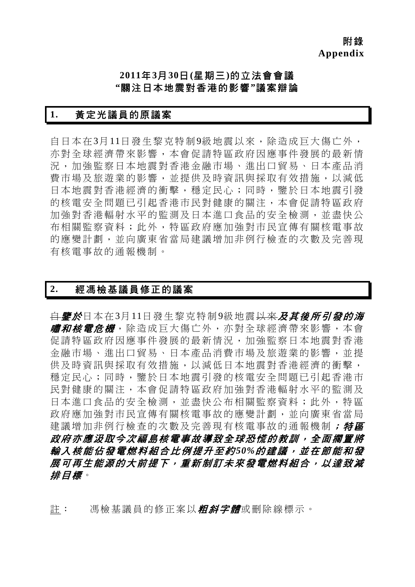附錄 **Appendix** 

# **2011**年**3**月**30**日**(**星期三**)**的立法會會議 **"**關注日本地震對香港的影響**"**議案辯論

### **1.** 黃定光議員的原議案

自日本在3月11日發生黎克特制9級地震以來,除造成巨大傷亡外, 亦對全球經濟帶來影響,本會促請特區政府因應事件發展的最新情 況,加強監察日本地震對香港金融市場、進出口貿易、日本產品消 費市場及旅遊業的影響,並提供及時資訊與採取有效措施,以減低 日本地震對香港經濟的衝擊,穩定民心;同時,鑒於日本地震引發 的核電安全問題已引起香港市民對健康的關注,本會促請特區政府 加強對香港輻射水平的監測及日本進口食品的安全檢測,並盡快公 布相關監察資料;此外,特區政府應加強對市民宣傳有關核電事故 的應變計劃,並向廣東省當局建議增加非例行檢查的次數及完善現 有核電事故的通報機制。

#### **2.** 經馮檢基議員修正的議案

<del>自*鑒於*日本在3月11日發生黎克特制9級地震以來*及其後所引發的海*</del> *嘯和核電危機*, 除造成巨大傷亡外, 亦對全球經濟帶來影響, 本會 促請特區政府因應事件發展的最新情況,加強監察日本地震對香港 金融市場、進出口貿易、日本產品消費市場及旅遊業的影響,並提 供及時資訊與採取有效措施,以減低日本地震對香港經濟的衝擊, 穩定民心;同時,鑒於日本地震引發的核電安全問題已引起香港市 民對健康的關注,本會促請特區政府加強對香港輻射水平的監測及 日本進口食品的安全檢測,並盡快公布相關監察資料;此外,特區 政府應加強對市民宣傳有關核電事故的應變計劃,並向廣東省當局 建議增加非例行檢查的次數及完善現有核電事故的通報機制; 特區 政府亦應汲取今次福島核電事故導致全球恐慌的教訓,全面擱置將 輸入核能佔發電燃料組合比例提升至約*50%*的建議,並在節能和發 展可再生能源的大前提下,重新制訂未來發電燃料組合,以達致減 排目標。

註: 馮檢基議員的修正案以*粗斜字體*或刪除線標示。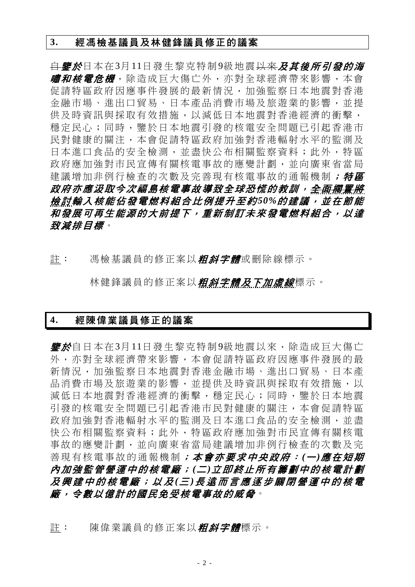#### **3.** 經馮檢基議員及林健鋒議員修正的議案

自鑒於日本在3月11日發生黎克特制9級地震以來及其後所引發的海 *嘯和核電危機***,除造成巨大傷亡外,亦對全球經濟帶來影響**,本會 促請特區政府因應事件發展的最新情況,加強監察日本地震對香港 金融市場、進出口貿易、日本產品消費市場及旅遊業的影響,並提 供及時資訊與採取有效措施,以減低日本地震對香港經濟的衝擊, 穩定民心;同時,鑒於日本地震引發的核電安全問題已引起香港市 民對健康的關注,本會促請特區政府加強對香港輻射水平的監測及 日本進口食品的安全檢測,並盡快公布相關監察資料;此外,特區 政府應加強對市民宣傳有關核電事故的應變計劃,並向廣東省當局 建議增加非例行檢查的次數及完善現有核電事故的通報機制;特區 政府亦應汲取今次福島核電事故導致全球恐慌的教訓,全面擱置將 **檢討輸入核能佔發電燃料組合比例提升至約50%的建議,並在節能** 和發展可再生能源的大前提下,重新制訂未來發電燃料組合,以達 致減排目標。

註: 馮檢基議員的修正案以*粗斜字體*或刪除線標示。

林健鋒議員的修正案以*粗斜字體及下加虛線*標示。

# **4.** 經陳偉業議員修正的議案

*鑒於***自日本在3月11日發生黎克特制9級地震以來,除造成巨大傷亡** 外,亦對全球經濟帶來影響,本會促請特區政府因應事件發展的最 新情況,加強監察日本地震對香港金融市場、進出口貿易、日本產 品消費市場及旅游業的影響,並提供及時資訊與採取有效措施,以 減低日本地震對香港經濟的衝擊,穩定民心;同時,鑒於日本地震 引發的核電安全問題已引起香港市民對健康的關注,本會促請特區 政府加強對香港輻射水平的監測及日本進口食品的安全檢測,並盡 快公布相關監察資料;此外,特區政府應加強對市民宣傳有關核電 事故的應變計劃,並向廣東省當局建議增加非例行檢查的次數及完 善現有核電事故的通報機制;本會亦要求中央政府: *(*<sup>一</sup> *)*應在短期 內加強監管營運中的核電廠; *(*<sup>二</sup> *)*立即終止所有籌劃中的核電計劃 及興建中的核電廠;以及 *(*三 *)*長遠而言應逐步關閉營運中的核電 廠,令數以億計的國民免受核電事故的威脅。

許: 陳偉業議員的修正案以*粗斜字體*標示。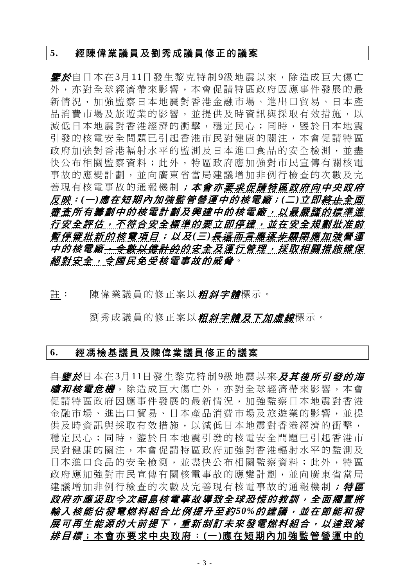#### **5.** 經陳偉業議員及劉秀成議員修正的議案

**鑒於**自日本在3月11日發生黎克特制9級地震以來,除造成巨大傷亡 外,亦對全球經濟帶來影響,本會促請特區政府因應事件發展的最 新情況,加強監察日本地震對香港金融市場、進出口貿易、日本產 品消費市場及旅游業的影響,並提供及時資訊與採取有效措施,以 減低日本地震對香港經濟的衝擊,穩定民心;同時,鑒於日本地震 引發的核電安全問題已引起香港市民對健康的關注,本會促請特區 政府加強對香港輻射水平的監測及日本進口食品的安全檢測,並盡 快公布相關監察資料;此外,特區政府應加強對市民宣傳有關核電 事故的應變計劃,並向廣東省當局建議增加非例行檢查的次數及完 善現有核電事故的通報機制;本會亦要求促請特區政府向中央政府 反映:*(*一*)*應在短期內加強監管營運中的核電廠;*(*二*)*立即終止全面 審查所有籌劃中的核電計劃及興建中的核電廠,以最嚴謹的標準進 行安全評估,不符合安全標準的要立即停建,並在安全規劃批准前 *暫停審批新的核電項目;以及(三)<del>長遠而言應逐步關閉</del>應加強營運* 中的核電廠<del>,令數以億計的</del>的安全及運行管理,採取相關措施確保 絕對安全,令國民免受核電事故的威脅。

註: 陳偉業議員的修正案以*粗斜字體*標示。

劉秀成議員的修正案以*粗斜字體及下加虛線*標示。

#### **6.** 經馮檢基議員及陳偉業議員修正的議案

<del>自*鑒於*日本在3月11日發生黎克特制9級地震以來*及其後所引發的海*</del> *嘯和核電危機*,除造成巨大傷亡外,亦對全球經濟帶來影響,本會 促請特區政府因應事件發展的最新情況,加強監察日本地震對香港 金融市場、進出口貿易、日本產品消費市場及旅遊業的影響,並提 供及時資訊與採取有效措施,以減低日本地震對香港經濟的衝擊, 穩定民心;同時,鑒於日本地震引發的核電安全問題已引起香港市 民對健康的關注,本會促請特區政府加強對香港輻射水平的監測及 日本進口食品的安全檢測,並盡快公布相關監察資料;此外,特區 政府應加強對市民宣傳有關核電事故的應變計劃,並向廣東省當局 建議增加非例行檢查的次數及完善現有核電事故的通報機制; 特區 政府亦應汲取今次福島核電事故導致全球恐慌的教訓,全面擱置將 輸入核能佔發電燃料組合比例提升至約*50%*的建議,並在節能和發 展可再生能源的大前提下,重新制訂未來發電燃料組合,以達致減 排目標;本會亦要求中央政府: **(**一 **)**應在短期內加強監管營運中的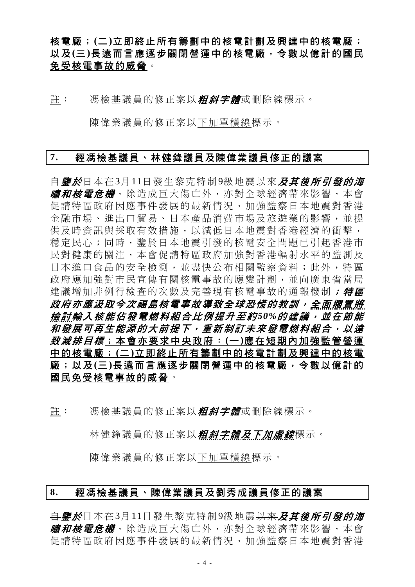# 核電廠; **(**二 **)**立即終止所有籌劃中的核電計劃及興建中的核電廠; 以及 **(**三 **)**長遠而言應逐步關閉營運中的核電廠,令數以億計的國民 免受核電事故的威脅。

註: 馮檢基議員的修正案以**粗斜字體**或刪除線標示。

陳偉業議員的修正案以下加單橫線標示。

#### **7.** 經馮檢基議員、林健鋒議員及陳偉業議員修正的議案

<del>自**鑒於**日本在3月11日發生黎克特制9級地震以來**及其後所引發的海**</del> *嘯和核電危機*, 除造成巨大傷亡外, 亦對全球經濟帶來影響, 本會 促請特區政府因應事件發展的最新情況,加強監察日本地震對香港 金融市場、進出口貿易、日本產品消費市場及旅遊業的影響,並提 供及時資訊與採取有效措施,以減低日本地震對香港經濟的衝擊, 穩定民心;同時,鑒於日本地震引發的核電安全問題已引起香港市 民對健康的關注,本會促請特區政府加強對香港輻射水平的監測及 日本進口食品的安全檢測,並盡快公布相關監察資料;此外,特區 政府應加強對市民宣傳有關核電事故的應變計劃,並向廣東省當局 建議增加非例行檢查的次數及完善現有核電事故的通報機制; 特區 *政府亦應汲取今次福島核電事故導致全球恐慌的教訓,<del>全面擱置將</del>* 檢 討輸入核能佔發電燃料組合比例提升至約 *50%*的建議,並在節能 和發展可再生能源的大前提下,重新制訂未來發電燃料組合,以達 致減排目標;本會亦要求中央政府: **(**一 **)**應在短期內加強監管營運 中的核電廠; **(**二 **)**立即終止所有籌劃中的核電計劃及興建中的核電 廠;以及 **(**三 **)**長遠而言應逐步關閉營運中的核電廠,令數以億計的 國民免受核電事故的威脅。

註: 馮檢基議員的修正案以*粗斜字體*或刪除線標示。

林健鋒議員的修正案以**粗斜字體及下加虛線**標示。

陳偉業議員的修正案以下加單橫線標示。

#### **8.** 經馮檢基議員、陳偉業議員及劉秀成議員修正的議案

自鑒於日本在3月11日發生黎克特制9級地震以來及其後所引發的海 *嘯和核電危機***,**除造成巨大傷亡外,亦對全球經濟帶來影響,本會 促請特區政府因應事件發展的最新情況,加強監察日本地震對香港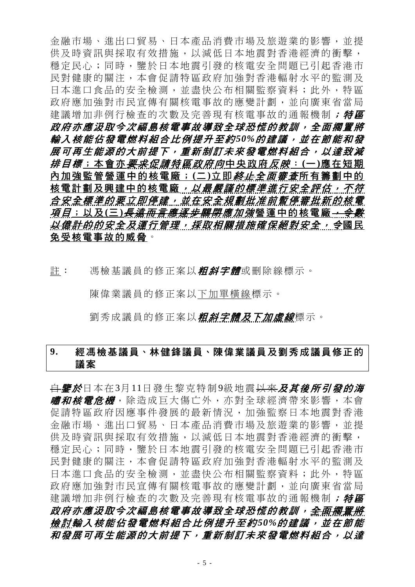金融市場、進出口貿易、日本產品消費市場及旅遊業的影響,並提 供及時資訊與採取有效措施,以減低日本地震對香港經濟的衝擊, 穩定民心;同時,鑒於日本地震引發的核電安全問題已引起香港市 民對健康的關注,本會促請特區政府加強對香港輻射水平的監測及 日本進口食品的安全檢測,並盡快公布相關監察資料;此外,特區 政府應加強對市民宣傳有關核電事故的應變計劃,並向廣東省當局 建議增加非例行檢查的次數及完善現有核電事故的通報機制; 特區 政府亦應汲取今次福島核電事故導致全球恐慌的教訓,全面擱置將 輸入核能佔發電燃料組合比例提升至約*50%*的建議,並在節能和發 展可再生能源的大前提下,重新制訂未來發電燃料組合,以達致減 排目標;本會亦要 求促請特區政府向中央政府反 映: **(**一 **)**應在短期 內加強監管營運中的核電廠; (二)立即*終止全面審查*所有籌劃中的 核電計劃及興建中的核電廠, 以最嚴謹的標準進行安全評估, 不符 合安全標準的要立即停建,並在安全規劃批准前暫停審批新的核電 項 目;以及 **(**三 **)**長遠而言應逐步關閉應加強營運中的核電廠,令數 <del>以億計的</del>的安全*及運行管理,採取相關措施確保絕對安全,令*國民 免受核電事故的威脅。

註: 馮檢基議員的修正案以*粗斜字體*或刪除線標示。

陳偉業議員的修正案以下加單橫線標示。

劉秀成議員的修正案以**粗斜字體及下加虛線**標示。

# **9.** 經馮檢基議員、林健鋒議員、陳偉業議員及劉秀成議員修正的 議案

<del>自</del>*鑒於*日本在3月11日發生黎克特制9級地震<del>以來</del>及其後所引發的海 *嘯和核電危機*, 除造成巨大傷亡外, 亦對全球經濟帶來影響, 本會 促請特區政府因應事件發展的最新情況,加強監察日本地震對香港 金融市場、進出口貿易、日本產品消費市場及旅遊業的影響,並提 供及時資訊與採取有效措施,以減低日本地震對香港經濟的衝擊, 穩定民心;同時,鑒於日本地震引發的核電安全問題已引起香港市 民對健康的關注,本會促請特區政府加強對香港輻射水平的監測及 日本進口食品的安全檢測,並盡快公布相關監察資料;此外,特區 政府應加強對市民宣傳有關核電事故的應變計劃,並向廣東省當局 建議增加非例行檢查的次數及完善現有核電事故的通報機制; 特區 *政府亦應汲取今次福島核電事故導致全球恐慌的教訓,<del>全面擱置將</del>* 檢 討輸入核能佔發電燃料組合比例提升至約 *50%*的建議,並在節能 和發展可再生能源的大前提下,重新制訂未來發電燃料組合,以達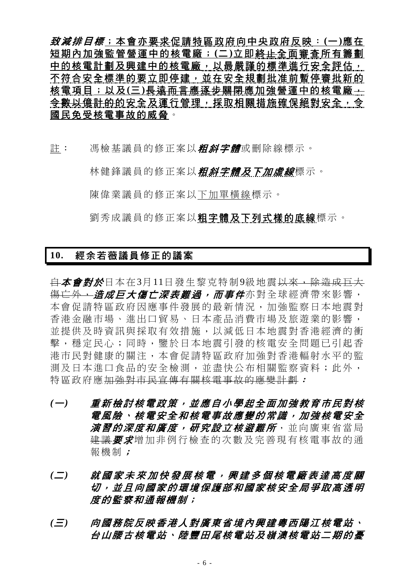致減排目標;本會亦要求促請特區政府向中央政府反映: **(**一 **)**應在 短期內加強監管營運中的核電廠; **(**二 **)**立即終止全面審查所有籌劃 中的核電計劃及興建中的核電廠,以最嚴謹的標準進行安全評估, 不符合安全標準的要立即停建,並在安全規劃批准前暫停審批新的 核電項目;以及 (三) <del>長遠而言應逐步關閉</del>應加強營運中的核電廠 + 令數以億計的的安全及運行管理,採取相關措施確保絕對安全,令 國民免受核電事故的威脅。

註: 馮檢基議員的修正案以*粗斜字體*或刪除線標示。

林健鋒議員的修正案以*粗斜字體及下加虛線***標示**。

陳偉業議員的修正案以下加單橫線標示。

劉秀成議員的修正案以粗字體及下列式樣的底線標示。

### **10.** 經余若薇議員修正的議案

白本會對於日本在3月11日發生黎克特制9級地震以來,除造成巨大 <del>傷亡外,*造成巨大傷亡深表難過,而事件***亦對全球經濟帶來影響,**</del> 本會促請特區政府因應事件發展的最新情況,加強監察日本地震對 香港金融市場、進出口貿易、日本產品消費市場及旅遊業的影響, 並提供及時資訊與採取有效措施,以減低日本地震對香港經濟的衝 擊,穩定民心;同時,鑒於日本地震引發的核電安全問題已引起香 港市民對健康的關注,本會促請特區政府加強對香港輻射水平的監 測及日本進口食品的安全檢測,並盡快公布相關監察資料;此外, 特區政府應加強對市民宣傳有關核電事故的應變計劃:

- *(*一*)* 重新檢討核電政策,並應自小學起全面加強教育市民對核 電風險、核電安全和核電事故應變的常識,加強核電安全 *演習的深度和廣度,研究設立核澼難所***,並向廣東省當局** 建議 要求增加非例行檢查的次數及完善現有核電事故的通 報機制;
- *(*二*)* 就國家未來加快發展核電,興建多個核電廠表達高度關 切,並且向國家的環境保護部和國家核安全局爭取高透明 度的監察和通報機制;
- *(*三*)* 向國務院反映香港人對廣東省境內興建粵西陽江核電站、 台山腰古核電站、陸豐田尾核電站及嶺澳核電站二期的憂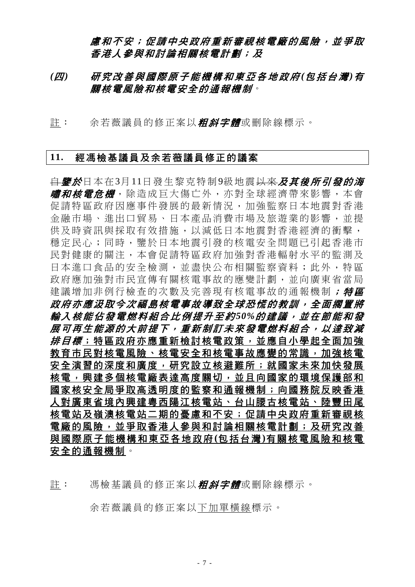# 慮和不安;促請中央政府重新審視核電廠的風險,並爭取 香港人參與和討論相關核電計劃;及

### *(*四*)* 研究改善與國際原子能機構和東亞各地政府 *(*包括台灣 *)*有 關核電風險和核電安全的通報機制。

許: 余若薇議員的修正案以*粗斜字體*或刪除線標示。

#### **11.** 經馮檢基議員及余若薇議員修正的議案

<del>自**鑒於**日本在3月11日發生黎克特制9級地震以來**及其後所引發的海**</del> *嘯和核電危機*, 除造成巨大傷亡外, 亦對全球經濟帶來影響, 本會 促請特區政府因應事件發展的最新情況,加強監察日本地震對香港 金融市場、進出口貿易、日本產品消費市場及旅遊業的影響,並提 供及時資訊與採取有效措施,以減低日本地震對香港經濟的衝擊, 穩定民心;同時,鑒於日本地震引發的核電安全問題已引起香港市 民對健康的關注,本會促請特區政府加強對香港輻射水平的監測及 日本進口食品的安全檢測,並盡快公布相關監察資料;此外,特區 政府應加強對市民宣傳有關核電事故的應變計劃,並向廣東省當局 建議增加非例行檢查的次數及完善現有核電事故的通報機制; 特區 政府亦應汲取今次福島核電事故導致全球恐慌的教訓,全面擱置將 輸入核能佔發電燃料組合比例提升至約*50%*的建議,並在節能和發 展可再生能源的大前提下,重新制訂未來發電燃料組合,以達致減 # 目標: 特區政府亦應重新檢討核電政策,並應自小學起全面加強 教育市民對核電風險、核電安全和核電事故應變的常識,加強核電 安全演習的深度和廣度,研究設立核避難所;就國家未來加快發展 核電,與興建多個核電廠表達高度關切,並且向國家的環境保護部和 國家核安全局爭取高透明度的監察和通報機制;向國務院反映香港 人對廣東省境內興建粵西陽江核電站、台山腰古核電站、陸豐田尾 核電站及嶺澳核電站二期的憂慮和不安;促請中央政府重新審視核 電廠的風險,並爭取香港人參與和討論相關核電計劃;及研究改善 與國際原子能機構和東亞各地政府 **(**包括台灣 **)**有關核電風險和核電 安全的通報機制。

余若薇議員的修正案以下加單橫線標示。

註: 馮檢基議員的修正案以*粗斜字體*或刪除線標示。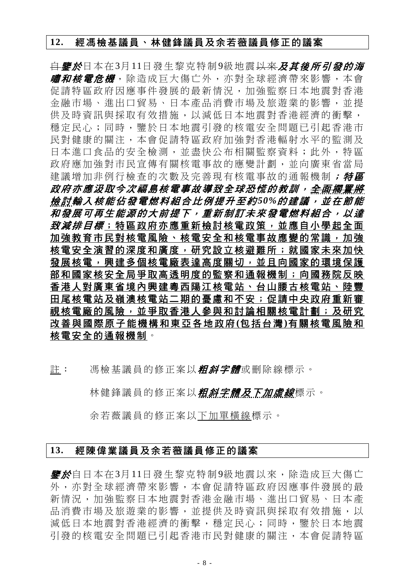#### **12.** 經馮檢基議員、林健鋒議員及余若薇議員修正的議案

自鑒於日本在3月11日發生黎克特制9級地震以來及其後所引發的海 *嘯和核電危機***,除造成巨大傷亡外,亦對全球經濟帶來影響**,本會 促請特區政府因應事件發展的最新情況,加強監察日本地震對香港 金融市場、進出口貿易、日本產品消費市場及旅遊業的影響,並提 供及時資訊與採取有效措施,以減低日本地震對香港經濟的衝擊, 穩定民心;同時,鑒於日本地震引發的核電安全問題已引起香港市 民對健康的關注,本會促請特區政府加強對香港輻射水平的監測及 日本進口食品的安全檢測,並盡快公布相關監察資料;此外,特區 政府應加強對市民宣傳有關核電事故的應變計劃,並向廣東省當局 建議增加非例行檢查的次數及完善現有核電事故的通報機制;特區 政府亦應汲取今次福島核電事故導致全球恐慌的教訓,全面擱置將 **檢討輸入核能佔發電燃料組合比例提升至約50%的建議,並在節能** 和發展可再生能源的大前提下,重新制訂未來發電燃料組合,以達 致減#目標;特區政府亦應重新檢討核電政策,並應自小學起全面 加強教育市民對核電風險、核電安全和核電事故應變的常識,加強 核電安全演習的深度和廣度,研究設立核避難所;就國家未來加快 發展核電,與建多個核電廠表達高度關切,並且向國家的環境保護 部和國家核安全局爭取高透明度的監察和通報機制;向國務院反映 香港人對廣東省境內興建粵西陽江核電站、台山腰古核電站、陸豐 田尾核電站及嶺澳核電站二期的憂慮和不安;促請中央政府重新審 視核電廠的風險,並爭取香港人參與和討論相關核電計劃;及研究 改善與國際原子能機構和東亞各地政府 **(**包括台灣 **)**有關核電風險和 核電安全的通報機制。

註: 馮檢基議員的修正案以*粗斜字體*或刪除線標示。

林健鋒議員的修正案以*粗斜字體及下加虛線*標示。

余若薇議員的修正案以下加單橫線標示。

### **13.** 經陳偉業議員及余若薇議員修正的議案

*鑒於***自日本在3月11日發生黎克特制9級地震以來,除造成巨大傷亡** 外,亦對全球經濟帶來影響,本會促請特區政府因應事件發展的最 新情況,加強監察日本地震對香港金融市場、進出口貿易、日本產 品消費市場及旅游業的影響,並提供及時資訊與採取有效措施,以 減低日本地震對香港經濟的衝擊,穩定民心;同時,鑒於日本地震 引發的核電安全問題已引起香港市民對健康的關注,本會促請特區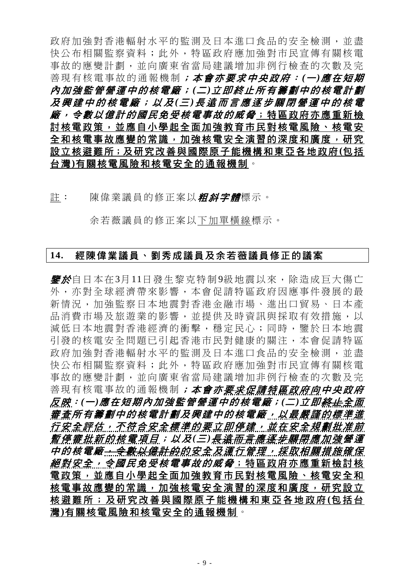政府加強對香港輻射水平的監測及日本進口食品的安全檢測,並盡 快公布相關監察資料;此外,特區政府應加強對市民宣傳有關核電 事故的應變計劃,並向廣東省當局建議增加非例行檢查的次數及完 善現有核電事故的通報機制;本會亦要求中央政府: (一)應在短期 內加強監管營運中的核電廠; *(*<sup>二</sup> *)*立即終止所有籌劃中的核電計劃 及興建中的核電廠;以及 *(*三 *)*長遠而言應逐步關閉營運中的核電 *廠,今數以億計的國民免受核電事故的威脅*;特區政府亦應重新檢 討核電政策,並應自小學起全面加強教育市民對核電風險、核電安 全和核電事故應變的常識,加強核電安全演習的深度和廣度,研究 設立核避難所;及研究改善與國際原子能機構和東亞各地政府**(**包括 台灣**)**有關核電風險和核電安全的通報機制。

註: 陳偉業議員的修正案以*粗斜字體*標示。

余若薇議員的修正案以下加單橫線標示。

#### **14.** 經陳偉業議員、劉秀成議員及余若薇議員修正的議案

*鑒於***自日本在3月11日發生黎克特制9級地震以來,除**浩成巨大傷亡 外,亦對全球經濟帶來影響,本會促請特區政府因應事件發展的最 新情況,加強監察日本地震對香港金融市場、進出口貿易、日本產 品消費市場及旅游業的影響,並提供及時資訊與採取有效措施,以 減低日本地震對香港經濟的衝擊,穩定民心;同時,鑒於日本地震 引發的核電安全問題已引起香港市民對健康的關注,本會促請特區 政府加強對香港輻射水平的監測及日本進口食品的安全檢測,並盡 快公布相關監察資料;此外,特區政府應加強對市民宣傳有關核電 事故的應變計劃,並向廣東省當局建議增加非例行檢查的次數及完 善現有核電事故的通報機制**;本***會亦要求促請特區政府向中央政府* 反映:*(*一*)*應在短期內加強監管營運中的核電廠;*(*二*)*立即終止全面 審查所有籌劃中的核電計劃及興建中的核電廠,以最嚴謹的標準進 行安全評估,不符合安全標準的要立即停建,並在安全規劃批准前 *暫停審批新的核電項目;以及(三)<del>長遠而言應逐步關閉</del>應加強營運* 中的核電廠<del>,令數以億計的</del>的安全及運行管理,採取相關措施確保 *絕對安全, 令國民免受核電事故的威脅*; 特區政府亦應重新檢討核 電政策,並應自小學起全面加強教育市民對核電風險、核電安全和 核電事故應變的常識,加強核電安全演習的深度和廣度,研究設立 核避難所;及研究改善與國際 原子能機構和東亞各地政府 **(**包括台 灣**)**有關核電風險和核電安全的通報機制。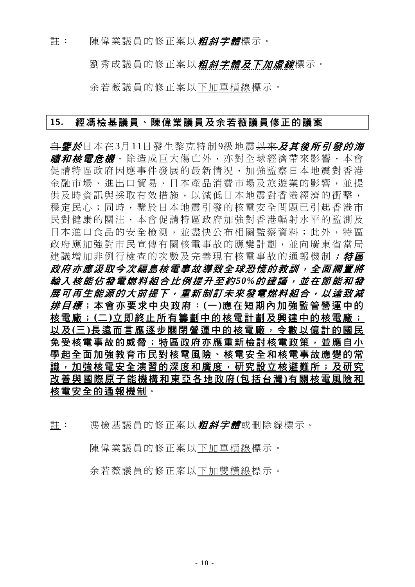註: 陳偉業議員的修正案以*粗斜字體*標示。

劉秀成議員的修正案以*粗斜字體及下加虛線***標示**。

余若薇議員的修正案以下加單橫線標示。

#### **15.** 經馮檢基議員、陳偉業議員及余若薇議員修正的議案

<del>自*鑒於*日本在3月11日發生黎克特制9級地震以來*及其後所引發的海*</del> **嘯和核電危機**,除造成巨大傷亡外,亦對全球經濟帶來影響,本會 促請特區政府因應事件發展的最新情況,加強監察日本地震對香港 金融市場、進出口貿易、日本產品消費市場及旅遊業的影響,並提 供及時資訊與採取有效措施,以減低日本地震對香港經濟的衝擊, 穩定民心;同時,鑒於日本地震引發的核電安全問題已引起香港市 民對健康的關注,本會促請特區政府加強對香港輻射水平的監測及 日本進口食品的安全檢測,並盡快公布相關監察資料;此外,特區 政府應加強對市民宣傳有關核電事故的應變計劃,並向廣東省當局 建議增加非例行檢查的次數及完善現有核電事故的通報機制; 特區 政府亦應汲取今次福島核電事故導致全球恐慌的教訓,全面擱置將 輸入核能佔發電燃料組合比例提升至約*50%*的建議,並在節能和發 展可再生能源的大前提下,重新制訂未來發電燃料組合,以達致減 排目標;本會亦要求中央政府: **(**一 **)**應在短期內加強監管營運中的 核電廠; **(**二 **)**立即終止所有籌劃中的核電計劃及興建中的核電廠; 以及 **(**三 **)**長遠而言應逐步關閉營運中的核電廠,令數以億計的國民 免受核電事故的威脅;特區政府亦應重新檢討核電政策,並應自小 學起全面加強教育市民對核電風險、核電安全和核電事故應變的常 識,加強核電安全演習的深度和廣度,研究設立核避難所;及研究 改善與國際原子能機構和東亞各地政府 **(**包括台灣 **)**有關核電風險和 核電安全的通報機制。

註: 馮檢基議員的修正案以**粗斜字體**或刪除線標示。

陳偉業議員的修正案以下加單橫線標示。

余若薇議員的修正案以下加雙橫線標示。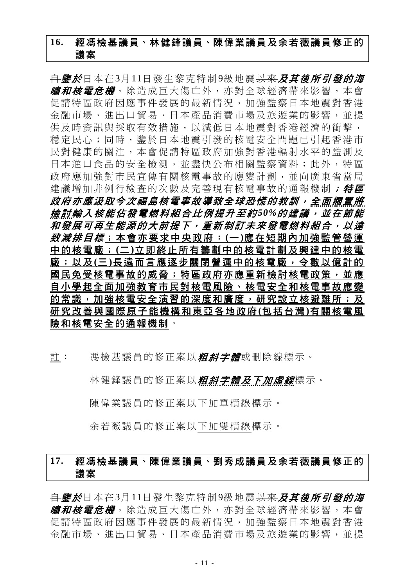# **16.** 經馮檢基議員、林健鋒議員、陳偉業議員及余若薇議員修正的 議案

<del>自</del>**鑒於**日本在3月11日發生黎克特制9級地震<del>以來</del>及其後所引發的海 *嘯和核電危機***,除造成巨大傷亡外,亦對全球經濟帶來影響**,本會 促請特區政府因應事件發展的最新情況,加強監察日本地震對香港 金融市場、進出口貿易、日本產品消費市場及旅遊業的影響,並提 供及時資訊與採取有效措施,以減低日本地震對香港經濟的衝擊, 穩定民心;同時,鑒於日本地震引發的核電安全問題已引起香港市 民對健康的關注,本會促請特區政府加強對香港輻射水平的監測及 日本進口食品的安全檢測,並盡快公布相關監察資料;此外,特區 政府應加強對市民宣傳有關核電事故的應變計劃,並向廣東省當局 建議增加非例行檢查的次數及完善現有核電事故的通報機制; 特區 政府亦應汲取今次福島核電事故導致全球恐慌的教訓,全面擱置將 檢 討輸入核能佔發電燃料組合比例提升至約 *50%*的建議,並在節能 和發展可再生能源的大前提下,重新制訂未來發電燃料組合,以達 致減排目標;本會亦要求中央政府: **(**一 **)**應在短期內加強監管營運 中的核電廠; **(**二 **)**立即終止所有籌劃中的核電計劃及興建中的核電 廠;以及 **(**三 **)**長遠而言應逐步關閉營運中的核電廠,令數以億計的 國民免受核電事故的威脅;特區政府亦應重新檢討核電政策,並應 自小學起全面加強教育市民對核電風險、核電安全和核電事故應變 的常識,加強核電安全演習的深度和廣度,研究設立核避難所;及 研究改善與國際原子能機構和東亞各地政府 **(**包括台灣 **)**有關核電風 險和核電安全的通報機制。

許: 馮檢基議員的修正案以*粗斜字體*或刪除線標示。

林健鋒議員的修正案以*粗斜字體及下加虛線***標示**。

陳偉業議員的修正案以下加單橫線標示。

余若薇議員的修正案以下加雙橫線標示。

# **17.** 經馮檢基議員、陳偉業議員、劉秀成議員及余若薇議員修正的 議案

<del>自*鑒於*日本在3月11日發生黎克特制9級地震以來*及其後所引發的海*</del> **嘯和核電危機**,除造成巨大傷亡外,亦對全球經濟帶來影響,本會 促請特區政府因應事件發展的最新情況,加強監察日本地震對香港 金融市場、進出口貿易、日本產品消費市場及旅遊業的影響,並提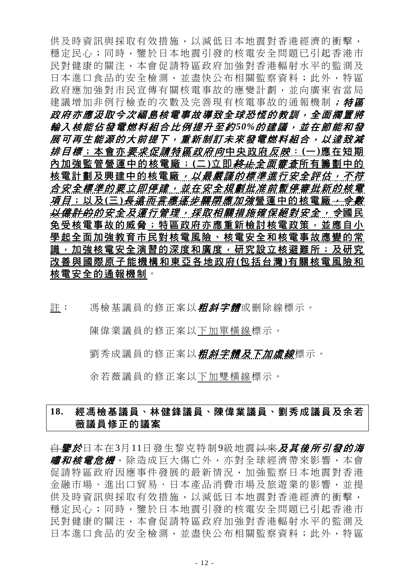供及時資訊與採取有效措施,以減低日本地震對香港經濟的衝擊, 穩定民心;同時,鑒於日本地震引發的核電安全問題已引起香港市 民對健康的關注,本會促請特區政府加強對香港輻射水平的監測及 日本進口食品的安全檢測,並盡快公布相關監察資料;此外,特區 政府應加強對市民宣傳有關核電事故的應變計劃,並向廣東省當局 建議增加非例行檢查的次數及完善現有核電事故的通報機制; 特區 政府亦應汲取今次福島核電事故導致全球恐慌的教訓,全面擱置將 輸入核能佔發電燃料組合比例提升至約*50%*的建議,並在節能和發 展可再生能源的大前提下,重新制訂未來發電燃料組合,以達致減 排目標;本會亦要 求促請特區政府向中央政府反 映: **(**一 **)**應在短期 內加強監管營運中的核電廠; (二)立即 終止全面審査所有籌劃中的 核電計劃及興建中的核電廠,以最嚴謹的標準進行安全評估,不符 合安全標準的要立即停建,並在安全規劃批准前暫停審批新的核電 <u>項目;以及(三)<del>長遠而言應逐步關閉</del>應加強營運中的核電廠<del>,令數</del></u> 以億計的的安全及運行管理,採取相關措施確保絕對安全,令國民 免受核電事故的威脅;特區政府亦應重新檢討核電政策,並應自小 學起全面加強教育市民對核電風險、核電安全和核電事故應變的常 識,加強核電安全演習的深度和廣度,研究設立核避難所;及研究 改善與國際原子能機構和東亞各地政府 **(**包括台灣 **)**有關核電風險和 核電安全的通報機制。

註: 馮檢基議員的修正案以*粗斜字體*或刪除線標示。

陳偉業議員的修正案以下加單橫線標示。

劉秀成議員的修正案以*粗斜字體及下加虛線*標示。

余若薇議員的修正案以下加雙橫線標示。

# **18.** 經馮檢基議員、林健鋒議員、陳偉業議員、劉秀成議員及余若 薇議員修正的議案

自鑒於日本在3月11日發生黎克特制9級地震以來及其後所引發的海 *嘯和核電危機***,除造成巨大傷亡外,亦對全球經濟帶來影響**,本會 促請特區政府因應事件發展的最新情況,加強監察日本地震對香港 金融市場、進出口貿易、日本產品消費市場及旅遊業的影響,並提 供及時資訊與採取有效措施,以減低日本地震對香港經濟的衝擊, 穩定民心;同時,鑒於日本地震引發的核電安全問題已引起香港市 民對健康的關注,本會促請特區政府加強對香港輻射水平的監測及 日本進口食品的安全檢測,並盡快公布相關監察資料;此外,特區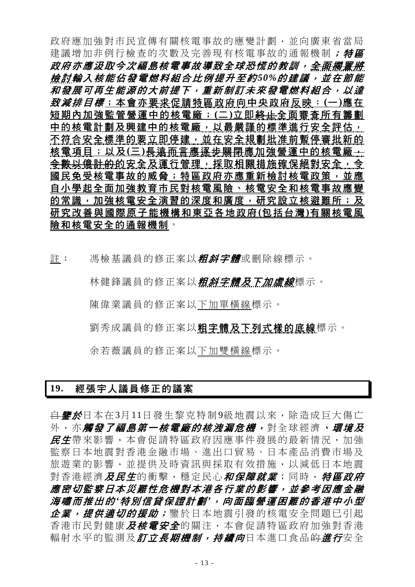政府應加強對市民宣傳有關核電事故的應變計劃,並向廣東省當局 建議增加非例行檢查的次數及完善現有核電事故的通報機制; 特區 政府亦應汲取今次福島核電事故導致全球恐慌的教訓,全面擱置將 **檢討輸入核能佔發電燃料組合比例提升至約50%的建議,並在節能** 和發展可再生能源的大前提下,重新制訂未來發電燃料組合,以達 致減排目標;本會亦要求促請特區政府向中央政府反映: **(**一 **)**應在 短期內加強監管營運中的核電廠; **(**二 **)**立即終止全面審查所有籌劃 中的核電計劃及興建中的核電廠,以最嚴謹的標準進行安全評估, 不符合安全標準的要立即停建,並在安全規劃批准前暫停審批新的 核電項目;以及 **(**三 **)**長遠而言應逐步關閉應加強營運中的核電廠, <del>令數以億計的</del>的安全及運行管理,採取相關措施確保絕對安全,今 國民免受核電事故的威脅;特區政府亦應重新檢討核電政策,並應 自小學起全面加強教育市民對核電風險、核電安全和核電事故應變 的常識,加強核電安全演習的深度和廣度,研究設立核避難所;及 研究改善與國際原子能機構和東亞各地政府 **(**包括台灣 **)**有關核電風 險和核電安全的通報機制。

註: 馮檢基議員的修正案以**粗斜字體**或刪除線標示。

林健鋒議員的修正案以**粗斜字體及下加虛線**標示。

陳偉業議員的修正案以下加單橫線標示。

劉秀成議員的修正案以粗字體及下列式樣的底線標示。

余若薇議員的修正案以下加雙橫線標示。

#### **19.** 經張宇人議員修正的議案

<del>自**鑒於**日本在3月11日發生黎克特制9級地震以來,除造成巨大傷亡</del> 外, 亦*觸發了福島第一核電廠的核洩漏危機,* **對全球經濟、***環境及* 民生帶來影響,本會促請特區政府因應事件發展的最新情況,加強 監察日本地震對香港金融市場、進出口貿易、日本產品消費市場及 旅遊業的影響,並提供及時資訊與採取有效措施,以減低日本地震 對香港經濟及民生的衝擊,穩定民心和保障就業;同時,特區政府 應密切監察日本災難性危機對本港各行業的影響,並參考因應金融 海嘯而推出的 *'*特別信貸保證計劃 *'*,向面臨營運困難的香港中小型 企業,提供適切的援助;鑒於日本地震引發的核電安全問題已引起 香港市民對健康及核電安全的關注,本會促請特區政府加強對香港 輻射水平的監測及*訂立長期機制,持續向*日本淮口食品<del>的*淮行*安全</del>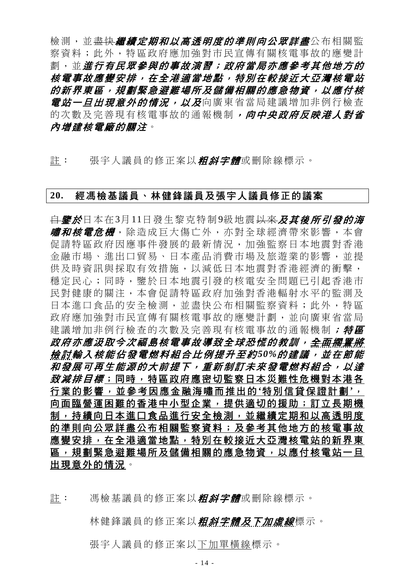檢測,並<del>盡快*繼續定期和以高透明度的準則向公眾詳盡***公布相關**監</del> 察資料;此外,特區政府應加強對市民宣傳有關核電事故的應變計 劃,並進行有民眾參與的事故演習;政府當局亦應參考其他地方的 核電事故應變安排,在全港適當地點,特別在較接近大亞灣核電站 的新界東區,規劃緊急避難場所及儲備相關的應急物資,以應付核 *電站一旦出現意外的情況,以及*向廣東省當局建議增加非例行檢查 的次數及完善現有核電事故的通報機制,向中央政府反映港人對省 內增建核電廠的關注。

註: 張宇人議員的修正案以*粗斜字體*或刪除線標示。

#### **20.** 經馮檢基議員、林健鋒議員及張宇人議員修正的議案

<del>自**鑒於**日本在3月11日發生黎克特制9級地震以來*及其後所引發的海*</del> *嘯和核電危機*,除造成巨大傷亡外,亦對全球經濟帶來影響,本會 促請特區政府因應事件發展的最新情況,加強監察日本地震對香港 金融市場、進出口貿易、日本產品消費市場及旅遊業的影響,並提 供及時資訊與採取有效措施,以減低日本地震對香港經濟的衝擊, 穩定民心;同時,鑒於日本地震引發的核電安全問題已引起香港市 民對健康的關注,本會促請特區政府加強對香港輻射水平的監測及 日本進口食品的安全檢測,並盡快公布相關監察資料;此外,特區 政府應加強對市民宣傳有關核電事故的應變計劃,並向廣東省當局 建議增加非例行檢查的次數及完善現有核電事故的通報機制; 特區 *政府亦應汲取今次福島核電事故導致全球恐慌的教訓,<del>全面擱置將</del>* 檢 討輸入核能佔發電燃料組合比例提升至約 *50%*的建議,並在節能 和發展可再生能源的大前提下,重新制訂未來發電燃料組合,以達 致減排目標;同時,特區政府應密切監察日本災難性危機對本港各 行業的影響,並參考因應金融海嘯而推出的 **'**特別信貸保證計劃 **'**, 向面臨營運困難的香港中小型企業,提供適切的援助;訂立長期機 制,持續向日本進口食品進行安全檢測,並繼續定期和以高透明度 的準則向公眾詳盡公布相關監察資料;及參考其他地方的核電事故 應變安排,在全港適當地點,特別在較接近大亞灣核電站的新界東 區,規劃緊急避難場所及儲備相關的應急物資,以應付核電站一旦 出現意外的情況。

註: 馮檢基議員的修正案以*粗斜字體*或刪除線標示。

林健鋒議員的修正案以*粗斜字體及下加虛線*標示。

張宇人議員的修正案以下加單橫線標示。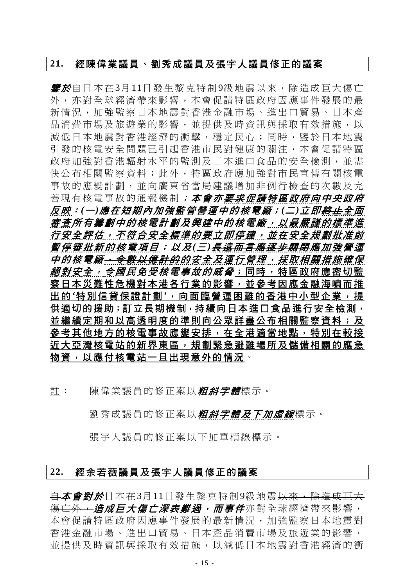#### **21.** 經陳偉業議員、劉秀成議員及張宇人議員修正的議案

*鑒於***自日本在3月11日發生黎克特制9級地震以來,除**浩成巨大傷亡 外,亦對全球經濟帶來影響,本會促請特區政府因應事件發展的最 新情況,加強監察日本地震對香港金融市場、進出口貿易、日本產 品消費市場及旅遊業的影響,並提供及時資訊與採取有效措施,以 減低日本地震對香港經濟的衝擊,穩定民心;同時,鑒於日本地震 引發的核電安全問題已引起香港市民對健康的關注,本會促請特區 政府加強對香港輻射水平的監測及日本進口食品的安全檢測,並盡 快公布相關監察資料;此外,特區政府應加強對市民宣傳有關核電 事故的應變計劃,並向廣東省當局建議增加非例行檢查的次數及完 善現有核電事故的通報機制;本會亦要求促請特區政府向中央政府 反映:*(*一*)*應在短期內加強監管營運中的核電廠;*(*二*)*立即終止全面 審查所有籌劃中的核電計劃及興建中的核電廠,以最嚴謹的標準進 行安全評估,不符合安全標準的要立即停建,並在安全規劃批准前 暫停審批新的核電項目;以及 *(*三 *)*長遠而言應逐步關閉應加強營 運 中的核電廠,令數以億計的的安全及運行管理,採取相關措施確保 *絕對安全,今國民免受核電事故的威脅*;同時,特區政府應密切監 察日本災難性危機對本港各行業的影響,並參考因應金融海嘯而推 出的'特別信貸保證計劃',向面臨營運困難的香港中小型企業,提 供適切的援助;訂立長期機制,持續向日本進口食品進行安全檢測, 並繼續定期和以高透明度的準則向公眾詳盡公布相關監察資料;及 參考其他地方的核電事故應變安排,在全港適當地點,特別在較接 近大亞灣核電站的新界東區,規劃緊急避難場所及儲備相關的應急 物資,以應付核電站一旦出現意外的情況。

註: 陳偉業議員的修正案以*粗斜字體*標示。

劉秀成議員的修正案以*粗斜字體及下加虛線*標示。

張宇人議員的修正案以下加單橫線標示。

### **22.** 經余若薇議員及張宇人議員修正的議案

白本會對於日本在3月11日發生黎克特制9級地震以來,除造成巨大 <del>傷亡外,*造成巨大傷亡深表難過,而事件***亦對全球經濟帶來影響**,</del> 本會促請特區政府因應事件發展的最新情況,加強監察日本地震對 香港金融市場、進出口貿易、日本產品消費市場及旅遊業的影響, 並提供及時資訊與採取有效措施,以減低日本地震對香港經濟的衝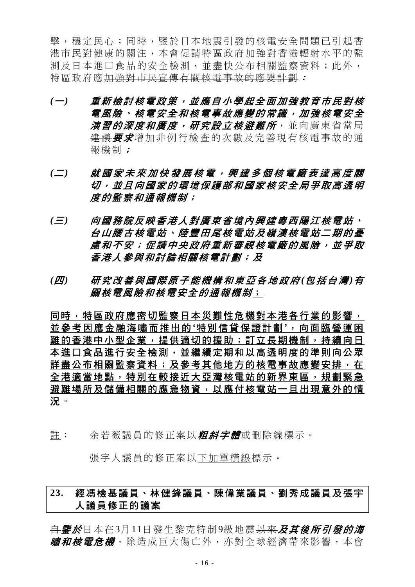擊,穩定民心;同時,鑒於日本地震引發的核電安全問題已引起香 港市民對健康的關注,本會促請特區政府加強對香港輻射水平的監 測及日本進口食品的安全檢測,並盡快公布相關監察資料;此外, 特區政府應加強對市民宣傳有關核電事故的應變計劃:

- *(*一*)* 重新檢討核電政策,並應自小學起全面加強教育市民對核 電風險、核電安全和核電事故應變的常識,加強核電安全 *演習的深度和廣度,研究設立核避難所***,並向廣東省當局** 建議要求增加非例行檢查的次數及完善現有核電事故的通 報機制;
- *(*二*)* 就國家未來加快發展核電,興建多個核電廠表達高度關 切,並且向國家的環境保護部和國家核安全局爭取高透明 度的監察和通報機制;
- *(*三*)* 向國務院反映香港人對廣東省境內興建粵西陽江核電站、 台山腰古核電站、陸豐田尾核電站及嶺澳核電站二期的憂 慮和不安;促請中央政府重新審視核電廠的風險,並爭取 香港人參與和討論相關核電計劃;及
- *(*四*)* 研究改善與國際原子能機構和東亞各地政府 *(*包括台灣 *)*有 關核電風險和核電安全的通報機制;

同時,特區政府應密切監察日本災難性危機對本港各行業的影響, 並參考因應金融海嘯而推出的 **'**特別信貸保證計劃 **'**,向面臨營運困 難的香港中小型企業,提供適切的援助;訂立長期機制,持續向日 本進口食品進行安全檢測,並繼續定期和以高透明度的準則向公眾 詳盡公布相關監察資料;及參考其他地方的核電事故應變安排,在 全港適當地點,特別在較接近大亞灣核電站的新界東區,規劃緊急 避難場所及儲備相關的應急物資,以應付核電站一旦出現意外的情 況。

註: 余若薇議員的修正案以*粗斜字體*或刪除線標示。

張宇人議員的修正案以下加單橫線標示。

# **23.** 經馮檢基議員、林健鋒議員、陳偉業議員、劉秀成議員及張宇 人議員修正的議案

<del>自*鑒於*日本在3月11日發生黎克特制9級地震以來*及其後所引發的海*</del> *嘯和核電危機*,除造成巨大傷亡外,亦對全球經濟帶來影響,本會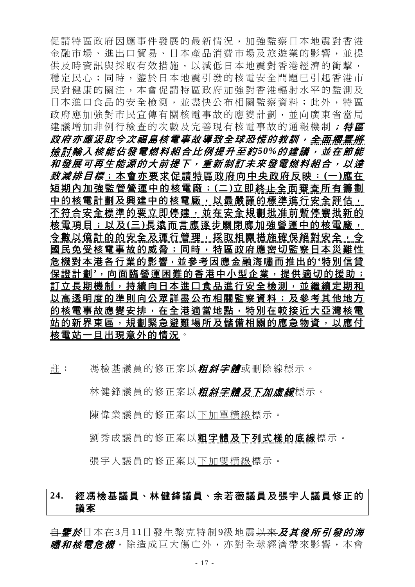促請特區政府因應事件發展的最新情況,加強監察日本地震對香港 金融市場、進出口貿易、日本產品消費市場及旅遊業的影響,並提 供及時資訊與採取有效措施,以減低日本地震對香港經濟的衝擊, 穩定民心;同時,鑒於日本地震引發的核電安全問題已引起香港市 民對健康的關注,本會促請特區政府加強對香港輻射水平的監測及 日本進口食品的安全檢測,並盡快公布相關監察資料;此外,特區 政府應加強對市民宣傳有關核電事故的應變計劃,並向廣東省當局 建議增加非例行檢查的次數及完善現有核電事故的通報機制; 特區 *政府亦應汲取今次福島核電事故導致全球恐慌的教訓,<del>全面擱置將</del>* 檢 討輸入核能佔發電燃料組合比例提升至約 *50%*的建議,並在節能 和發展可再生能源的大前提下,重新制訂未來發電燃料組合,以達 致減排目標;本會亦要求促請特區政府向中央政府反映: **(**一 **)**應在 短期內加強監管營運中的核電廠; **(**二 **)**立即終止全面審查所有籌劃 中的核電計劃及興建中的核電廠,以最嚴謹的標準進行安全評估, 不符合安全標準的要立即停建,並在安全規劃批准前暫停審批新的 核電項目;以及 (三) <del>長遠而言應逐步關閉</del>應加強營運中的核電廠 — 令數以億計的的安全及運行管理,採取相關措施確保絕對安全,令 國民免受核電事故的威脅;同時,特區政府應密切監察日本災難性 危機對本港各行業的影響,並參考因應金融海嘯而推出的**'**特別信貸 保證計劃**'**,向面臨營運困難的香港中小型企業,提供適切的援助; 訂立長期機制,持續向日本進口食品進行安全檢測,並繼續定期和 以高透明度的準則向公眾詳盡公布相關監察資料;及參考其他地方 的核電事故應變安排,在全港適當地點,特別在較接近大亞灣核電 站的新界東區,規劃緊急避難場所及儲備相關的應急物資,以應付 核電站一旦出現意外的情況。

註: 馮檢基議員的修正案以*粗斜字體*或刪除線標示。

林健鋒議員的修正案以*粗斜字體及下加虛線*標示。

陳偉業議員的修正案以下加單橫線標示。

劉秀成議員的修正案以粗字體及下列式樣的底線標示。

張宇人議員的修正案以下加雙橫線標示。

# **24.** 經馮檢基議員、林健鋒議員、余若薇議員及張宇人議員修正的 議案

自鑒於日本在3月11日發生黎克特制9級地震以來及其後所引發的海 *嘯和核電危機***,除造成巨大傷亡外,亦對全球經濟帶來影響**,本會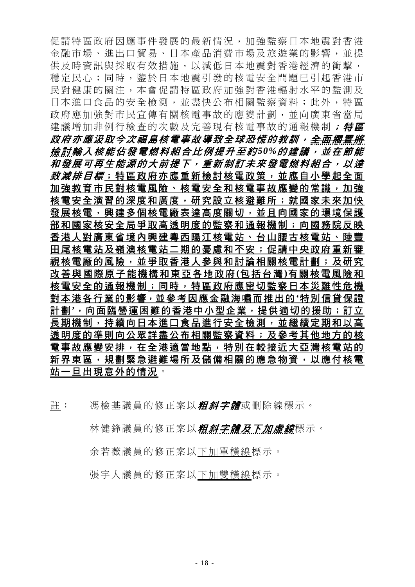促請特區政府因應事件發展的最新情況,加強監察日本地震對香港 金融市場、進出口貿易、日本產品消費市場及旅遊業的影響,並提 供及時資訊與採取有效措施,以減低日本地震對香港經濟的衝擊, 穩定民心;同時,鑒於日本地震引發的核電安全問題已引起香港市 民對健康的關注,本會促請特區政府加強對香港輻射水平的監測及 日本進口食品的安全檢測,並盡快公布相關監察資料;此外,特區 政府應加強對市民宣傳有關核電事故的應變計劃,並向廣東省當局 建議增加非例行檢查的次數及完善現有核電事故的通報機制; 特區 *政府亦應汲取今次福島核電事故導致全球恐慌的教訓,<del>全面擱置將</del>* 檢 討輸入核能佔發電燃料組合比例提升至約 *50%*的建議,並在節能 和發展可再生能源的大前提下,重新制訂未來發電燃料組合,以達 *致減排目標*;特區政府亦應重新檢討核電政策,並應自小學起全面 加強教育市民對核電風險、核電安全和核電事故應變的常識,加強 核電安全演習的深度和廣度,研究設立核避難所;就國家未來加快 發展核電,興建多個核電廠表達高度關切,並且向國家的環境保護 部和國家核安全局爭取高透明度的監察和通報機制;向國務院反映 香港人對廣東省境內興建粵西陽江核電站、台山腰古核電站、陸豐 田尾核電站及嶺澳核電站二期的憂慮和不安;促請中央政府重新審 視核電廠的風險,並爭取香港人參與和討論相關核電計劃;及研究 改善與國際原子能機構和東亞各地政府 **(**包括台灣 **)**有關核電風險和 核電安全的通報機制;同時,特區政府應密切監察日本災難性危機 對本港各行業的影響,並參考因應金融海嘯而推出的**'**特別信貸保證 計劃**'**,向面臨營運困難的香港中小型企業,提供適切的援助;訂立 長期機制,持續向日本進口食品進行安全檢測,並繼續定期和以高 透明度的準則向公眾詳盡公布相關監察資料;及參考其他地方的核 電事故應變安排,在全港適當地點,特別在較接近大亞灣核電站的 新界東區,規劃緊急避難場所及儲備相關的應急物資,以應付核電 站一旦出現意外的情況。

註: 馮檢基議員的修正案以*粗斜字體*或刪除線標示。

林健鋒議員的修正案以*粗斜字體及下加虛線*標示。

余若薇議員的修正案以下加單橫線標示。

張宇人議員的修正案以下加雙橫線標示。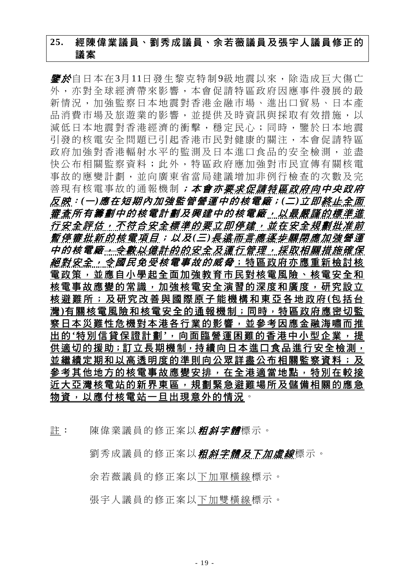# **25.** 經陳偉業議員、劉秀成議員、余若薇議員及張宇人議員修正的 議案

**鑒於**自日本在3月11日發生黎克特制9級地震以來,除造成巨大傷亡 外,亦對全球經濟帶來影響,本會促請特區政府因應事件發展的最 新情況,加強監察日本地震對香港金融市場、進出口貿易、日本產 品消費市場及旅遊業的影響,並提供及時資訊與採取有效措施,以 減低日本地震對香港經濟的衝擊,穩定民心;同時,鑒於日本地震 引發的核電安全問題已引起香港市民對健康的關注,本會促請特區 政府加強對香港輻射水平的監測及日本進口食品的安全檢測,並盡 快公布相關監察資料;此外,特區政府應加強對市民宣傳有關核電 事故的應變計劃,並向廣東省當局建議增加非例行檢查的次數及完 善現有核電事故的通報機制**;本會亦要求促請特區政府向中央政府** 反映:*(*一*)*應在短期內加強監管營運中的核電廠;*(*二*)*立即終止全面 審查所有籌劃中的核電計劃及興建中的核電廠,以最嚴謹的標準進 行安全評估,不符合安全標準的要立即停建,並在安全規劃批准前 *暫停審批新的核電項目;以及(三)<del>長遠而言應逐步關閉</del>應加強營運* 中的核電廠<del>,令數以億計的</del>的安全及運行管理,採取相關措施確保 *絕對安全, 令國民免受核電事故的威脅*; 特區政府亦應重新檢討核 電政策,並應自小學起全面加強教育市民對核電風險、核電安全和 核電事故應變的常識,加強核電安全演習的深度和廣度,研究設立 核避難所;及研究改善與國際 原子能機構和東亞各地政府 **(**包括台 灣**)**有關核電風險和核電安全的通報機制;同時,特區政府應密切監 察日本災難性危機對本港各行業的影響,並參考因應金融海嘯而推 出的'特別信貸保證計劃',向面臨營運困難的香港中小型企業,提 供適切的援助;訂立長期機制,持續向日本進口食品進行安全檢測, 並繼續定期和以高透明度的準則向公眾詳盡公布相關監察資料;及 參考其他地方的核電事故應變安排,在全港適當地點,特別在較接 近大亞灣核電站的新界東區,規劃緊急避難場所及儲備相關的應急 物資,以應付核電站一旦出現意外的情況。

註: 陳偉業議員的修正案以*粗斜字體*標示。

劉秀成議員的修正案以*粗斜字體及下加虛線*標示。

余若薇議員的修正案以下加單橫線標示。

張宇人議員的修正案以下加雙橫線標示。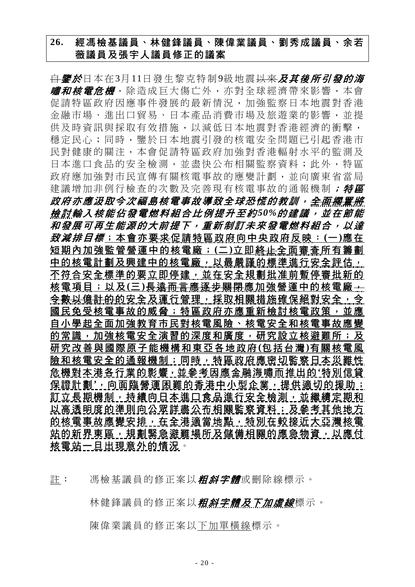# **26.** 經馮檢基議員、林健鋒議員、陳偉業議員、劉秀成議員、余若 薇議員及張宇人議員修正的議案

<del>自</del>**鑒於**日本在3月11日發生黎克特制9級地震<del>以來</del>及其後所引發的海 *嘯和核電危機*,除造成巨大傷亡外,亦對全球經濟帶來影響,本會 促請特區政府因應事件發展的最新情況,加強監察日本地震對香港 金融市場、進出口貿易、日本產品消費市場及旅遊業的影響,並提 供及時資訊與採取有效措施,以減低日本地震對香港經濟的衝擊, 穩定民心;同時,鑒於日本地震引發的核電安全問題已引起香港市 民對健康的關注,本會促請特區政府加強對香港輻射水平的監測及 日本進口食品的安全檢測,並盡快公布相關監察資料;此外,特區 政府應加強對市民宣傳有關核電事故的應變計劃,並向廣東省當局 建議增加非例行檢查的次數及完善現有核電事故的通報機制; 特區 *政府亦應汲取今次福島核電事故導致全球恐慌的教訓,<del>全面擱置將</del>* 檢 討輸入核能佔發電燃料組合比例提升至約 *50%*的建議,並在節能 和發展可再生能源的大前提下,重新制訂未來發電燃料組合,以達 致減排目標;本會亦要求促請特區政府向中央政府反映: **(**一 **)**應在 短期內加強監管營運中的核電廠; **(**二 **)**立即終止全面審查所有籌劃 中的核電計劃及興建中的核電廠,以最嚴謹的標準進行安全評估, 不符合安全標準的要立即停建,並在安全規劃批准前暫停審批新的 核電項目;以及 **(**三 **)**長遠而言應逐步關閉應加強營運中的核電廠, <del>令數以億計的</del>的安全及運行管理,採取相關措施確保絕對安全, 令 國民免受核電事故的威脅;特區政府亦應重新檢討核電政策,並應 自小學起全面加強教育市民對核電風險、核電安全和核電事故應變 的常識,加強核電安全演習的深度和廣度,研究設立核避難所;及 研究改善與國際原子能機構和東亞各地政府 **(**包括台灣 **)**有關核電風 險和核電安全的通報機制;同時,特區政府應密切監察日本災難性 危機對本港各行業的影響,並參考因應金融海嘯而推出的**'**特別信貸 保證計劃',向面臨營運困難的香港中小型企業,提供適切的援助; 訂立長期機制,持續向日本進口食品進行安全檢測,並繼續定期和 以高透明度的準則向公眾詳盡公布相關監察資料;及參考其他地方 的核電事故應變安排,在全港適當地點,特別在較接近大亞灣核電 站的新界東區,規劃緊急避難場所及儲備相關的應急物資,以應付 核電站一旦出現意外的情況。

許: 馮檢基議員的修正案以*粗斜字體*或刪除線標示。

林健鋒議員的修正案以**粗斜字體及下加虛線**標示。

陳偉業議員的修正案以下加單橫線標示。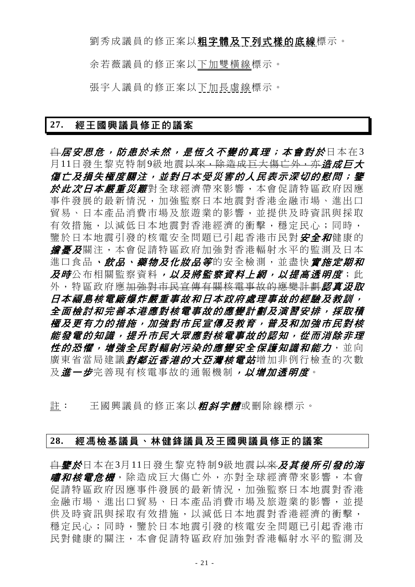劉秀成議員的修正案以粗字體及下列式樣的底線標示。

余若薇議員的修正案以下加雙橫線標示。

張宇人議員的修正案以下加長虛線標示。

#### **27.** 經王國興議員修正的議案

<del>自*居安思危,防患於未然,是恆久不變的真理;本會對於*日本在3</del> 月11日發生黎克特制9級地震<del>以來,除造成巨大傷亡外,亦*造成巨大*</del> 傷亡及損失極度關注,並對日本受災害的人民表示深切的慰問;鑒 於此次日本嚴重災難對全球經濟帶來影響,本會促請特區政府因應 事件發展的最新情況,加強監察日本地震對香港金融市場、進出口 貿易、日本產品消費市場及旅遊業的影響,並提供及時資訊與採取 有效措施,以減低日本地震對香港經濟的衝擊,穩定民心;同時, 鑒於日本地震引發的核電安全問題已引起香港市民對 安全和健康的 **詹憂及**關注,本會促請特區政府加強對香港輻射水平的監測及日本 進口食品、*飲品、藥物及化妝品等*的安全檢測,並盡快*實施定期和* 及時公布相關監察資料,以及將監察資料上網,以提高透明度;此 外,特區政府應<del>加強對市民宣傳有關核電事故的應變計劃*認直況取*</del> 日本福島核電廠爆炸嚴重事故和日本政府處理事故的經驗及教訓, 全面檢討和完善本港應對核電事故的應變計劃及演習安排,採取積 極及更有力的措施,加強對市民宣傳及教育,普及和加強市民對核 能發電的知識,提升市民大眾應對核電事故的認知,從而消除非理 **性的恐懼,增強全民對輻射污染的應變安全保護知識和能力,並向** 廣東省當局建議*對鄰近香港的大亞灣核電站*增加非例行檢查的次數 及進一步完善現有核電事故的通報機制, 以增加透明度。

註: 王國興議員的修正案以*粗斜字體*或刪除線標示。

#### **28.** 經馮檢基議員、林健鋒議員及王國興議員修正的議案

<del>自*鑒於*日本在3月11日發生黎克特制9級地震以來*及其後所引發的海*</del> *嘯和核電危機*,除造成巨大傷亡外,亦對全球經濟帶來影響,本會 促請特區政府因應事件發展的最新情況,加強監察日本地震對香港 金融市場、進出口貿易、日本產品消費市場及旅遊業的影響,並提 供及時資訊與採取有效措施,以減低日本地震對香港經濟的衝擊, 穩定民心;同時,鑒於日本地震引發的核電安全問題已引起香港市 民對健康的關注,本會促請特區政府加強對香港輻射水平的監測及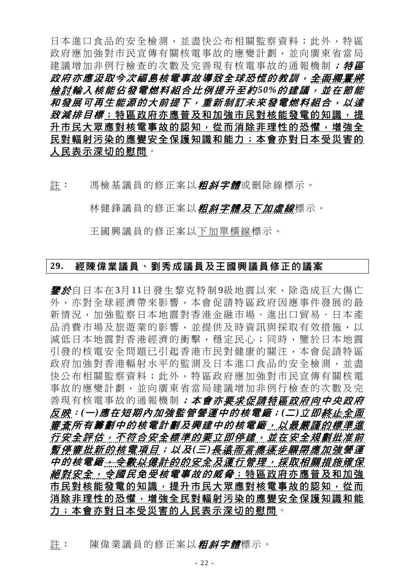日本進口食品的安全檢測,並盡快公布相關監察資料;此外,特區 政府應加強對市民宣傳有關核電事故的應變計劃,並向廣東省當局 建議增加非例行檢查的次數及完善現有核電事故的通報機制; 特區 *政府亦應汲取今次福島核電事故導致全球恐慌的教訓,<del>全面擱置將</del>* 檢 討輸入核能佔發電燃料組合比例提升至約 *50%*的建議,並在節能 和發展可再生能源的大前提下,重新制訂未來發電燃料組合,以達 *致減排目標*;特區政府亦應普及和加強市民對核能發電的知識,提 升市民大眾應對核電事故的認知,從而消除非理性的恐懼,增強全 民對輻射污染的應變安全保護知識和能力;本會亦對日本受災害的 人民表示深切的慰問。

註: 馮檢基議員的修正案以*粗斜字體*或刪除線標示。

林健鋒議員的修正案以*粗斜字體及下加虛線*標示。

王國興議員的修正案以下加單橫線標示。

### **29.** 經陳偉業議員、劉秀成議員及王國興議員修正的議案

*鑒於***自日本在3月11日發生黎克特制9級地震以來,除造成巨大傷亡** 外,亦對全球經濟帶來影響,本會促請特區政府因應事件發展的最 新情況,加強監察日本地震對香港金融市場、進出口貿易、日本產 品消費市場及旅遊業的影響,並提供及時資訊與採取有效措施,以 減低日本地震對香港經濟的衝擊,穩定民心;同時,鑒於日本地震 引發的核電安全問題已引起香港市民對健康的關注,本會促請特區 政府加強對香港輻射水平的監測及日本進口食品的安全檢測,並盡 快公布相關監察資料;此外,特區政府應加強對市民宣傳有關核電 事故的應變計劃,並向廣東省當局建議增加非例行檢查的次數及完 善現有核電事故的通報機制;本會亦要求促請特區政府向中央政府 反映:*(*一*)*應在短期內加強監管營運中的核電廠;*(*二*)*立即終止全面 審查所有籌劃中的核電計劃及興建中的核電廠,以最嚴謹的標準進 行安全評估,不符合安全標準的要立即停建, 並在安全規劃批准前 *暫停審批新的核電項目;以及(三)<del>長遠而言應逐步關閉</del>應加強營運* 中的核電廠<del>,令數以億計的</del>的安全及運行管理,採取相關措施確保 絕對安全,令國民免受核電事故的威脅;特區政府亦應普及和加強 市民對核能發電的知識,提升市民大眾應對核電事故的認知,從而 消除非理性的恐懼,增強全民對輻射污染的應變安全保護知識和能 力;本會亦對日本受災害的人民表示深切的慰問。

註: 陳偉業議員的修正案以*粗斜字體*標示。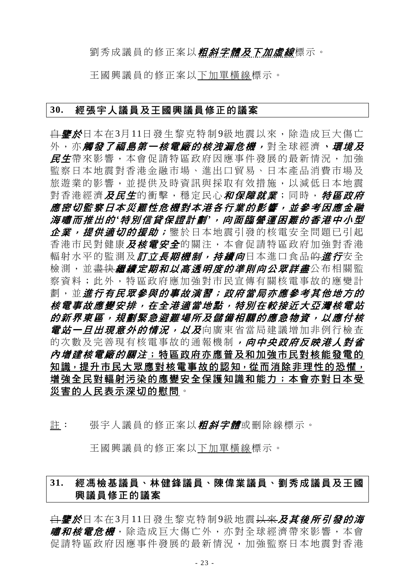#### 劉秀成議員的修正案以*粗斜字體及下加虛線*標示。

王國興議員的修正案以下加單橫線標示。

#### **30.** 經張宇人議員及王國興議員修正的議案

<del>自**鑒於**日本在3月11日發生黎克特制9級地震以來,除造成巨大傷亡</del> 外,亦**觸發了福島第一核電廠的核洩漏危機,**對全球經濟、**環境及** 民生帶來影響,本會促請特區政府因應事件發展的最新情況,加強 監察日本地震對香港金融市場、進出口貿易、日本產品消費市場及 旅遊業的影響,並提供及時資訊與採取有效措施,以減低日本地震 對香港經濟*及民生*的衝擊,穩定民心*和保障就業*;同時, *特區政府* 應密切監察日本災難性危機對本港各行業的影響,並參考因應金融 海嘯而推出的 *'*特別信貸保證計劃 *'*,向面臨營運困難的香港中小型 企業, 提供適切的援助; 鑒於日本地震引發的核電安全問題已引起 香港市民對健康*及核電安全*的關注,本會促請特區政府加強對香港 輻射水平的監測及*訂立長期機制,持續向*日本淮口食品<del>的</del>*淮行*安全 檢測,並<del>盡快*繼續定期和以高透明度的準則向公眾詳盡***公布相關**監</del> 察資料;此外,特區政府應加強對市民宣傳有關核電事故的應變計 劃, 並*進行有民眾參與的事故演習; 政府當局亦應參考其他地方的* 核電事故應變安排,在全港適當地點,特別在較接近大亞灣核電站 的新界東區,規劃緊急避難場所及儲備相關的應急物資,以應付核 *電站一日出現意外的情況,以及*向廣東省當局建議增加非例行檢查 的次數及完善現有核電事故的通報機制, 向中央政府反映港人對省 內增建核電廠的關注;特區政府亦應普及和加強市民對核能發電的 知識,提升市民大眾應對核電事故的認知,從而消除非理性的恐懼, 增強全民對輻射污染的應變安全保護知識和能力;本會亦對日本受 災害的人民表示深切的慰問。

註: 張宇人議員的修正案以*粗斜字體*或刪除線標示。

王國興議員的修正案以下加單橫線標示。

# **31.** 經馮檢基議員、林健鋒議員、陳偉業議員、劉秀成議員及王國 興議員修正的議案

<del>自</del>*鑒於*日本在3月11日發生黎克特制9級地震<del>以來</del>及其後所引發的海 *嘯和核雷危機*, 除浩成巨大傷亡外, 亦對全球經濟帶來影響, 本會 促請特區政府因應事件發展的最新情況,加強監察日本地震對香港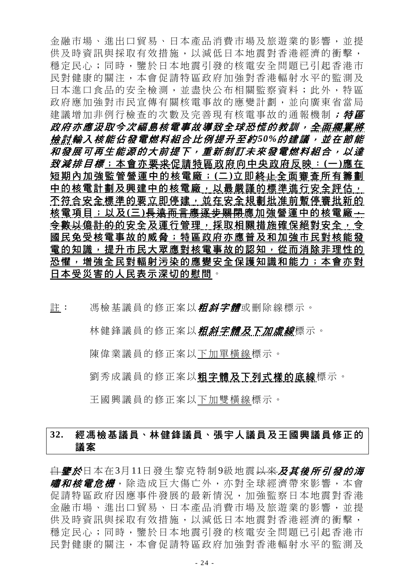金融市場、進出口貿易、日本產品消費市場及旅遊業的影響,並提 供及時資訊與採取有效措施,以減低日本地震對香港經濟的衝擊, 穩定民心;同時,鑒於日本地震引發的核電安全問題已引起香港市 民對健康的關注,本會促請特區政府加強對香港輻射水平的監測及 日本進口食品的安全檢測,並盡快公布相關監察資料;此外,特區 政府應加強對市民宣傳有關核電事故的應變計劃,並向廣東省當局 建議增加非例行檢查的次數及完善現有核電事故的通報機制; 特區 *政府亦應汲取今次福島核電事故導致全球恐慌的教訓,<del>全面擱置將</del>* 檢 討輸入核能佔發電燃料組合比例提升至約 *50%*的建議,並在節能 和發展可再生能源的大前提下,重新制訂未來發電燃料組合,以達 致減排目標;本會亦要求促請特區政府向中央政府反映: **(**一 **)**應在 短期內加強監管營運中的核電廠; **(**二 **)**立即終止全面審查所有籌劃 中的核電計劃及興建中的核電廠,以最嚴謹的標準進行安全評估, 不符合安全標準的要立即停建,並在安全規劃批准前暫停審批新的 核電項目;以及 (三) <del>長遠而言應逐步關閉</del>應加強營運中的核電廠 -令數以億計的的安全及運行管理,採取相關措施確保絕對安全,令 國民免受核電事故的威脅;特區政府亦應普及和加強市民對核能發 電的知識,提升市民大眾應對核電事故的認知,從而消除非理性的 恐懼,增強全民對輻射污染的應變安全保護知識和能力;本會亦對 日本受災害的人民表示深切的慰問。

註: 馮檢基議員的修正案以**粗斜字體**或刪除線標示。

林健鋒議員的修正案以*粗斜字體及下加虛線*標示。

陳偉業議員的修正案以下加單橫線標示。

劉秀成議員的修正案以粗字體及下列式樣的底線標示。

王國興議員的修正案以下加雙橫線標示。

# **32.** 經馮檢基議員、林健鋒議員、張宇人議員及王國興議員修正的 議案

自鑒於日本在3月11日發生黎克特制9級地震以來及其後所引發的海 *嘯和核電危機*,除造成巨大傷亡外,亦對全球經濟帶來影響,本會 促請特區政府因應事件發展的最新情況,加強監察日本地震對香港 金融市場、進出口貿易、日本產品消費市場及旅遊業的影響,並提 供及時資訊與採取有效措施,以減低日本地震對香港經濟的衝擊, 穩定民心;同時,鑒於日本地震引發的核電安全問題已引起香港市 民對健康的關注,本會促請特區政府加強對香港輻射水平的監測及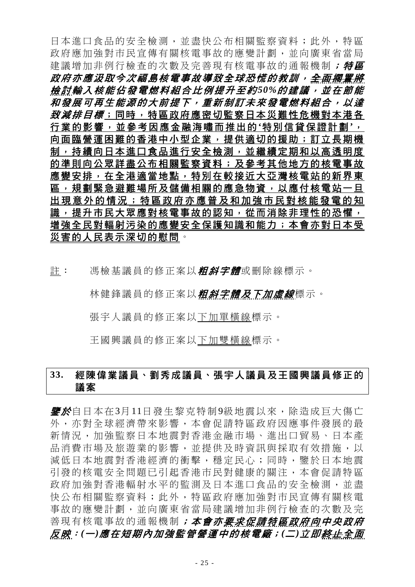日本進口食品的安全檢測,並盡快公布相關監察資料;此外,特區 政府應加強對市民宣傳有關核電事故的應變計劃,並向廣東省當局 建議增加非例行檢查的次數及完善現有核電事故的通報機制; 特區 政府亦應汲取今次福島核電事故導致全球恐慌的教訓,全面擱置將 檢 討輸入核能佔發電燃料組合比例提升至約 *50%*的建議,並在節能 和發展可再生能源的大前提下,重新制訂未來發電燃料組合,以達 *致減排目標*;同時,特區政府應密切監察日本災難性危機對本港各 行業的影響,並參考因應金融海嘯而推出的 **'**特別信貸保證計劃 **'**, 向面臨營運困難的香港中小型企業,提供適切的援助;訂立長期機 制,持續向日本進口食品進行安全檢測,並繼續定期和以高透明度 的準則向公眾詳盡公布相關監察資料;及參考其他地方的核電事故 應變安排,在全港適當地點,特別在較接近大亞灣核電站的新界東 區,規劃緊急避難場所及儲備相關的應急物資,以應付核電站一旦 出現意外的情況 ;特區政府亦應普及和加強市民對核能發電的知 識,提升市民大眾應對核電事故的認知,從而消除非理性的恐懼, 增強全民對輻射污染的應變安全保護知識和能力;本會亦對日本受 災害的人民表示深切的慰問。

註: 馮檢基議員的修正案以*粗斜字體*或刪除線標示。

林健鋒議員的修正案以*粗斜字體及下加虛線*標示。

張宇人議員的修正案以下加單橫線標示。

王國興議員的修正案以下加雙橫線標示。

# **33.** 經陳偉業議員、劉秀成議員、張宇人議員及王國興議員修正的 議案

*鑒於***自日本在3月11日發生黎克特制9級地震以來,除造成巨大傷亡** 外,亦對全球經濟帶來影響,本會促請特區政府因應事件發展的最 新情況,加強監察日本地震對香港金融市場、進出口貿易、日本產 品消費市場及旅游業的影響,並提供及時資訊與採取有效措施,以 減低日本地震對香港經濟的衝擊,穩定民心;同時,鑒於日本地震 引發的核電安全問題已引起香港市民對健康的關注,本會促請特區 政府加強對香港輻射水平的監測及日本進口食品的安全檢測,並盡 快公布相關監察資料;此外,特區政府應加強對市民宣傳有關核電 事故的應變計劃,並向廣東省當局建議增加非例行檢查的次數及完 善現有核電事故的通報機制;本會亦要求促請特區政府向中央政府 反映:*(*一*)*應在短期內加強監管營運中的核電廠;*(*二*)*立即終止全面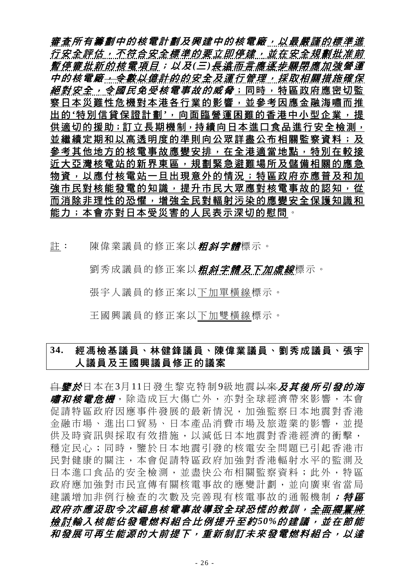審查所有籌劃中的核電計劃及興建中的核電廠,以最嚴謹的標準進 ---------<br>行安全評估,不符合安全標準的要立即停建,並在安全規劃批准前 暫停審批新的核電項目;以及 *(*三 *)*長遠而言應逐步關閉應加強營 運 中的核電廠,令數以億計的的安全及運行管理,採取相關措施確保 *絕對安全,今國民免受核電事故的威脅*;同時,特區政府應密切監 察日本災難性危機對本港各行業的影響,並參考因應金融海嘯而推 出的 **'**特別信貸保證計劃 **'**,向面臨營運困難的香港中小型企業,提 供適切的援助;訂立長期機制,持續向日本進口食品進行安全檢測, 並繼續定期和以高透明度的準則向公眾詳盡公布相關監察資料;及 參考其他地方的核電事故應變安排,在全港適當地點,特別在較接 近大亞灣核電站的新界東區,規劃緊急避難場所及儲備相關的應急 物資,以應付核電站一旦出現意外的情況;特區政府亦應普及和加 強市民對核能發電的知識,提升市民大眾應對核電事故的認知,從 而消除非理性的恐懼,增強全民對輻射污染的應變安全保護知識和 能力;本會亦對日本受災害的人民表示深切的慰問。

註: 陳偉業議員的修正案以*粗斜字體*標示。

劉秀成議員的修正案以*粗斜字體及下加虛線*標示。

張宇人議員的修正案以下加單橫線標示。

王國興議員的修正案以下加雙橫線標示。

# **34.** 經馮檢基議員、林健鋒議員、陳偉業議員、劉秀成議員、張宇 人議員及王國興議員修正的議案

自鑒於日本在3月11日發生黎克特制9級地震以來及其後所引發的海 *嘯和核電危機*, 除造成巨大傷亡外, 亦對全球經濟帶來影響, 本會 促請特區政府因應事件發展的最新情況,加強監察日本地震對香港 金融市場、進出口貿易、日本產品消費市場及旅遊業的影響,並提 供及時資訊與採取有效措施,以減低日本地震對香港經濟的衝擊, 穩定民心;同時,鑒於日本地震引發的核電安全問題已引起香港市 民對健康的關注,本會促請特區政府加強對香港輻射水平的監測及 日本進口食品的安全檢測,並盡快公布相關監察資料;此外,特區 政府應加強對市民宣傳有關核電事故的應變計劃,並向廣東省當局 建議增加非例行檢查的次數及完善現有核電事故的通報機制; 特區 政府亦應汲取今次福島核電事故導致全球恐慌的教訓,全面擱置將 檢 討輸入核能佔發電燃料組合比例提升至約 *50%*的建議,並在節能 和發展可再生能源的大前提下,重新制訂未來發電燃料組合,以達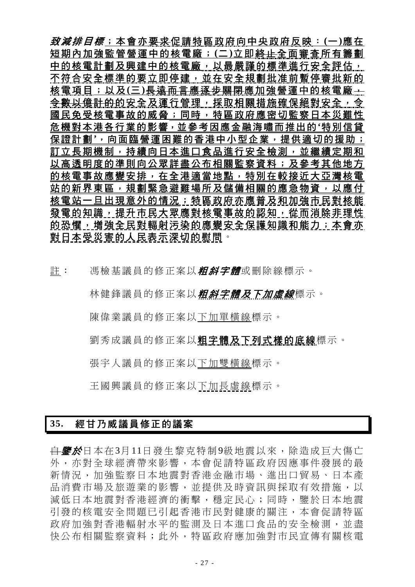致減排目標;本會亦要求促請特區政府向中央政府反映: **(**一 **)**應在 短期內加強監管營運中的核電廠; **(**二 **)**立即終止全面審查所有籌劃 中的核電計劃及興建中的核電廠,以最嚴謹的標準進行安全評估, 不符合安全標準的要立即停建,並在安全規劃批准前暫停審批新的 核電項目;以及(三)長遠而言應逐步關閉應加強營運中的核電廠 ; 会 數以億計的的安全及運行管理,採取相關措施確保絕對安全, 令 國民免受核電事故的威脅;同時,特區政府應密切監察日本災難性 危機對本港各行業的影響,並參考因應金融海嘯而推出的**'**特別信貸 保證計劃,,向面臨營運困難的香港中小型企業,提供適切的援助; 訂立長期機制,持續向日本進口食品進行安全檢測,並繼續定期和 以高透明度的準則向公眾詳盡公布相關監察資料;及參考其他地方 的核電事故應變安排,在全港適當地點,特別在較接近大亞灣核電 站的新界東區,規劃緊急避難場所及儲備相關的應急物資,以應付 核電站一旦出現意外的情況;特區政府亦應普及和加強市民對核能 發電的知識,提升市民大眾應對核電事故的認知,從而消除非理性 的恐懼,增強全民對輻射污染的應變安全保護知識和能力;本會亦 對日本受災害的人民表示深切的慰問。

註: 馮檢基議員的修正案以*粗斜字體*或刪除線標示。

林健鋒議員的修正案以*粗斜字體及下加虛線*標示。

陳偉業議員的修正案以下加單橫線標示。

劉秀成議員的修正案以粗字體及下列式樣的底線標示。

張宇人議員的修正案以下加雙橫線標示。

王國興議員的修正案以下加長虛線標示。

# **35.** 經甘乃威議員修正的議案

<del>自**鑒於**日本在3月11日發生黎克特制9級地震以來,除造成巨大傷亡</del> 外,亦對全球經濟帶來影響,本會促請特區政府因應事件發展的最 新情況,加強監察日本地震對香港金融市場、進出口貿易、日本產 品消費市場及旅遊業的影響,並提供及時資訊與採取有效措施,以 減低日本地震對香港經濟的衝擊,穩定民心;同時,鑒於日本地震 引發的核電安全問題已引起香港市民對健康的關注,本會促請特區 政府加強對香港輻射水平的監測及日本淮口食品的安全檢測,並盡 快公布相關監察資料;此外,特區政府應加強對市民宣傳有關核電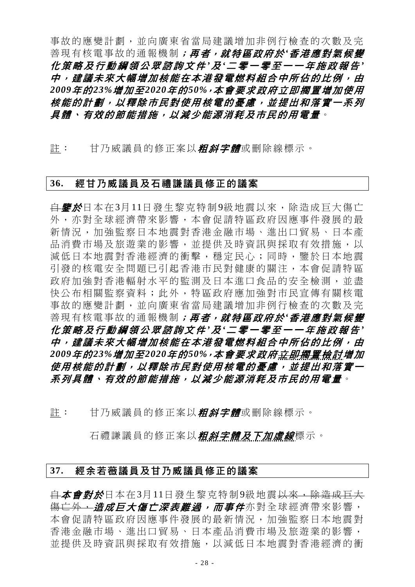事故的應變計劃,並向廣東省當局建議增加非例行檢查的次數及完 善現有核電事故的通報機制;再者,就特區政府於*'*香港應對氣候變 化策略及行動綱領公眾諮詢文件 *'*及 *'*二零一零至一一年施政報告 *'* 中,建議未來大幅增加核能在本港發電燃料組合中所佔的比例,由 *2009*年的*23%*增加至*2020*年的*50%*,本會要求政府立即擱置增加使用 核能的計劃,以釋除市民對使用核電的憂慮,並提出和落實一系列 具體、有效的節能措施,以減少能源消耗及市民的用電量。

註: 甘乃威議員的修正案以*粗斜字體*或刪除線標示。

#### **36.** 經甘乃威議員及石禮謙議員修正的議案

自鑒於日本在3月11日發生黎克特制9級地震以來,除造成巨大傷亡 外,亦對全球經濟帶來影響,本會促請特區政府因應事件發展的最 新情況,加強監察日本地震對香港金融市場、進出口貿易、日本產 品消費市場及旅游業的影響,並提供及時資訊與採取有效措施,以 減低日本地震對香港經濟的衝擊,穩定民心;同時,鑒於日本地震 引發的核電安全問題已引起香港市民對健康的關注,本會促請特區 政府加強對香港輻射水平的監測及日本淮口食品的安全檢測,並盡 快公布相關監察資料;此外,特區政府應加強對市民宣傳有關核電 事故的應變計劃,並向廣東省當局建議增加非例行檢查的次數及完 善現有核電事故的通報機制;再者,就特區政府於*'*香港應對氣候變 化策略及行動綱領公眾諮詢文件 *'*及 *'*二零一零至一一年施政報告 *'* 中,建議未來大幅增加核能在本港發電燃料組合中所佔的比例,由 *2009*年的*23%*增加至*2020*年的*50%*,本會要求政府立即擱置檢討增加 使用核能的計劃,以釋除市民對使用核電的憂慮,並提出和落實一 系列具體、有效的節能措施,以減少能源消耗及市民的用電量。

註: 甘乃威議員的修正案以*粗斜字體*或刪除線標示。

石禮謙議員的修正案以*粗斜字體及下加虛線*標示。

#### **37.** 經余若薇議員及甘乃威議員修正的議案

白本會對於日本在3月11日發生黎克特制9級地震以來,除造成巨大 <del>傷亡外,*造成巨大傷亡深表難過,而事件***亦對全球經濟帶來影響,**</del> 本會促請特區政府因應事件發展的最新情況,加強監察日本地震對 香港金融市場、進出口貿易、日本產品消費市場及旅遊業的影響, 並提供及時資訊與採取有效措施,以減低日本地震對香港經濟的衝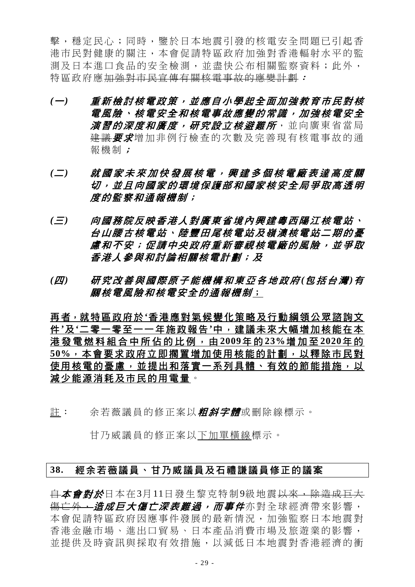擊,穩定民心;同時,鑒於日本地震引發的核電安全問題已引起香 港市民對健康的關注,本會促請特區政府加強對香港輻射水平的監 測及日本進口食品的安全檢測,並盡快公布相關監察資料;此外, 特區政府應加強對市民宣傳有關核電事故的應變計劃:

- *(*一*)* 重新檢討核電政策,並應自小學起全面加強教育市民對核 電風險、核電安全和核電事故應變的常識,加強核電安全 *演習的深度和廣度,研究設立核避難所***,並向廣東省當局** 建議要求增加非例行檢查的次數及完善現有核電事故的通 報機制;
- *(*二*)* 就國家未來加快發展核電,興建多個核電廠表達高度關 切,並且向國家的環境保護部和國家核安全局爭取高透明 度的監察和通報機制;
- *(*三*)* 向國務院反映香港人對廣東省境內興建粵西陽江核電站、 台山腰古核電站、陸豐田尾核電站及嶺澳核電站二期的憂 慮和不安;促請中央政府重新審視核電廠的風險,並爭取 香港人參與和討論相關核電計劃;及
- *(*四*)* 研究改善與國際原子能機構和東亞各地政府 *(*包括台灣 *)*有 關核電風險和核電安全的通報機制;

再者,就特區政府於**'**香港應對氣候變化策略及行動綱領公眾諮詢文 件**'**及**'**二零一零至一一年施政報告**'**中,建議未來大幅增加核能在本 港發電燃料組合中所佔的比例,由 **2009**年 的 **23%**增加至 **2020**年 的 **50%**,本會要求政府立即擱置增加使用核能的計劃,以釋除市民對 使用核電的憂慮,並提出和落實一系列具體、有效的節能措施,以 減少能源消耗及市民的用電量。

註: 余若薇議員的修正案以*粗斜字體*或刪除線標示。

甘乃威議員的修正案以下加單橫線標示。

### **38.** 經余若薇議員、甘乃威議員及石禮謙議員修正的議案

白本會對於日本在3月11日發生黎克特制9級地震以來,除造成巨大 <del>傷亡外,*浩成巨大傷亡深表難渦,而事件***亦對全球經濟帶來影響,**</del> 本會促請特區政府因應事件發展的最新情況,加強監察日本地震對 香港金融市場、進出口貿易、日本產品消費市場及旅遊業的影響, 並提供及時資訊與採取有效措施,以減低日本地震對香港經濟的衝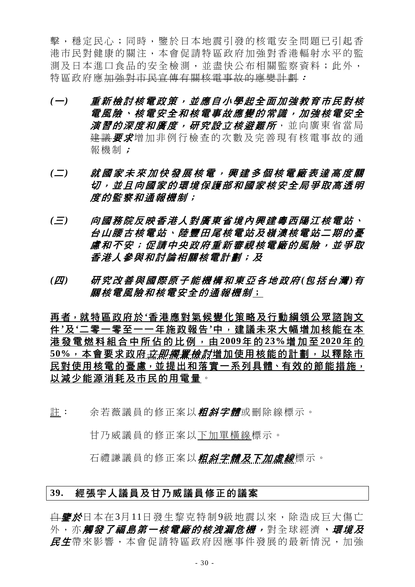擊,穩定民心;同時,鑒於日本地震引發的核電安全問題已引起香 港市民對健康的關注,本會促請特區政府加強對香港輻射水平的監 測及日本進口食品的安全檢測,並盡快公布相關監察資料;此外, 特區政府應加強對市民宣傳有關核電事故的應變計劃:

- *(*一*)* 重新檢討核電政策,並應自小學起全面加強教育市民對核 電風險、核電安全和核電事故應變的常識,加強核電安全 *演習的深度和廣度,研究設立核避難所***,並向廣東省當局** 建議要求增加非例行檢查的次數及完善現有核電事故的通 報機制;
- *(*二*)* 就國家未來加快發展核電,興建多個核電廠表達高度關 切,並且向國家的環境保護部和國家核安全局爭取高透明 度的監察和通報機制;
- *(*三*)* 向國務院反映香港人對廣東省境內興建粵西陽江核電站、 台山腰古核電站、陸豐田尾核電站及嶺澳核電站二期的憂 慮和不安;促請中央政府重新審視核電廠的風險,並爭取 香港人參與和討論相關核電計劃;及
- *(*四*)* 研究改善與國際原子能機構和東亞各地政府 *(*包括台灣 *)*有 關核電風險和核電安全的通報機制;

再者,就特區政府於**'**香港應對氣候變化策略及行動綱領公眾諮詢文 件**'**及**'**二零一零至一一年施政報告**'**中,建議未來大幅增加核能在本 港發電燃料組合中所佔的比例,由 **2009**年 的 **23%**增加至 **2020**年 的 50%,本會要求政府*立即擱置檢討*增加使用核能的計劃,以釋除市 民對使用核電的憂慮,並提出和落實一系列具體、有效的節能措施, 以減少能源消耗及市民的用電量。

註: 余若薇議員的修正案以*粗斜字體*或刪除線標示。

甘乃威議員的修正案以下加單橫線標示。

石禮謙議員的修正案以*粗斜字體及下加虛線***標示**。

#### **39.** 經張宇人議員及甘乃威議員修正的議案

<del>自**鑒於**日本在3月11日發生黎克特制9級地震以來,除造成巨大傷亡</del> 外,亦*觸發了福島第一核電廠的核洩漏危機,***對全球經濟,***環境及* 民生帶來影響,本會促請特區政府因應事件發展的最新情況,加強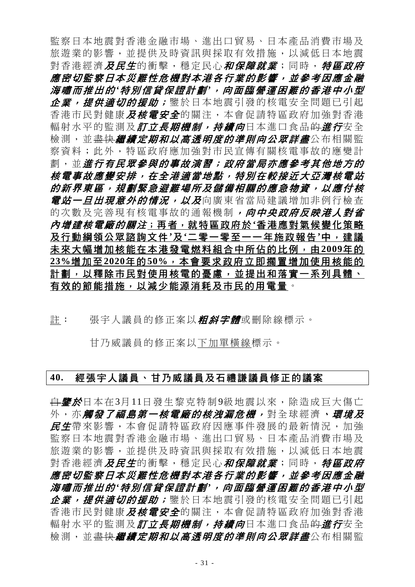監察日本地震對香港金融市場、進出口貿易、日本產品消費市場及 旅遊業的影響,並提供及時資訊與採取有效措施,以減低日本地震 對香港經濟*及民生*的衝擊,穩定民心*和保障就業*;同時, *特區政府* 應密切監察日本災難性危機對本港各行業的影響,並參考因應金融 海嘯而推出的 *'*特別信貸保證計劃 *'*,向面臨營運困難的香港中小型 企業,提供適切的援助; 鑒於日本地震引發的核電安全問題已引起 香港市民對健康*及核電安全*的關注,本會促請特區政府加強對香港 輻射水平的監測及*訂立長期機制,持續向*日本淮口食品的*淮行*安全 檢測,並<del>盡快*繼續定期和以高透明度的準則向公眾詳盡***公布相關**監</del> 察資料;此外,特區政府應加強對市民宣傳有關核電事故的應變計 劃, 並*進行有民眾參與的事故演習; 政府當局亦應參考其他地方的* 核電事故應變安排,在全港適當地點,特別在較接近大亞灣核電站 的新界東區,規劃緊急避難場所及儲備相關的應急物資,以應付核 *電站一旦出現意外的情況,以及*向廣東省當局建議增加非例行檢查 的次數及完善現有核電事故的通報機制,向中央政府反映港人對省 內增建核電廠的關注;再者,就特區政府於**'**香港應對氣候變化策略 及行動綱領公眾諮詢文件**'**及**'**二零一零至一一年施政報告**'**中,建議 未來大幅增加核能在本港發電燃料組合中所佔的比例,由**2009**年的 **23%**增加至**2020**年的**50%**,本會要求政府立即擱置增加使用核能的 計劃,以釋除市民對使用核電的憂慮,並提出和落實一系列具體、 有效的節能措施,以減少能源消耗及市民的用電量。

#### 註: 張宇人議員的修正案以*粗斜字體*或刪除線標示。

甘乃威議員的修正案以下加單橫線標示。

#### **40.** 經張宇人議員、甘乃威議員及石禮謙議員修正的議案

<del>自**鑒於**日本在3月11日發生黎克特制9級地震以來,除造成巨大傷亡</del> 外,亦*觸發了福島第一核電廠的核洩漏危機,***對全球經濟、***環境及* 民生帶來影響,本會促請特區政府因應事件發展的最新情況,加強 監察日本地震對香港金融市場、進出口貿易、日本產品消費市場及 旅遊業的影響,並提供及時資訊與採取有效措施,以減低日本地震 對香港經濟*及民生*的衝擊,穩定民心*和保障就業*;同時, *特區政府* 應密切監察日本災難性危機對本港各行業的影響,並參考因應金融 海嘯而推出的 *'*特別信貸保證計劃 *'*,向面臨營運困難的香港中小型 企業,提供適切的援助;鑒於日本地震引發的核電安全問題已引起 香港市民對健康*及核電安全*的關注,本會促請特區政府加強對香港 輻射水平的監測及*訂立長期機制,持續向*日本進口食品<del>的*進行*安全</del> 檢測,並<del>盡快*繼續定期和以高透明度的準則向公眾詳盡***公布相關**監</del>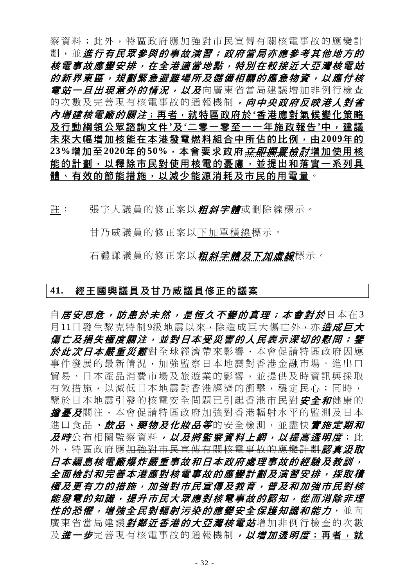察資料;此外,特區政府應加強對市民宣傳有關核電事故的應變計 劃,並進行有民眾參與的事故演習;政府當局亦應參考其他地方的 核電事故應變安排,在全港適當地點,特別在較接近大亞灣核電站 的新界東區,規劃緊急避難場所及儲備相關的應急物資,以應付核 *電站一旦出現意外的情況,以及*向廣東省當局建議增加非例行檢查 的次數及完善現有核電事故的通報機制, 向中央政府反映港人對省 內增建核電廠的關注;再者,就特區政府於**'**香港應對氣候變化策略 及行動綱領公眾諮詢文件**'**及**'**二零一零至一一年施政報告**'**中,建議 未來大幅增加核能在本港發電燃料組合中所佔的比例,由**2009**年的 **23%**增加至**2020**年的**50%**,本會要求政府立即擱置檢討增加使用核 能的計劃,以釋除市民對使用核電的憂慮,並提出和落實一系列具 體、有效的節能措施,以減少能源消耗及市民的用電量。

註: 張宇人議員的修正案以*粗斜字體*或刪除線標示。

甘乃威議員的修正案以下加單橫線標示。

石禮謙議員的修正案以**粗斜字體及下加虛線**標示。

#### **41.** 經王國興議員及甘乃威議員修正的議案

<del>自*居安思危,防患於未然,是恆久不變的真理;本會對於*日本在3</del> 月11日發生黎克特制9級地震<del>以來,除造成巨大傷亡外,亦*道成巨大*</del> 傷亡及損失極度關注,並對日本受災害的人民表示深切的慰問;鑒 於此次日本嚴重災難對全球經濟帶來影響,本會促請特區政府因應 事件發展的最新情況,加強監察日本地震對香港金融市場、進出口 貿易、日本產品消費市場及旅遊業的影響,並提供及時資訊與採取 有效措施,以減低日本地震對香港經濟的衝擊,穩定民心;同時, 鑒於日本地震引發的核電安全問題已引起香港市民對 安全*和*健康的 **詹憂及**關注,本會促請特區政府加強對香港輻射水平的監測及日本 進口食品、飲品、藥物及化妝品等的安全檢測,並盡快會施定期和 及時公布相關監察資料*,以及將監察資料上網,以提高透明度*;此 外,特區政府應加強對市民宣傳有關核電事故的應變計劃認真況取 日本福島核電廠爆炸嚴重事故和日本政府處理事故的經驗及教訓, 全面檢討和完善本港應對核電事故的應變計劃及演習安排,採取積 極及更有力的措施,加強對市民宣傳及教育,普及和加強市民對核 能發電的知識,提升市民大眾應對核電事故的認知,從而消除非理 **性的恐懼,增強全民對輻射污染的應變安全保護知識和能力,並向** 廣東省當局建議*對鄰近香港的大亞灣核電站*增加非例行檢查的次數 及進一步完善現有核電事故的通報機制, 以增加透明度;再者, 就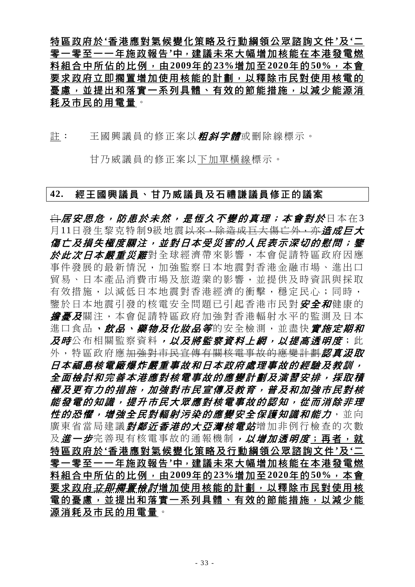特區政府於**'**香港應對氣候變化策略及行動綱領公眾諮詢文件**'**及**'**二 零一零至一一年施政報告**'**中,建議未來大幅增加核能在本港發電燃 料組合中所佔的比例,由**2009**年的**23%**增加至**2020**年的**50%**,本會 要求政府立即擱置增加使用核能的計劃,以釋除市民對使用核電的 憂慮,並提出和落實一系列具體、有效的節能措施,以減少能源消 耗及市民的用電量。

註: 王國興議員的修正案以*粗斜字體*或刪除線標示。

甘乃威議員的修正案以下加單橫線標示。

#### **42.** 經王國興議員、甘乃威議員及石禮謙議員修正的議案

<del>自 居安思危,防患於未然,是 *居 何久不變的直理;本會對於*日本在3</del> 月11日發生黎克特制9級地震<del>以來,除造成巨大傷亡外,亦*造成巨大*</del> 傷亡及損失極度關注,並對日本受災害的人民表示深切的慰問;鑒 於此次日本嚴重災難對全球經濟帶來影響,本會促請特區政府因應 事件發展的最新情況,加強監察日本地震對香港金融市場、進出口 貿易、日本產品消費市場及旅遊業的影響,並提供及時資訊與採取 有效措施,以減低日本地震對香港經濟的衝擊,穩定民心;同時, 鑒於日本地震引發的核電安全問題已引起香港市民對安全和健康的 **擔憂及**關注,本會促請特區政府加強對香港輻射水平的監測及日本 進口食品、飲品、藥物及化妝品等的安全檢測,並盡快會施定期和 及時公布相關監察資料,以及將監察資料上網,以提高透明度;此 外,特區政府應加強對市民宣傳有關核電事故的應變計劃認真況取 日本福島核電廠爆炸嚴重事故和日本政府處理事故的經驗及教訓, 全面檢討和完善本港應對核電事故的應變計劃及演習安排,採取積 極及更有力的措施,加強對市民宣傳及教育,普及和加強市民對核 能發電的知識,提升市民大眾應對核電事故的認知,從而消除非理 **性的恐懼,增強全民對輻射污染的應變安全保護知識和能力,並向** 廣東省當局建議*對鄰近香港的大亞灣核電站*增加非例行檢查的次數 及進一步完善現有核電事故的通報機制,以增加透明度;再者,就 特區政府於**'**香港應對氣候變化策略及行動綱領公眾諮詢文件**'**及**'**二 零一零至一一年施政報告**'**中,建議未來大幅增加核能在本港發電燃 料組合中所佔的比例,由**2009**年的**23%**增加至**2020**年的**50%**,本會 要求政府*<del>立即擱置檢</del>討*增加使用核能的計劃,以釋除市民對使用核 電的憂慮,並提出和落實一系列具體、有效的節能措施,以減少能 源消耗及市民的用電量。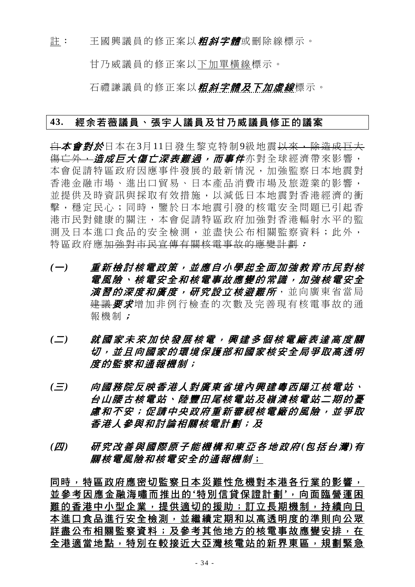註: 王國興議員的修正案以*粗斜字體*或刪除線標示。

甘乃威議員的修正案以下加單橫線標示。

石禮謙議員的修正案以**粗斜字體及下加虛線**標示。

#### **43.** 經余若薇議員、張宇人議員及甘乃威議員修正的議案

白本會對於日本在3月11日發生黎克特制9級地震以來,除造成巨大 <del>傷亡外,*造成巨大傷亡深表難過,而事件***亦對全球經濟帶來影響**,</del> 本會促請特區政府因應事件發展的最新情況,加強監察日本地震對 香港金融市場、進出口貿易、日本產品消費市場及旅遊業的影響, 並提供及時資訊與採取有效措施,以減低日本地震對香港經濟的衝 擊,穩定民心;同時,鑒於日本地震引發的核電安全問題已引起香 港市民對健康的關注,本會促請特區政府加強對香港輻射水平的監 測及日本進口食品的安全檢測,並盡快公布相關監察資料;此外, 特區政府應加強對市民宣傳有關核電事故的應變計劃:

- *(*一*)* 重新檢討核電政策,並應自小學起全面加強教育市民對核 電風險、核電安全和核電事故應變的常識,加強核電安全 *演習的深度和廣度,研究設立核避難所***,並向廣東省當局** 建議要求增加非例行檢查的次數及完善現有核電事故的通 報機制;
- *(*二*)* 就國家未來加快發展核電,興建多個核電廠表達高度關 切,並且向國家的環境保護部和國家核安全局爭取高透明 度的監察和通報機制;
- *(*三*)* 向國務院反映香港人對廣東省境內興建粵西陽江核電站、 台山腰古核電站、陸豐田尾核電站及嶺澳核電站二期的憂 慮和不安;促請中央政府重新審視核電廠的風險,並爭取 香港人參與和討論相關核電計劃;及
- *(*四*)* 研究改善與國際原子能機構和東亞各地政府 *(*包括台灣 *)*有 關核電風險和核電安全的通報機制;

同時,特區政府應密切監察日本災難性危機對本港各行業的影響, 並參考因應金融海嘯而推出的 **'**特別信貸保證計劃 **'**,向面臨營運困 難的香港中小型企業,提供適切的援助;訂立長期機制,持續向日 本進口食品進行安全檢測,並繼續定期和以高透明度的準則向公眾 詳盡公布相關監察資料;及參考其他地方的核電事故應變安排,在 全港適當地點,特別在較接近大亞灣核電站的新界東區,規劃緊急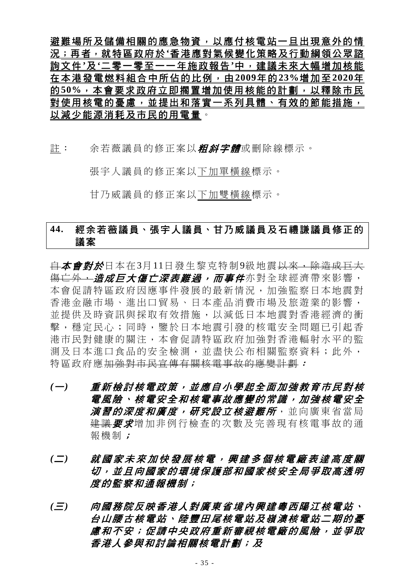避難場所及儲備相關的應急物資,以應付核電站一旦出現意外的情 況;再者,就特區政府於**'**香港應對氣候變化策略及行動綱領公眾諮 詢文件**'**及**'**二零一零至一一年施政報告**'**中,建議未來大幅增加核能 在本港發電燃料組合中所佔的比例,由**2009**年的**23%**增加至**2020**年 的**50%**,本會要求政府立即擱置增加使用核能的計劃,以釋除市民 對使用核電的憂慮,並提出和落實一系列具體、有效的節能措施, 以減少能源消耗及市民的用電量。

註: 余若薇議員的修正案以*粗斜字體*或刪除線標示。

張宇人議員的修正案以下加單橫線標示。

甘乃威議員的修正案以下加雙橫線標示。

### **44.** 經余若薇議員、張宇人議員、甘乃威議員及石禮謙議員修正的 議案

白本會對於日本在3月11日發生黎克特制9級地震以來,除造成巨大 <del>傷亡外,*造成巨大傷亡深表難過,而事件***亦對全球經濟帶來影響,**</del> 本會促請特區政府因應事件發展的最新情況,加強監察日本地震對 香港金融市場、進出口貿易、日本產品消費市場及旅遊業的影響, 並提供及時資訊與採取有效措施,以減低日本地震對香港經濟的衝 擊,穩定民心;同時,鑒於日本地震引發的核電安全問題已引起香 港市民對健康的關注,本會促請特區政府加強對香港輻射水平的監 測及日本進口食品的安全檢測,並盡快公布相關監察資料;此外, 特區政府應加強對市民宣傳有關核電事故的應變計劃:

- *(*一*)* 重新檢討核電政策,並應自小學起全面加強教育市民對核 電風險、核電安全和核電事故應變的常識,加強核電安全 **演習的深度和廣度,研究設立核避難所**,並向廣東省當局 建議 要求增加非例行檢查的次數及完善現有核電事故的通 報機制;
- *(*二*)* 就國家未來加快發展核電,興建多個核電廠表達高度關 切,並且向國家的環境保護部和國家核安全局爭取高透明 度的監察和通報機制;
- *(*三*)* 向國務院反映香港人對廣東省境內興建粵西陽江核電站、 台山腰古核電站、陸豐田尾核電站及嶺澳核電站二期的憂 慮和不安;促請中央政府重新審視核電廠的風險,並爭取 香港人參與和討論相關核電計劃;及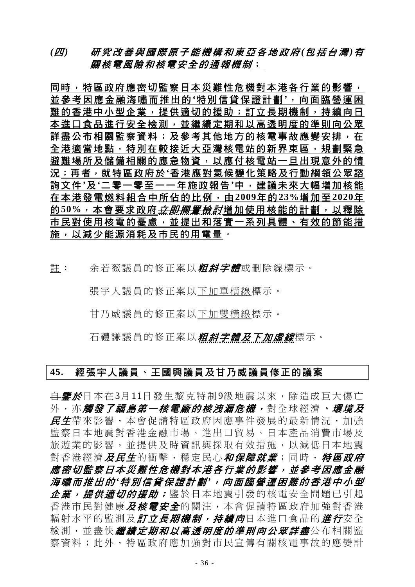### *(*四*)* 研究改善與國際原子能機構和東亞各地政府 *(*包括台灣 *)*有 關核電風險和核電安全的通報機制;

同時,特區政府應密切監察日本災難性危機對本港各行業的影響, 並參考因應金融海嘯而推出的 **'**特別信貸保證計劃 **'**,向面臨營運困 難的香港中小型企業,提供適切的援助;訂立長期機制,持續向日 本進口食品進行安全檢測,並繼續定期和以高透明度的準則向公眾 詳盡公布相關監察資料;及參考其他地方的核電事故應變安排,在 全港適當地點,特別在較接近大亞灣核電站的新界東區,規劃緊急 避難場所及儲備相關的應急物資,以應付核電站一旦出現意外的情 況;再者,就特區政府於**'**香港應對氣候變化策略及行動綱領公眾諮 詢文件**'**及**'**二零一零至一一年施政報告**'**中,建議未來大幅增加核能 在本港發電燃料組合中所佔的比例,由**2009**年的**23%**增加至**2020**年 的50%,本會要求政府*立即擱置檢討*增加使用核能的計劃,以釋除 市民對使用核電的憂慮,並提出和落實一系列具體、有效的節能措 施,以減少能源消耗及市民的用電量。

註: 余若薇議員的修正案以*粗斜字體*或刪除線標示。

張宇人議員的修正案以下加單橫線標示。

甘乃威議員的修正案以下加雙橫線標示。

石禮謙議員的修正案以*粗斜字體及下加虛線*標示。

### **45.** 經張宇人議員、王國興議員及甘乃威議員修正的議案

<del>自**鑒於**日本在3月11日發生黎克特制9級地震以來,除造成巨大傷亡</del> 外, 亦**觸發了福島第一核電廠的核洩漏危機,** 對全球經濟, *環境及* 民生帶來影響,本會促請特區政府因應事件發展的最新情況,加強 監察日本地震對香港金融市場、進出口貿易、日本產品消費市場及 旅遊業的影響,並提供及時資訊與採取有效措施,以減低日本地震 對香港經濟*及民生*的衝擊,穩定民心*和保障就業*;同時, 特區政府 應密切監察日本災難性危機對本港各行業的影響,並參考因應金融 海嘯而推出的 *'*特別信貸保證計劃 *'*,向面臨營運困難的香港中小型 企業,提供適切的援助;鑒於日本地震引發的核電安全問題已引起 香港市民對健康*及核電安全*的關注,本會促請特區政府加強對香港 輻射水平的監測及*訂立長期機制,持續向*日本進口食品<del>的*進行*安全</del> 檢測,並<del>盡快*繼續定期和以高透明度的準則向公眾詳盡***公布相關**監</del> 察資料;此外,特區政府應加強對市民宣傳有關核電事故的應變計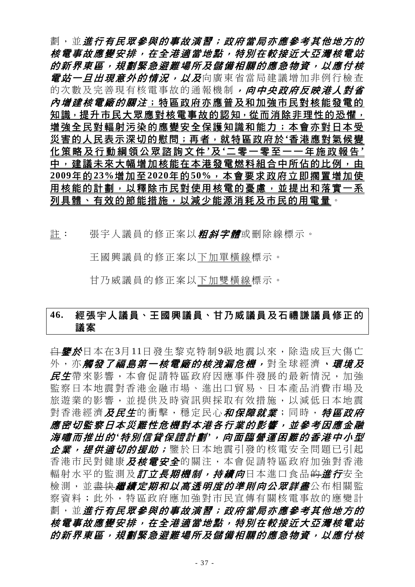劃,並進行有民眾參與的事故演習;政府當局亦應參考其他地方的 核電事故應變安排,在全港適當地點,特別在較接近大亞灣核電站 的新界東區,規劃緊急避難場所及儲備相關的應急物資,以應付核 *電站一旦出現意外的情況,以及*向廣東省當局建議增加非例行檢查 的次數及完善現有核電事故的通報機制,向中央政府反映港人對省 內增建核電廠的關注;特區政府亦應普及和加強市民對核能發電的 知識, 提升市民大眾應對核電事故的認知, 從而消除非理性的恐懼, 增強全民對輻射污染的應變安全保護知識和能力;本會亦對日本受 災害的人民表示深切的慰問;再者,就特區政府於**'**香港應對氣候變 化策略及行動綱領公眾諮詢文件 **'**及 **'**二零一零至一一年施政報告 **'** 中,建議未來大幅增加核能在本港發電燃料組合中所佔的比例,由 **2009**年的**23%**增加至**2020**年的**50%**,本會要求政府立即擱置增加使 用核能的計劃,以釋除市民對使用核電的憂慮,並提出和落實一系 列具體、有效的節能措施,以減少能源消耗及市民的用電量。

註: 張宇人議員的修正案以*粗斜字體*或刪除線標示。

王國興議員的修正案以下加單橫線標示。

甘乃威議員的修正案以下加雙橫線標示。

# **46.** 經張宇人議員、王國興議員、甘乃威議員及石禮謙議員修正的 議案

<del>自**鑒於**日本在3月11日發生黎克特制9級地震以來,除造成巨大傷亡</del> 外, 亦**觸發了福島第一核電廠的核洩漏危機,** 對全球經濟, *環境及* 民生帶來影響,本會促請特區政府因應事件發展的最新情況,加強 監察日本地震對香港金融市場、進出口貿易、日本產品消費市場及 旅遊業的影響,並提供及時資訊與採取有效措施,以減低日本地震 對香港經濟*及民生*的衝擊,穩定民心*和保障就業*;同時, 特區政府 應密切監察日本災難性危機對本港各行業的影響,並參考因應金融 海嘯而推出的 *'*特別信貸保證計劃 *'*,向面臨營運困難的香港中小型 企業,提供適切的援助;鑒於日本地震引發的核電安全問題已引起 香港市民對健康*及核電安全*的關注,本會促請特區政府加強對香港 輻射水平的監測及*訂立長期機制,持續向*日本進口食品<del>的*進行*安全</del> 檢測,並<del>盡快*繼續定期和以高透明度的準則向公眾詳盡***公布相關**監</del> 察資料;此外,特區政府應加強對市民宣傳有關核電事故的應變計 劃,並進行有民眾參與的事故演習;政府當局亦應參考其他地方的 核電事故應變安排,在全港適當地點,特別在較接近大亞灣核電站 的新界東區,規劃緊急避難場所及儲備相關的應急物資,以應付核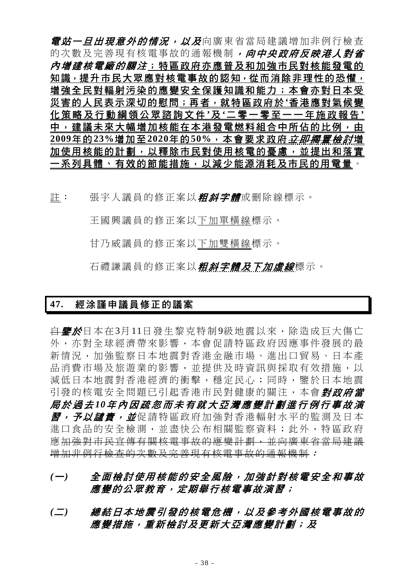*電站一旦出現意外的情況,以及*向廣東省當局建議增加非例行檢查 的次數及完善現有核電事故的通報機制, 向中央政府反映港人對省 內增建核電廠的關注;特區政府亦應普及和加強市民對核能發電的 知識,提升市民大眾應對核電事故的認知,從而消除非理性的恐懼, 增強全民對輻射污染的應變安全保護知識和能力;本會亦對日本受 災害的人民表示深切的慰問;再者,就特區政府於**'**香港應對氣候變 化策略及行動綱領公眾諮詢文件 **'**及 **'**二零一零至一一年施政報告 **'** 中,建議未來大幅增加核能在本港發電燃料組合中所佔的比例,由 **2009**年的**23%**增加至**2020**年的**50%**,本會要求政府立即擱置檢討增 加使用核能的計劃,以釋除市民對使用核電的憂慮,並提出和落實 一系列具體、有效的節能措施,以減少能源消耗及市民的用電量。

註: 張宇人議員的修正案以*粗斜字體*或刪除線標示。

王國興議員的修正案以下加單橫線標示。

甘乃威議員的修正案以下加雙橫線標示。

石禮謙議員的修正案以*粗斜字體及下加虛線*標示。

#### **47.** 經涂謹申議員修正的議案

<del>自**鑒於**日本在3月11日發生黎克特制9級地震以來,除造成巨大傷亡</del> 外,亦對全球經濟帶來影響,本會促請特區政府因應事件發展的最 新情況,加強監察日本地震對香港金融市場、進出口貿易、日本產 品消費市場及旅游業的影響,並提供及時資訊與採取有效措施,以 減低日本地震對香港經濟的衝擊,穩定民心;同時,鑒於日本地震 引發的核電安全問題已引起香港市民對健康的關注,本會對政府當 局於過去 *10*年內因疏忽而未有就大亞灣應變計劃進行例行事故演 習,予以譴責,並促請特區政府加強對香港輻射水平的監測及日本 進口食品的安全檢測,並盡快公布相關監察資料;此外,特區政府 應加強對市民宣傳有關核電事故的應變計劃,並向廣東省當局建議 增加非例行檢查的次數及完善現有核電事故的通報機制:

# *(*一*)* 全面檢討使用核能的安全風險,加強針對核電安全和事故 應變的公眾教育,定期舉行核電事故演習;

*(*二*)* 總結日本地震引發的核電危機,以及參考外國核電事故的 應變措施,重新檢討及更新大亞灣應變計劃;及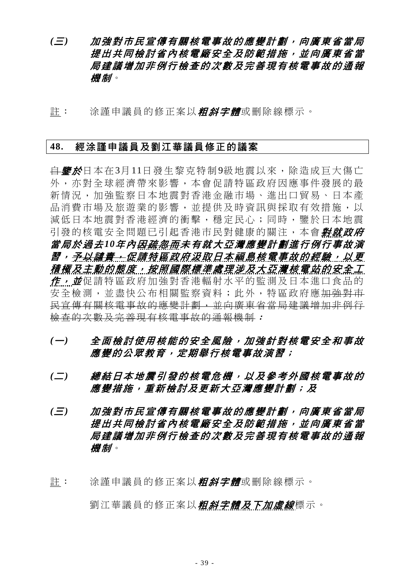*(*三*)* 加強對市民宣傳有關核電事故的應變計劃,向廣東省當局 提出共同檢討省內核電廠安全及防範措施,並向廣東省當 局建議增加非例行檢查的次數及完善現有核電事故的通報 機制。

許: 涂謹申議員的修正案以*粗斜字體*或刪除線標示。

#### **48.** 經涂謹申議員及劉江華議員修正的議案

<del>自**鑒於**日本在3月11日發生黎克特制9級地震以來,除造成巨大傷亡</del> 外,亦對全球經濟帶來影響,本會促請特區政府因應事件發展的最 新情況,加強監察日本地震對香港金融市場、進出口貿易、日本產 品消費市場及旅游業的影響,並提供及時資訊與採取有效措施,以 減低日本地震對香港經濟的衝擊,穩定民心;同時,鑒於日本地震 引發的核電安全問題已引起香港市民對健康的關注,本會**對就政府** 當局於過去*10*年內因疏忽而未有就大亞灣應變計劃進行例行事故演 習,予以譴責,促請特區政府汲取日本福島核電事故的經驗,以更 積極及主動的態度,按照國際標準處理涉及大亞灣核電站的安全工 作,並促請特區政府加強對香港輻射水平的監測及日本進口食品的 安全檢測,並盡快公布相關監察資料;此外,特區政府應<del>加強對市</del> 民宣傳有關核電事故的應變計劃,並向廣東省當局建議增加非例行 檢查的次數及完善現有核電事故的通報機制:

- *(*一*)* 全面檢討使用核能的安全風險,加強針對核電安全和事故 應變的公眾教育,定期舉行核電事故演習;
- *(*二*)* 總結日本地震引發的核電危機,以及參考外國核電事故的 應變措施,重新檢討及更新大亞灣應變計劃;及
- *(*三*)* 加強對市民宣傳有關核電事故的應變計劃,向廣東省當局 提出共同檢討省內核電廠安全及防範措施,並向廣東省當 局建議增加非例行檢查的次數及完善現有核電事故的通報 機制。
- 註: 涂謹申議員的修正案以**粗斜字體**或刪除線標示。

劉江華議員的修正案以*粗斜字體及下加虛線*標示。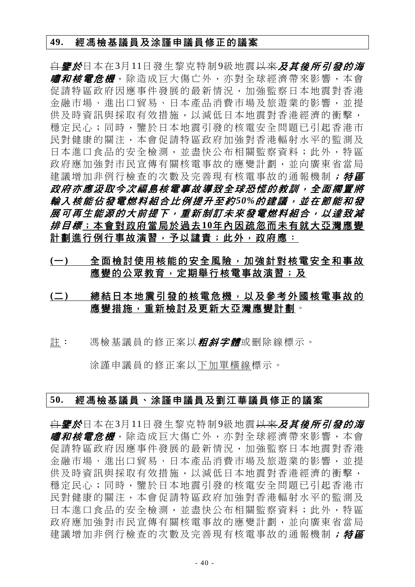#### **49.** 經馮檢基議員及涂謹申議員修正的議案

自鑒於日本在3月11日發生黎克特制9級地震以來及其後所引發的海 *嘯和核電危機***,除造成巨大傷亡外,亦對全球經濟帶來影響**,本會 促請特區政府因應事件發展的最新情況,加強監察日本地震對香港 金融市場、進出口貿易、日本產品消費市場及旅遊業的影響,並提 供及時資訊與採取有效措施,以減低日本地震對香港經濟的衝擊, 穩定民心;同時,鑒於日本地震引發的核電安全問題已引起香港市 民對健康的關注,本會促請特區政府加強對香港輻射水平的監測及 日本進口食品的安全檢測,並盡快公布相關監察資料;此外,特區 政府應加強對市民宣傳有關核電事故的應變計劃,並向廣東省當局 建議增加非例行檢查的次數及完善現有核電事故的通報機制;特區 政府亦應汲取今次福島核電事故導致全球恐慌的教訓,全面擱置將 輸入核能佔發電燃料組合比例提升至約*50%*的建議,並在節能和發 展可再生能源的大前提下,重新制訂未來發電燃料組合,以達致減 排目標;本會對政府當局於過去**10**年內因疏忽而未有就大亞灣應變 計劃進行例行事故演習,予以譴責;此外,政府應:

- **(**一**)** 全面檢討使用核能的安全風險,加強針對核電安全和事故 應變的公眾教育,定期舉行核電事故演習;及
- **(**二**)** 總結日本地震引發的核電危機,以及參考外國核電事故的 應變措施,重新檢討及更新大亞灣應變計劃。
- 註: 馮檢基議員的修正案以*粗斜字體*或刪除線標示。

涂謹申議員的修正案以下加單橫線標示。

#### **50.** 經馮檢基議員、涂謹申議員及劉江華議員修正的議案

自鑒於日本在3月11日發生黎克特制9級地震以來及其後所引發的海 *嘯和核電危機*,除造成巨大傷亡外,亦對全球經濟帶來影響,本會 促請特區政府因應事件發展的最新情況,加強監察日本地震對香港 金融市場、進出口貿易、日本產品消費市場及旅遊業的影響,並提 供及時資訊與採取有效措施,以減低日本地震對香港經濟的衝擊, 穩定民心;同時,鑒於日本地震引發的核電安全問題已引起香港市 民對健康的關注,本會促請特區政府加強對香港輻射水平的監測及 日本進口食品的安全檢測,並盡快公布相關監察資料;此外,特區 政府應加強對市民宣傳有關核電事故的應變計劃,並向廣東省當局 建議增加非例行檢查的次數及完善現有核電事故的通報機制; 特區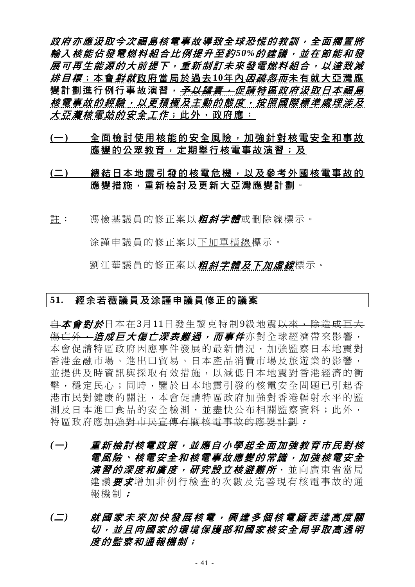政府亦應汲取今次福島核電事故導致全球恐慌的教訓,全面擱置將 輸入核能佔發電燃料組合比例提升至約*50%*的建議,並在節能和發 展可再生能源的大前提下,重新制訂未來發電燃料組合,以達致減 *排目標*;本會*對就*政府當局於過去10年內*因疏忽而*未有就大亞灣應 變計劃進行例行事故演習,*予以譴責,促請特區政府汲取日本福島* 核電事故的經驗,以更積極及主動的態度,按照國際標準處理涉及 大亞灣核電站的安全工作;此外,政府應:

**(**一**)** 全面檢討使用核能的安全風險,加強針對核電安全和事故 應變的公眾教育,定期舉行核電事故演習;及

# **(**二**)** 總結日本地震引發的核電危機,以及參考外國核電事故的 應變措施,重新檢討及更新大亞灣應變計劃。

註: 馮檢基議員的修正案以*粗斜字體*或刪除線標示。

涂謹申議員的修正案以下加單橫線標示。

劉江華議員的修正案以*粗斜字體及下加虛線*標示。

#### **51.** 經余若薇議員及涂謹申議員修正的議案

白本會對於日本在3月11日發生黎克特制9級地震以來,除造成巨大 <del>傷亡外,</del>造成巨大傷亡深表難過,而事件亦對全球經濟帶來影響, 本會促請特區政府因應事件發展的最新情況,加強監察日本地震對 香港金融市場、進出口貿易、日本產品消費市場及旅遊業的影響, 並提供及時資訊與採取有效措施,以減低日本地震對香港經濟的衝 擊,穩定民心;同時,鑒於日本地震引發的核電安全問題已引起香 港市民對健康的關注,本會促請特區政府加強對香港輻射水平的監 測及日本進口食品的安全檢測,並盡快公布相關監察資料;此外, 特區政府應加強對市民宣傳有關核電事故的應變計劃:

- *(*一*)* 重新檢討核電政策,並應自小學起全面加強教育市民對核 電風險、核電安全和核電事故應變的常識,加強核電安全 **演習的深度和廣度,研究設立核避難所,並向廣東省當局** 建議要求增加非例行檢查的次數及完善現有核電事故的通 報機制;
- *(*二*)* 就國家未來加快發展核電,興建多個核電廠表達高度關 切,並且向國家的環境保護部和國家核安全局爭取高透明 度的監察和通報機制;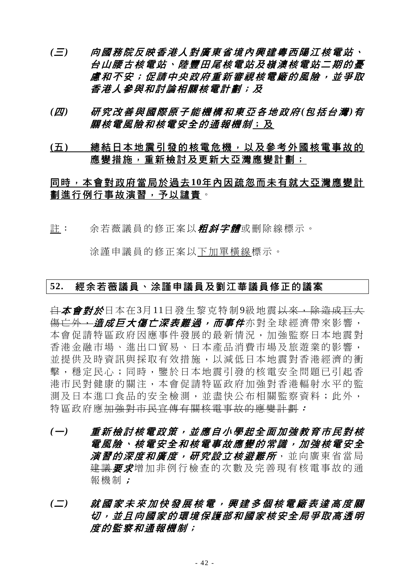- *(*三*)* 向國務院反映香港人對廣東省境內興建粵西陽江核電站、 台山腰古核電站、陸豐田尾核電站及嶺澳核電站二期的憂 慮和不安;促請中央政府重新審視核電廠的風險,並爭取 香港人參與和討論相關核電計劃;及
- *(*四*)* 研究改善與國際原子能機構和東亞各地政府 *(*包括台灣 *)*有 **關核電風險和核電安全的通報機制;及**
- **(**五**)** 總結日本地震引發的核電危機,以及參考外國核電事故的 應變措施,重新檢討及更新大亞灣應變計劃;

# 同時,本會對政府當局於過去**10**年內因疏忽而未有就大亞灣應變計 劃進行例行事故演習,予以譴責。

註: 余若薇議員的修正案以*粗斜字體*或刪除線標示。

涂謹申議員的修正案以下加單橫線標示。

### **52.** 經余若薇議員、涂謹申議員及劉江華議員修正的議案

白本會對於日本在3月11日發生黎克特制9級地震以來,除造成巨大 <del>傷亡外,*造成巨大傷亡深表難過,而事件***亦對全球經濟帶來影響,**</del> 本會促請特區政府因應事件發展的最新情況,加強監察日本地震對 香港金融市場、進出口貿易、日本產品消費市場及旅遊業的影響, 並提供及時資訊與採取有效措施,以減低日本地震對香港經濟的衝 擊,穩定民心;同時,鑒於日本地震引發的核電安全問題已引起香 港市民對健康的關注,本會促請特區政府加強對香港輻射水平的監 測及日本進口食品的安全檢測,並盡快公布相關監察資料;此外, 特區政府應加強對市民宣傳有關核電事故的應變計劃:

- *(*一*)* 重新檢討核電政策,並應自小學起全面加強教育市民對核 電風險、核電安全和核電事故應變的常識,加強核電安全 **演習的深度和廣度,研究設立核避難所**,並向廣東省當局 建議要求增加非例行檢查的次數及完善現有核電事故的通 報機制;
- *(*二*)* 就國家未來加快發展核電,興建多個核電廠表達高度關 切,並且向國家的環境保護部和國家核安全局爭取高透明 度的監察和通報機制;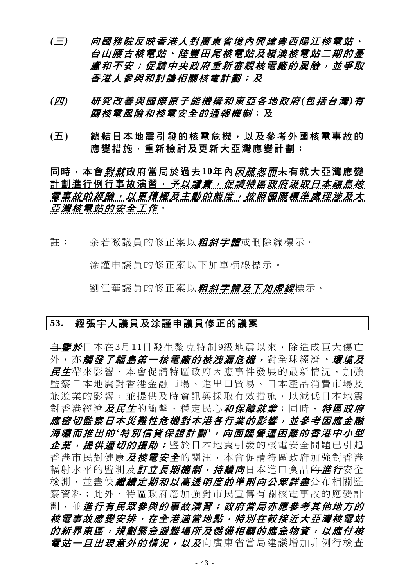- *(*三*)* 向國務院反映香港人對廣東省境內興建粵西陽江核電站、 台山腰古核電站、陸豐田尾核電站及嶺澳核電站二期的憂 慮和不安;促請中央政府重新審視核電廠的風險,並爭取 香港人參與和討論相關核電計劃;及
- *(*四*)* 研究改善與國際原子能機構和東亞各地政府 *(*包括台灣 *)*有 關核電風險和核電安全的通報機制;及
- **(**五**)** 總結日本地震引發的核電危機,以及參考外國核電事故的 應變措施,重新檢討及更新大亞灣應變計劃;

同時,本會*對就*政府當局於過去10年內*因<del>疏忽而</del>未有就大亞灣應變* 計劃進行例行事故演習, 予以講*責, ... 促請特區政府汲取日本福島核* 電事故的經驗,以更積極及主動的態度,按照國際標準處理涉及大 亞灣核電站的安全工作。

註: 余若薇議員的修正案以*粗斜字體***或刪除線標示。** 

涂謹申議員的修正案以下加單橫線標示。

劉江華議員的修正案以*粗斜字體及下加虛線*標示。

#### **53.** 經張宇人議員及涂謹申議員修正的議案

<del>自**鑒於**日本在3月11日發生黎克特制9級地震以來,除造成巨大傷亡</del> 外,亦**觸發了福島第一核電廠的核洩漏危機,**對全球經濟,*環境及* 民生帶來影響,本會促請特區政府因應事件發展的最新情況,加強 監察日本地震對香港金融市場、進出口貿易、日本產品消費市場及 旅遊業的影響,並提供及時資訊與採取有效措施,以減低日本地震 對香港經濟及民生的衝擊,穩定民心和保障就業;同時,特區政府 應密切監察日本災難性危機對本港各行業的影響,並參考因應金融 海嘯而推出的 *'*特別信貸保證計劃 *'*,向面臨營運困難的香港中小型 企業,提供適切的援助;鑒於日本地震引發的核電安全問題已引起 香港市民對健康*及核電安全*的關注,本會促請特區政府加強對香港 輻射水平的監測及*訂立長期機制,持續向*日本進口食品<del>的*進行*安全</del> 檢測,並<del>盡快*繼續定期和以高透明度的準則向公眾詳盡***公布相關**監</del> 察資料;此外,特區政府應加強對市民宣傳有關核電事故的應變計 劃,並進行有民眾參與的事故演習;政府當局亦應參考其他地方的 核電事故應變安排,在全港適當地點,特別在較接近大亞灣核電站 的新界東區,規劃緊急避難場所及儲備相關的應急物資,以應付核 *電站一旦出現意外的情況,以及*向廣東省當局建議增加非例行檢查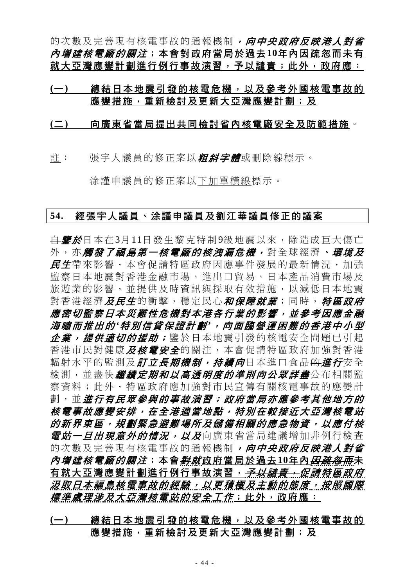的次數及完善現有核電事故的通報機制,向中央政府反映港人對省 內增建核電廠的關注;本會對政府當局於過去**10**年內因疏忽而未有 就大亞灣應變計劃進行例行事故演習,予以譴責;此外,政府應:

### **(**一**)** 總結日本地震引發的核電危機,以及參考外國核電事故的 應變措施,重新檢討及更新大亞灣應變計劃;及

#### **(**二**)** 向廣東省當局提出共同檢討省內核電廠安全及防範措施。

註: 張宇人議員的修正案以*粗斜字體*或刪除線標示。

涂謹申議員的修正案以下加單橫線標示。

#### **54.** 經張宇人議員、涂謹申議員及劉江華議員修正的議案

<del>自*鑒於*日本在3月11日發生黎克特制9級地震以來,除造成巨大傷亡</del> 外,亦**觸發了福島第一核電廠的核洩漏危機,**對全球經濟,*環境及* 民生帶來影響,本會促請特區政府因應事件發展的最新情況,加強 監察日本地震對香港金融市場、進出口貿易、日本產品消費市場及 旅遊業的影響,並提供及時資訊與採取有效措施,以減低日本地震 對香港經濟*及民生*的衝擊,穩定民心*和保障就業*;同時,*特區政府* 應密切監察日本災難性危機對本港各行業的影響,並參考因應金融 海嘯而推出的 *'*特別信貸保證計劃 *'*,向面臨營運困難的香港中小型 企業,提供適切的援助; 鑒於日本地震引發的核電安全問題已引起 香港市民對健康及核電安全的關注,本會促請特區政府加強對香港 輻射水平的監測及*訂立長期機制,持續向*日本進口食品<del>的*進行*安全</del> 檢測,並盡<mark>快*繼續定期和以高透明度的準則向公眾詳盡*公布相關監</mark> 察資料;此外,特區政府應加強對市民宣傳有關核電事故的應變計 劃,並進行有民眾參與的事故演習;政府當局亦應參考其他地方的 核電事故應變安排,在全港適當地點,特別在較接近大亞灣核電站 的新界東區,規劃緊急避難場所及儲備相關的應急物資,以應付核 *雷站一日出現意外的情況,以及*向廣東省當局建議增加非例行檢杳 的次數及完善現有核電事故的通報機制,向中央政府反映港人對省 內增建核電廠的關注;本會對就政府當局於過去**10**年內因疏忽而未 有就大亞灣應變計劃進行例行事故演習, 予以講*責, 促請特區政府* 汲取日本福島核電事故的經驗,以更積極及主動的態度,按照國際 *標準處理涉及大亞灣核電站的安全工作*;此外,政府應:

# **(**一**)** 總結日本地震引發的核電危機,以及參考外國核電事故的 應變措施,重新檢討及更新大亞灣應變計劃;及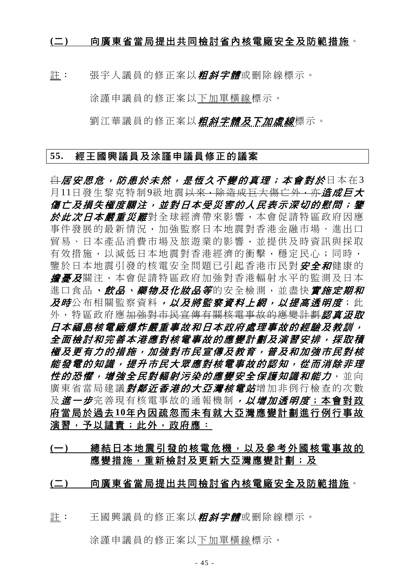#### **(**二**)** 向廣東省當局提出共同檢討省內核電廠安全及防範措施。

註: 張宇人議員的修正案以*粗斜字體*或刪除線標示。

涂謹申議員的修正案以下加單橫線標示。

劉江華議員的修正案以*粗斜字體及下加虛線***標示**。

#### **55.** 經王國興議員及涂謹申議員修正的議案

<del>自 居安思危,防患於未然,是恆久不變的真理;本會對於日本在3</del> 月11日發生黎克特制9級地震<del>以來,除造成巨大傷亡外,亦*造成巨大*</del> 傷亡及損失極度關注,並對日本受災害的人民表示深切的慰問;鑒 於此次日本嚴重災難對全球經濟帶來影響,本會促請特區政府因應 事件發展的最新情況,加強監察日本地震對香港金融市場、進出口 貿易、日本產品消費市場及旅遊業的影響,並提供及時資訊與採取 有效措施,以減低日本地震對香港經濟的衝擊,穩定民心;同時, 鑒於日本地震引發的核電安全問題已引起香港市民對 安全和健康的 **擔憂及**關注,本會促請特區政府加強對香港輻射水平的監測及日本 進口食品、飲品、藥物及化妝品等的安全檢測,並盡快實施定期和 及時公布相關監察資料,以及將監察資料*上細,以提高诱明度*;此 外,特區政府應加強對市民宣傳有關核電事故的應變計劃認真汲取 日本福島核電廠爆炸嚴重事故和日本政府處理事故的經驗及教訓, 全面檢討和完善本港應對核電事故的應變計劃及演習安排,採取積 極及更有力的措施,加強對市民宣傳及教育,普及和加強市民對核 能發電的知識,提升市民大眾應對核電事故的認知,從而消除非理 **性的恐懼,增強全民對輻射污染的應變安全保護知識和能力,並向** 廣東省當局建議*對鄰近香港的大亞灣核電站*增加非例行檢查的次數 及 進一步完善現有核電事故的通報機制, 以增加透明度;本會對政 府當局於過去**10**年內因疏忽而未有就大亞灣應變計劃進行例行事故 演習,予以譴責;此外,政府應:

# **(**一**)** 總結日本地震引發的核電危機,以及參考外國核電事故的 應變措施,重新檢討及更新大亞灣應變計劃;及

**(**二**)** 向廣東省當局提出共同檢討省內核電廠安全及防範措施。

註: 王國興議員的修正案以*粗斜字體*或刪除線標示。

涂謹申議員的修正案以下加單橫線標示。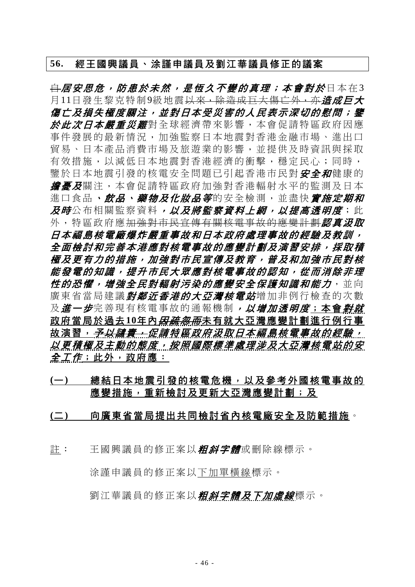#### **56.** 經王國興議員、涂謹申議員及劉江華議員修正的議案

<del>自</del>居安思危,防患於未然,是恆久不變的真理;本會對於日本在3 月11日發生黎克特制9級地震<del>以來,除造成巨大傷亡外,亦*造成巨大*</del> 傷亡及損失極度關注,並對日本受災害的人民表示深切的慰問;鑒 於此次日本嚴重災難對全球經濟帶來影響,本會促請特區政府因應 事件發展的最新情況,加強監察日本地震對香港金融市場、進出口 貿易、日本產品消費市場及旅遊業的影響,並提供及時資訊與採取 有效措施,以減低日本地震對香港經濟的衝擊,穩定民心;同時, 鑒於日本地震引發的核電安全問題已引起香港市民對 安全和健康的 **擔憂及**關注,本會促請特區政府加強對香港輻射水平的監測及日本 進口食品、飲品、藥物及化妝品等的安全檢測,並盡快會施定期和 及時公布相關監察資料,以及將監察資料上網,以提高**透明度**;此 外,特區政府應加強對市民宣傳有關核電事故的應變計劃認直況取 日本福島核電廠爆炸嚴重事故和日本政府處理事故的經驗及教訓, 全面檢討和完善本港應對核電事故的應變計劃及演習安排,採取積 極及更有力的措施,加強對市民宣傳及教育,普及和加強市民對核 能發電的知識,提升市民大眾應對核電事故的認知,從而消除非理 **性的恐懼,增強全民對輻射污染的應變安全保護知識和能力,並向** 廣東省當局建議*對鄰近香港的大亞灣核電站*增加非例行檢查的次數 及進一步完善現有核電事故的通報機制, 以增加透明度;本會對就 政府當局於過去10年內*因疏忽而*未有就大亞灣應變計劃進行例行事 故演習,*予以譴責,促請特區政府汲取日本福島核電事故的經驗,* 以更積極及主動的態度,按照國際標準處理涉及大亞灣核電站的安  $\pm$ *工作*;此外,政府應:

**(**一**)** 總結日本地震引發的核電危機,以及參考外國核電事故的 應變措施,重新檢討及更新大亞灣應變計劃;及

#### **(**二**)** 向廣東省當局提出共同檢討省內核電廠安全及防範措施。

許: 王國興議員的修正案以*粗斜字體*或刪除線標示。

涂謹申議員的修正案以下加單橫線標示。

劉江華議員的修正案以*粗斜字體及下加虛線*標示。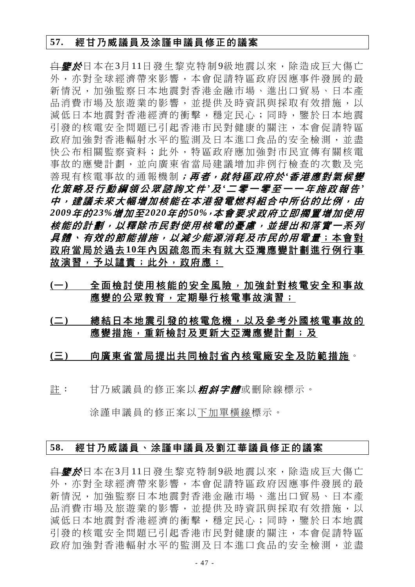#### **57.** 經甘乃威議員及涂謹申議員修正的議案

<del>自**鑒於**日本在3月11日發生黎克特制9級地震以來,除造成巨大傷亡</del> 外,亦對全球經濟帶來影響,本會促請特區政府因應事件發展的最 新情況,加強監察日本地震對香港金融市場、進出口貿易、日本產 品消費市場及旅游業的影響,並提供及時資訊與採取有效措施,以 減低日本地震對香港經濟的衝擊,穩定民心;同時,鑒於日本地震 引發的核電安全問題已引起香港市民對健康的關注,本會促請特區 政府加強對香港輻射水平的監測及日本進口食品的安全檢測,並盡 快公布相關監察資料;此外,特區政府應加強對市民宣傳有關核電 事故的應變計劃,並向廣東省當局建議增加非例行檢查的次數及完 善現有核電事故的通報機制;再者,就特區政府於*'*香港應對氣候變 化策略及行動綱領公眾諮詢文件 *'*及 *'*二零一零至一一年施政報告 *'* 中,建議未來大幅增加核能在本港發電燃料組合中所佔的比例,由 *2009*年的*23%*增加至*2020*年的*50%*,本會要求政府立即擱置增加使用 核能的計劃,以釋除市民對使用核電的憂慮,並提出和落實一系列 *具體、有效的節能措施,以減少能源消耗及市民的用電量*;本會對 政府當局於過去**10**年內因疏忽而未有就大亞灣應變計劃進行例行事 故演習,予以譴責**;此外,政府應**:

- (一) 全面檢討使用核能的安全風險,加強針對核電安全和事故 應變的公眾教育,定期舉行核電事故演習;
- **(**二**)** 總結日本地震引發的核電危機,以及參考外國核電事故的 應變措施,重新檢討及更新大亞灣應變計劃;及
- **(**三**)** 向廣東省當局提出共同檢討省內核電廠安全及防範措施。
- 註: 甘乃威議員的修正案以*粗斜字體*或刪除線標示。

涂謹申議員的修正案以下加單橫線標示。

# **58.** 經甘乃威議員、涂謹申議員及劉江華議員修正的議案

<del>自**鑒於**日本在3月11日發生黎克特制9級地震以來,除造成巨大傷亡</del> 外,亦對全球經濟帶來影響,本會促請特區政府因應事件發展的最 新情況,加強監察日本地震對香港金融市場、進出口貿易、日本產 品消費市場及旅遊業的影響,並提供及時資訊與採取有效措施,以 減低日本地震對香港經濟的衝擊,穩定民心;同時,鑒於日本地震 引發的核電安全問題已引起香港市民對健康的關注,本會促請特區 政府加強對香港輻射水平的監測及日本進口食品的安全檢測,並盡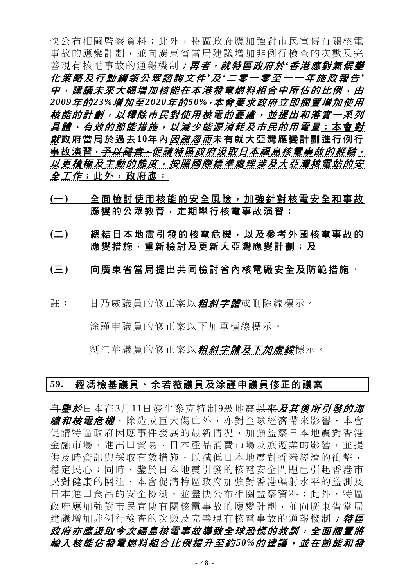快公布相關監察資料;此外,特區政府應加強對市民宣傳有關核電 事故的應變計劃,並向廣東省當局建議增加非例行檢查的次數及完 善現有核電事故的通報機制;再者,就特區政府於*'*香港應對氣候變 化策略及行動綱領公眾諮詢文件 *'*及 *'*二零一零至一一年施政報告 *'* 中,建議未來大幅增加核能在本港發電燃料組合中所佔的比例,由 *2009*年的*23%*增加至*2020*年的*50%*,本會要求政府立即擱置增加使用 核能的計劃,以釋除市民對使用核電的憂慮,並提出和落實一系列 具體、有效的節能措施,以減少能源消耗及市民的用電量;本會對 *就*政府當局於過去10年內*因疏忽而*未有就大亞灣應變計劃進行例行 <u>事故演習, 予以譴責, 促請特區政府汲取日本福島核電事故的經驗,</u> 以更積極及主動的態度,按照國際標準處理涉及大亞灣核電站的安 全*工作*;此外,政府應:

- **(**一**)** 全面檢討使用核能的安全風險,加強針對核電安全和事故 應變的公眾教育, 定期舉行核電事故演習;
- **(**二**)** 總結日本地震引發的核電危機,以及參考外國核電事故的 應變措施,重新檢討及更新大亞灣應變計劃;及
- **(**三**)** 向廣東省當局提出共同檢討省內核電廠安全及防範措施。
- 註: 甘乃威議員的修正案以*粗斜字體*或刪除線標示。

涂謹申議員的修正案以下加單橫線標示。

劉江華議員的修正案以*粗斜字體及下加虛線*標示。

#### **59.** 經馮檢基議員、余若薇議員及涂謹申議員修正的議案

<del>自*鑒於*日本在3月11日發生黎克特制9級地震以來*及其後所引發的海*</del> *嘯和核電危機*,除造成巨大傷亡外,亦對全球經濟帶來影響,本會 促請特區政府因應事件發展的最新情況,加強監察日本地震對香港 金融市場、進出口貿易、日本產品消費市場及旅遊業的影響,並提 供及時資訊與採取有效措施,以減低日本地震對香港經濟的衝擊, 穩定民心;同時,鑒於日本地震引發的核電安全問題已引起香港市 民對健康的關注,本會促請特區政府加強對香港輻射水平的監測及 日本進口食品的安全檢測,並盡快公布相關監察資料;此外,特區 政府應加強對市民宣傳有關核電事故的應變計劃,並向廣東省當局 建議增加非例行檢查的次數及完善現有核電事故的通報機制; 特區 政府亦應汲取今次福島核電事故導致全球恐慌的教訓,全面擱置將 輸入核能佔發電燃料組合比例提升至約*50%*的建議,並在節能和發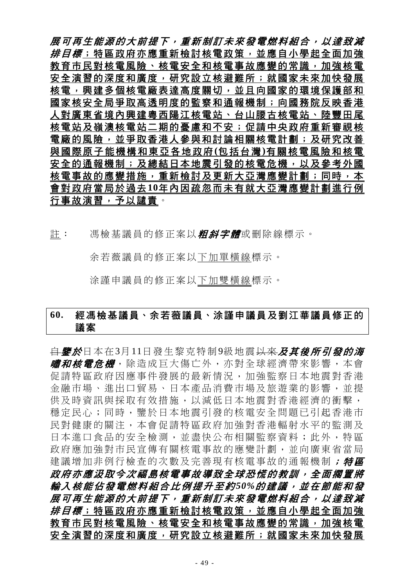展可再生能源的大前提下,重新制訂未來發電燃料組合,以達致減 排目標;特區政府亦應重新檢討核電政策,並應自小學起全面加強 教育市民對核電風險、核電安全和核電事故應變的常識,加強核電 安全演習的深度和廣度,研究設立核避難所;就國家未來加快發展 核電,興建多個核電廠表達高度關切,並且向國家的環境保護部和 國家核安全局爭取高透明度的監察和通報機制;向國務院反映香港 人對廣東省境內興建粵西陽江核電站、台山腰古核電站、陸豐田尾 核電站及嶺澳核電站二期的憂慮和不安;促請中央政府重新審視核 電廠的風險,並爭取香港人參與和討論相關核電計劃;及研究改善 與國際原子能機構和東亞各地政府 **(**包括台灣 **)**有關核電風險和核電 安全的通報機制;及總結日本地震引發的核電危機,以及參考外國 核電事故的應變措施,重新檢討及更新大亞灣應變計劃;同時,本 會對政府當局於過去**10**年內因疏忽而未有就大亞灣應變計劃進行例 行事故演習,予以譴責。

註: 馮檢基議員的修正案以*粗斜字體***或刪除線標示。** 

余若薇議員的修正案以下加單橫線標示。

涂謹申議員的修正案以下加雙橫線標示。

# **60.** 經馮檢基議員、余若薇議員、涂謹申議員及劉江華議員修正的 議案

<del>自*鑒於*日本在3月11日發生黎克特制9級地震以來*及其後所引發的海*</del> *嘯和核雷危機*, 除浩成百大傷亡外, 亦對全球經濟帶來影響, 本會 促請特區政府因應事件發展的最新情況,加強監察日本地震對香港 金融市場、進出口貿易、日本產品消費市場及旅遊業的影響,並提 供及時資訊與採取有效措施,以減低日本地震對香港經濟的衝擊, 穩定民心;同時,鑒於日本地震引發的核電安全問題已引起香港市 民對健康的關注,本會促請特區政府加強對香港輻射水平的監測及 日本進口食品的安全檢測,並盡快公布相關監察資料;此外,特區 政府應加強對市民宣傳有關核電事故的應變計劃,並向廣東省當局 建議增加非例行檢查的次數及完善現有核電事故的通報機制; 特區 政府亦應汲取今次福島核電事故導致全球恐慌的教訓,全面擱置將 輸入核能佔發電燃料組合比例提升至約*50%*的建議,並在節能和發 展可再生能源的大前提下,重新制訂未來發電燃料組合,以達致減 排目標;特區政府亦應重新檢討核電政策,並應自小學起全面加強 教育市民對核電風險、核電安全和核電事故應變的常識,加強核電 安全演習的深度和廣度,研究設立核避難所;就國家未來加快發展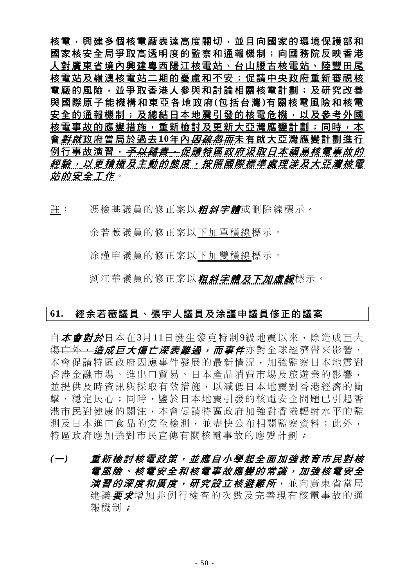核電,興建多個核電廠表達高度關切,並且向國家的環境保護部和 國家核安全局爭取高透明度的監察和通報機制;向國務院反映香港 人對廣東省境內興建粵西陽江核電站、台山腰古核電站、陸豐田尾 核電站及嶺澳核電站二期的憂慮和不安;促請中央政府重新審視核 電廠的風險,並爭取香港人參與和討論相關核電計劃;及研究改善 與國際原子能機構和東亞各地政府 **(**包括台灣 **)**有關核電風險和核電 安全的通報機制;及總結日本地震引發的核電危機,以及參考外國 核電事故的應變措施,重新檢討及更新大亞灣應變計劃;同時,本 會*對就*政府當局於過去10年內*因疏忽而*未有就大亞灣應變計劃進行 例行事故演習, *予以譴責, 促請特區政府汲取日本福島核電事故的* 經驗,以更積極及主動的態度,按照國際標準處理涉及大亞灣核電 站的安全工作。

註: 馮檢基議員的修正案以*粗斜字體*或刪除線標示。

余若薇議員的修正案以下加單橫線標示。

涂謹申議員的修正案以下加雙橫線標示。

劉江華議員的修正案以*粗斜字體及下加虛線*標示。

#### **61.** 經余若薇議員、張宇人議員及涂謹申議員修正的議案

<del>自**本會對於**日本在3月11日發生黎克特制9級地震以來,除造成巨大</del> 傷亡外,造成巨大傷亡深表難過,而事件亦對全球經濟帶來影響, 本會促請特區政府因應事件發展的最新情況,加強監察日本地震對 香港金融市場、進出口貿易、日本產品消費市場及旅遊業的影響, 並提供及時資訊與採取有效措施,以減低日本地震對香港經濟的衝 擊,穩定民心;同時,鑒於日本地震引發的核電安全問題已引起香 港市民對健康的關注,本會促請特區政府加強對香港輻射水平的監 測及日本進口食品的安全檢測,並盡快公布相關監察資料;此外, 特區政府應加強對市民宣傳有關核電事故的應變計劃:

*(*一*)* 重新檢討核電政策,並應自小學起全面加強教育市民對核 電風險、核電安全和核電事故應變的常識,加強核電安全 **演習的深度和廣度,研究設立核避難所**,並向廣東省當局 建議要求增加非例行檢查的次數及完善現有核電事故的通 報機制;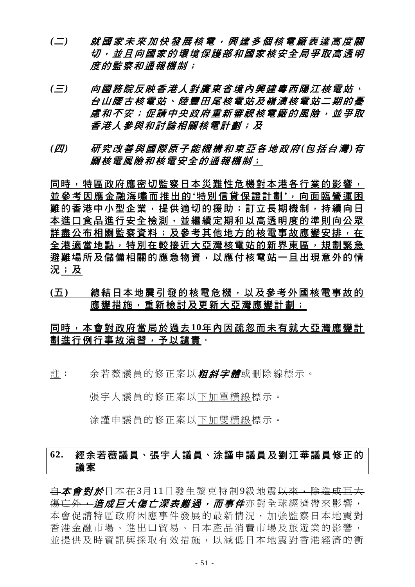- *(*二*)* 就國家未來加快發展核電,興建多個核電廠表達高度關 切,並且向國家的環境保護部和國家核安全局爭取高透明 度的監察和通報機制;
- *(*三*)* 向國務院反映香港人對廣東省境內興建粵西陽江核電站、 台山腰古核電站、陸豐田尾核電站及嶺澳核電站二期的憂 慮和不安;促請中央政府重新審視核電廠的風險,並爭取 香港人參與和討論相關核電計劃;及
- *(*四*)* 研究改善與國際原子能機構和東亞各地政府 *(*包括台灣 *)*有 關核電風險和核電安全的通報機制;

同時,特區政府應密切監察日本災難性危機對本港各行業的影響, 並參考因應金融海嘯而推出的 **'**特別信貸保證計劃 **'**,向面臨營運困 難的香港中小型企業,提供適切的援助;訂立長期機制,持續向日 本進口食品進行安全檢測,並繼續定期和以高透明度的準則向公眾 詳盡公布相關監察資料;及參考其他地方的核電事故應變安排,在 全港適當地點,特別在較接近大亞灣核電站的新界東區,規劃緊急 避難場所及儲備相關的應急物資,以應付核電站一旦出現意外的情 況;及

**(**五**)** 總結日本地震引發的核電危機,以及參考外國核電事故的 應變措施,重新檢討及更新大亞灣應變計劃;

# 同時,本會對政府當局於過去**10**年內因疏忽而未有就大亞灣應變計 劃進行例行事故演習,予以譴責。

註: 余若薇議員的修正案以*粗斜字體***或刪除線標示。** 

張宇人議員的修正案以下加單橫線標示。

涂謹申議員的修正案以下加雙橫線標示。

# **62.** 經余若薇議員、張宇人議員、涂謹申議員及劉江華議員修正的 議案

<del>自</del>本會對於日本在3月11日發生黎克特制9級地震以來,除造成巨大 傷亡外, **-** *造成巨大傷亡深表難過, 而事件***亦對全球經濟帶來影響**, 本會促請特區政府因應事件發展的最新情況,加強監察日本地震對 香港金融市場、進出口貿易、日本產品消費市場及旅遊業的影響, 並提供及時資訊與採取有效措施,以減低日本地震對香港經濟的衝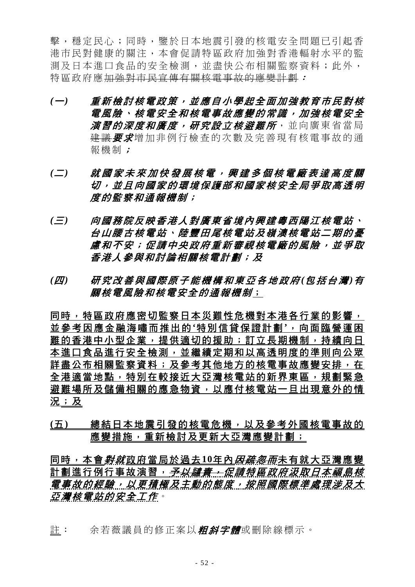擊,穩定民心;同時,鑒於日本地震引發的核電安全問題已引起香 港市民對健康的關注,本會促請特區政府加強對香港輻射水平的監 測及日本進口食品的安全檢測,並盡快公布相關監察資料;此外, 特區政府應加強對市民宣傳有關核電事故的應變計劃:

- *(*一*)* 重新檢討核電政策,並應自小學起全面加強教育市民對核 電風險、核電安全和核電事故應變的常識,加強核電安全 **演習的深度和廣度,研究設立核避難所**,並向廣東省當局 建議要求增加非例行檢查的次數及完善現有核電事故的通 報機制;
- *(*二*)* 就國家未來加快發展核電,興建多個核電廠表達高度關 切,並且向國家的環境保護部和國家核安全局爭取高透明 度的監察和通報機制;
- *(*三*)* 向國務院反映香港人對廣東省境內興建粵西陽江核電站、 台山腰古核電站、陸豐田尾核電站及嶺澳核電站二期的憂 慮和不安;促請中央政府重新審視核電廠的風險,並爭取 香港人參與和討論相關核電計劃;及
- *(*四*)* 研究改善與國際原子能機構和東亞各地政府 *(*包括台灣 *)*有 關核電風險和核電安全的通報機制;

同時,特區政府應密切監察日本災難性危機對本港各行業的影響, 並參考因應金融海嘯而推出的 **'**特別信貸保證計劃 **'**,向面臨營運困 難的香港中小型企業,提供適切的援助;訂立長期機制,持續向日 本進口食品進行安全檢測,並繼續定期和以高透明度的準則向公眾 詳盡公布相關監察資料;及參考其他地方的核電事故應變安排,在 全港適當地點,特別在較接近大亞灣核電站的新界東區,規劃緊急 避難場所及儲備相關的應急物資,以應付核電站一旦出現意外的情 況;及

**(**五**)** 總結日本地震引發的核電危機,以及參考外國核電事故的 應變措施,重新檢討及更新大亞灣應變計劃;

同時,本會*對就*政府當局於過去10年內*因疏忽而*未有就大亞灣應變 計劃進行例行事故演習, *予以譴責, 促請特區政府汲取日本福島核* 電事故的經驗,以更積極及主動的態度,按照國際標準處理涉及大 亞灣核電站的安全工作。

註: 余若薇議員的修正案以**粗斜字體**或刪除線標示。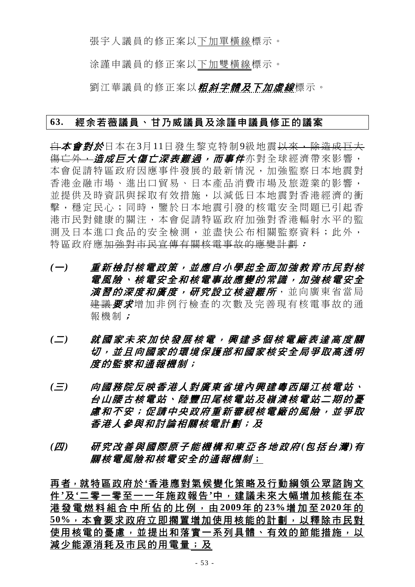張宇人議員的修正案以下加單橫線標示。

涂謹申議員的修正案以下加雙橫線標示。

劉江華議員的修正案以*粗斜字體及下加虛線*標示。

#### **63.** 經余若薇議員、甘乃威議員及涂謹申議員修正的議案

白本會對於日本在3月11日發生黎克特制9級地震以來,除造成巨大 <del>傷亡外,*造成巨大傷亡深表難過,而事件***亦對全球經濟帶來影響**,</del> 本會促請特區政府因應事件發展的最新情況,加強監察日本地震對 香港金融市場、進出口貿易、日本產品消費市場及旅遊業的影響, 並提供及時資訊與採取有效措施,以減低日本地震對香港經濟的衝 擊,穩定民心;同時,鑒於日本地震引發的核電安全問題已引起香 港市民對健康的關注,本會促請特區政府加強對香港輻射水平的監 測及日本進口食品的安全檢測,並盡快公布相關監察資料;此外, 特區政府應加強對市民宣傳有關核電事故的應變計劃:

- *(*一*)* 重新檢討核電政策,並應自小學起全面加強教育市民對核 電風險、核電安全和核電事故應變的常識,加強核電安全 *演習的深度和廣度,研究設立核避難所***,並向廣東省當局** 建議要求增加非例行檢查的次數及完善現有核電事故的通 報機制;
- *(*二*)* 就國家未來加快發展核電,興建多個核電廠表達高度關 切,並且向國家的環境保護部和國家核安全局爭取高透明 度的監察和通報機制;
- *(*三*)* 向國務院反映香港人對廣東省境內興建粵西陽江核電站、 台山腰古核電站、陸豐田尾核電站及嶺澳核電站二期的憂 慮和不安;促請中央政府重新審視核電廠的風險,並爭取 香港人參與和討論相關核電計劃;及
- *(*四*)* 研究改善與國際原子能機構和東亞各地政府 *(*包括台灣 *)*有 關核電風險和核電安全的通報機制;

再者,就特區政府於**'**香港應對氣候變化策略及行動綱領公眾諮詢文 件**'**及**'**二零一零至一一年施政報告**'**中,建議未來大幅增加核能在本 港發電燃料組合中所佔的比例,由 **2009**年 的 **23%**增加至 **2020**年 的 **50%**,本會要求政府立即擱置增加使用核能的計劃,以釋除市民對 使用核電的憂慮,並提出和落實一系列具體、有效的節能措施,以 減少能源消耗及市民的用電量;及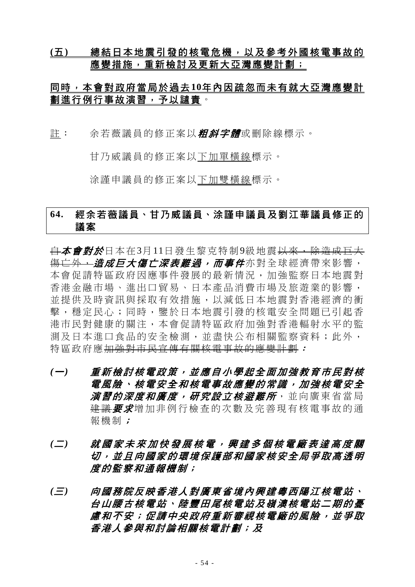### **(**五**)** 總結日本地震引發的核電危機,以及參考外國核電事故的 應變措施,重新檢討及更新大亞灣應變計劃;

# 同時,本會對政府當局於過去**10**年內因疏忽而未有就大亞灣應變計 劃進行例行事故演習,予以譴責。

註: 余若薇議員的修正案以*粗斜字體*或刪除線標示。

甘乃威議員的修正案以下加單橫線標示。

涂謹申議員的修正案以下加雙橫線標示。

# **64.** 經余若薇議員、甘乃威議員、涂謹申議員及劉江華議員修正的 議案

<del>自</del>本會對於日本在3月11日發生黎克特制9級地震<del>以來,除造成巨大</del> <del>傷亡外,*造成巨大傷亡深表難過,而事件***亦對全球經濟帶來影響,**</del> 本會促請特區政府因應事件發展的最新情況,加強監察日本地震對 香港金融市場、進出口貿易、日本產品消費市場及旅遊業的影響, 並提供及時資訊與採取有效措施,以減低日本地震對香港經濟的衝 擊,穩定民心;同時,鑒於日本地震引發的核電安全問題已引起香 港市民對健康的關注,本會促請特區政府加強對香港輻射水平的監 測及日本進口食品的安全檢測,並盡快公布相關監察資料;此外, 特區政府應加強對市民宣傳有關核電事故的應變計劃:

- *(*一*)* 重新檢討核電政策,並應自小學起全面加強教育市民對核 電風險、核電安全和核電事故應變的常識,加強核電安全 *演習的深度和廣度,研究設立核避難所***,並向廣東省當局** 建議要求增加非例行檢查的次數及完善現有核電事故的通 報機制;
- *(*二*)* 就國家未來加快發展核電,興建多個核電廠表達高度關 切,並且向國家的環境保護部和國家核安全局爭取高透明 度的監察和通報機制;
- *(*三*)* 向國務院反映香港人對廣東省境內興建粵西陽江核電站、 台山腰古核電站、陸豐田尾核電站及嶺澳核電站二期的憂 慮和不安;促請中央政府重新審視核電廠的風險,並爭取 香港人參與和討論相關核電計劃;及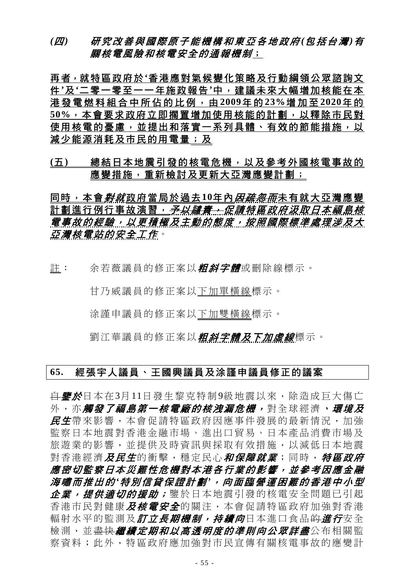### *(*四*)* 研究改善與國際原子能機構和東亞各地政府 *(*包括台灣 *)*有 關核電風險和核電安全的通報機制;

再者,就特區政府於**'**香港應對氣候變化策略及行動綱領公眾諮詢文 件**'**及**'**二零一零至一一年施政報告**'**中,建議未來大幅增加核能在本 港發電燃料組合中所佔的比例,由 **2009**年 的 **23%**增加至 **2020**年 的 **50%**,本會要求政府立即擱置增加使用核能的計劃,以釋除市民對 使用核電的憂慮,並提出和落實一系列具體、有效的節能措施,以 減少能源消耗及市民的用電量;及

### **(**五**)** 總結日本地震引發的核電危機,以及參考外國核電事故的 應變措施,重新檢討及更新大亞灣應變計劃;

同時,本會*對就*政府當局於過去10年內*因疏忽而*未有就大亞灣應變 計劃進行例行事故演習,*予以譴責,促請特區政府汲取日本福島核* 電事故的經驗,以更積極及主動的態度,按照國際標準處理涉及大 亞灣核電站的安全工作。

註: 余若薇議員的修正案以*粗斜字體*或刪除線標示。

甘乃威議員的修正案以下加單橫線標示。

涂謹申議員的修正案以下加雙橫線標示。

劉江華議員的修正案以*粗斜字體及下加虛線*標示。

#### **65.** 經張宇人議員、王國興議員及涂謹申議員修正的議案

<del>自**鑒於**日本在3月11日發生黎克特制9級地震以來,除造成巨大傷亡</del> 外, 亦**觸發了福島第一核電廠的核洩漏危機,** 對全球經濟, *環境及* 民生帶來影響,本會促請特區政府因應事件發展的最新情況,加強 監察日本地震對香港金融市場、進出口貿易、日本產品消費市場及 旅遊業的影響,並提供及時資訊與採取有效措施,以減低日本地震 對香港經濟*及民生*的衝擊,穩定民心*和保障就業*;同時, *特區政府* 應密切監察日本災難性危機對本港各行業的影響,並參考因應金融 海嘯而推出的 *'*特別信貸保證計劃 *'*,向面臨營運困難的香港中小型 企業,提供適切的援助;鑒於日本地震引發的核電安全問題已引起 香港市民對健康及核電安全的關注,本會促請特區政府加強對香港 輻射水平的監測及*訂立長期機制,持續向*日本進口食品<del>的*進行*安全</del> 檢測,並<del>盡快*繼續定期和以高透明度的準則向公眾詳盡***公布相關**監</del> 察資料;此外,特區政府應加強對市民宣傳有關核電事故的應變計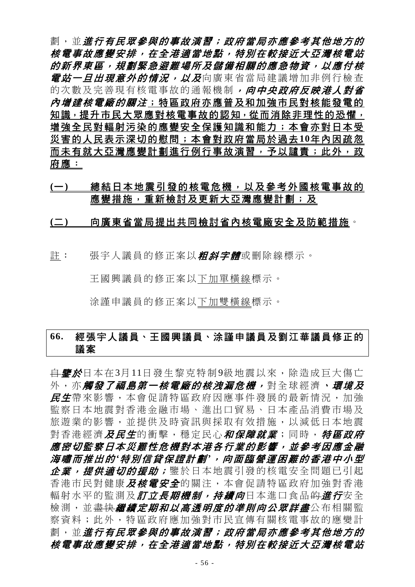劃,並進行有民眾參與的事故演習;政府當局亦應參考其他地方的 核電事故應變安排,在全港適當地點,特別在較接近大亞灣核電站 的新界東區,規劃緊急避難場所及儲備相關的應急物資,以應付核 *電站一旦出現意外的情況,以及*向廣東省當局建議增加非例行檢查 的次數及完善現有核電事故的通報機制,向中央政府反映港人對省 內增建核電廠的關注;特區政府亦應普及和加強市民對核能發電的 知識, 提升市民大眾應對核電事故的認知, 從而消除非理性的恐懼, 增強全民對輻射污染的應變安全保護知識和能力;本會亦對日本受 災害的人民表示深切的慰問;本會對政府當局於過去**10**年內因疏忽 而未有就大亞灣應變計劃進行例行事故演習,予以譴責;此外,政 府應:

# **(**一**)** 總結日本地震引發的核電危機,以及參考外國核電事故的 應變措施,重新檢討及更新大亞灣應變計劃;及

#### **(**二**)** 向廣東省當局提出共同檢討省內核電廠安全及防範措施。

許: 張宇人議員的修正案以*粗斜字體*或刪除線標示。

王國興議員的修正案以下加單橫線標示。

涂謹申議員的修正案以下加雙橫線標示。

# **66.** 經張宇人議員、王國興議員、涂謹申議員及劉江華議員修正的 議案

<del>自**鑒於**日本在3月11日發生黎克特制9級地震以來,除浩成巨大傷亡</del> 外, 亦*觸發了福島第一核電廠的核洩漏危機,* **對全球經濟、***環境及* 民生帶來影響,本會促請特區政府因應事件發展的最新情況,加強 監察日本地震對香港金融市場、進出口貿易、日本產品消費市場及 旅遊業的影響,並提供及時資訊與採取有效措施,以減低日本地震 對香港經濟*及民生*的衝擊,穩定民心*和保障就業*;同時, *特區政府* 應密切監察日本災難性危機對本港各行業的影響,並參考因應金融 海嘯而推出的 *'*特別信貸保證計劃 *'*,向面臨營運困難的香港中小型 企業,提供適切的援助;鑒於日本地震引發的核電安全問題已引起 香港市民對健康*及核電安全*的關注,本會促請特區政府加強對香港 輻射水平的監測及*訂立長期機制,持續向*日本進口食品<del>的*進行*安全</del> 檢測,並<del>盡快*繼續定期和以高透明度的準則向公眾詳盡***公布相關**監</del> 察資料;此外,特區政府應加強對市民宣傳有關核電事故的應變計 劃,並進行有民眾參與的事故演習;政府當局亦應參考其他地方的 核電事故應變安排,在全港適當地點,特別在較接近大亞灣核電站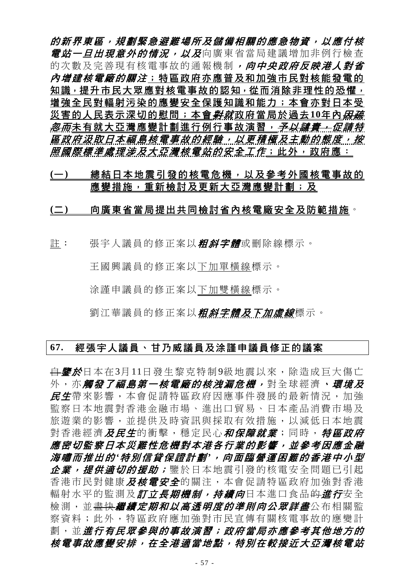的新界東區,規劃緊急避難場所及儲備相關的應急物資,以應付核 **電站一旦出現意外的情況,以及**向廣東省當局建議增加非例行檢查 的次數及完善現有核電事故的通報機制,向中央政府反映港人對省 *內增建核電廠的關注*;特區政府亦應普及和加強市民對核能發電的 知識,提升市民大眾應對核電事故的認知,從而消除非理性的恐懼, 增強全民對輻射污染的應變安全保護知識和能力;本會亦對日本受 災害的人民表示深切的慰問;本會*對就*政府當局於過去10年內*因疏* <del>忽而</del>未有就大亞灣應變計劃進行例行事故演習,*予以譴責;促請特* 區政府汲取日本福島核電事故的經驗,以更積極及主動的態度,按 *照國際標準處理涉及大亞灣核電站的安全工作*;此外,政府應:

# **(**一**)** 總結日本地震引發的核電危機,以及參考外國核電事故的 應變措施,重新檢討及更新大亞灣應變計劃;及

#### **(**二**)** 向廣東省當局提出共同檢討省內核電廠安全及防範措施。

註: 張宇人議員的修正案以*粗斜字體*或刪除線標示。

王國興議員的修正案以下加單橫線標示。

涂謹申議員的修正案以下加雙橫線標示。

劉江華議員的修正案以*粗斜字體及下加虛線*標示。

#### **67.** 經張宇人議員、甘乃威議員及涂謹申議員修正的議案

<del>自**鑒於**日本在3月11日發生黎克特制9級地震以來,除造成巨大傷亡</del> 外,亦**觸發了福島第一核電廠的核洩漏危機,**對全球經濟,**環境及** 民生帶來影響,本會促請特區政府因應事件發展的最新情況,加強 監察日本地震對香港金融市場、進出口貿易、日本產品消費市場及 旅遊業的影響,並提供及時資訊與採取有效措施,以減低日本地震 對香港經濟*及民生*的衝擊,穩定民心*和保障就業*;同時, 特區政府 應密切監察日本災難性危機對本港各行業的影響,並參考因應金融 海嘯而推出的 *'*特別信貸保證計劃 *'*,向面臨營運困難的香港中小型 企業,提供適切的援助;鑒於日本地震引發的核電安全問題已引起 香港市民對健康及核電安全的關注,本會促請特區政府加強對香港 輻射水平的監測及*訂立長期機制,持續向*日本進口食品<del>的</del>*進行*安全 檢測,並<del>盡快*繼續定期和以高透明度的準則向公眾詳盡***公布相關**監</del> 察資料;此外,特區政府應加強對市民宣傳有關核電事故的應變計 劃,並進行有民眾參與的事故演習;政府當局亦應參考其他地方的 核電事故應變安排,在全港適當地點,特別在較接近大亞灣核電站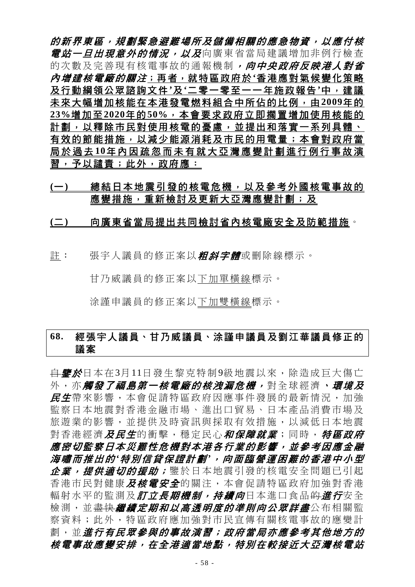的新界東區,規劃緊急避難場所及儲備相關的應急物資,以應付核 **電站一旦出現意外的情況,以及**向廣東省當局建議增加非例行檢查 的次數及完善現有核電事故的通報機制,向中央政府反映港人對省 內增建核電廠的關注;再者,就特區政府於**'**香港應對氣候變化策略 及行動綱領公眾諮詢文件**'**及**'**二零一零至一一年施政報告**'**中,建議 未來大幅增加核能在本港發電燃料組合中所佔的比例,由**2009**年的 **23%**增加至**2020**年的**50%**,本會要求政府立即擱置增加使用核能的 計劃,以釋除市民對使用核電的憂慮,並提出和落實一系列具體、 有效的節能措施,以減少能源消耗及市民的用電量;本會對政府當 局於過去 **10**年內因疏忽而未有就大亞灣應變計劃進行例行事故演 習,予以譴責; 此外,政府應:

### **(**一**)** 總結日本地震引發的核電危機,以及參考外國核電事故的 應變措施,重新檢討及更新大亞灣應變計劃;及

# **(**二**)** 向廣東省當局提出共同檢討省內核電廠安全及防範措施。

許: 張宇人議員的修正案以*粗斜字體*或刪除線標示。

甘乃威議員的修正案以下加單橫線標示。

涂謹申議員的修正案以下加雙橫線標示。

# **68.** 經張宇人議員、甘乃威議員、涂謹申議員及劉江華議員修正的 議案

<del>自**鑒於**日本在3月11日發生黎克特制9級地震以來,除浩成巨大傷亡</del> 外, 亦*觸發了福島第一核電廠的核洩漏危機,* **對全球經濟、***環境及* 民生帶來影響,本會促請特區政府因應事件發展的最新情況,加強 監察日本地震對香港金融市場、進出口貿易、日本產品消費市場及 旅遊業的影響,並提供及時資訊與採取有效措施,以減低日本地震 對香港經濟*及民生*的衝擊,穩定民心*和保障就業*;同時, *特區政府* 應密切監察日本災難性危機對本港各行業的影響,並參考因應金融 海嘯而推出的 *'*特別信貸保證計劃 *'*,向面臨營運困難的香港中小型 企業,提供適切的援助;鑒於日本地震引發的核電安全問題已引起 香港市民對健康*及核電安全*的關注,本會促請特區政府加強對香港 輻射水平的監測及*訂立長期機制,持續向*日本進口食品<del>的*進行*安全</del> 檢測,並<del>盡快*繼續定期和以高透明度的準則向公眾詳盡***公布相關**監</del> 察資料;此外,特區政府應加強對市民宣傳有關核電事故的應變計 劃,並進行有民眾參與的事故演習;政府當局亦應參考其他地方的 核電事故應變安排,在全港適當地點,特別在較接近大亞灣核電站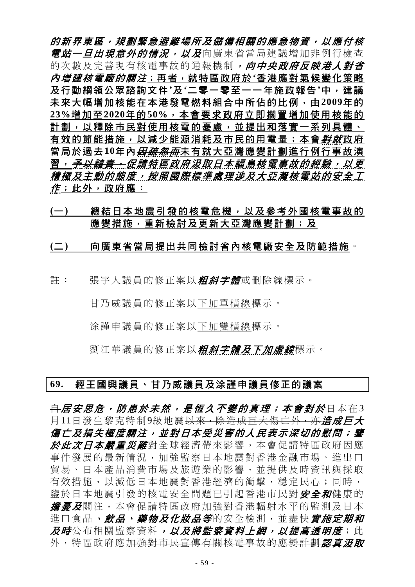的新界東區,規劃緊急避難場所及儲備相關的應急物資,以應付核 **電站一旦出現意外的情況,以及**向廣東省當局建議增加非例行檢查 的次數及完善現有核電事故的通報機制,向中央政府反映港人對省 內增建核電廠的關注;再者,就特區政府於**'**香港應對氣候變化策略 及行動綱領公眾諮詢文件**'**及**'**二零一零至一一年施政報告**'**中,建議 未來大幅增加核能在本港發電燃料組合中所佔的比例,由**2009**年的 **23%**增加至**2020**年的**50%**,本會要求政府立即擱置增加使用核能的 計劃,以釋除市民對使用核電的憂慮,並提出和落實一系列具體、 有效的節能措施,以減少能源消耗及市民的用電量;本會*對就*政府 當局於過去10年內*因疏忽而*未有就大亞灣應變計劃進行例行事故演 習,<del>予以譴責,</del>促請特區政府汲取日本福島核電事故的經驗,以更 積極及主動的態度,按照國際標準處理涉及大亞灣核電站的安全工 作;此外,政府應:

### **(**一**)** 總結日本地震引發的核電危機,以及參考外國核電事故的 應變措施,重新檢討及更新大亞灣應變計劃;及

#### **(**二**)** 向廣東省當局提出共同檢討省內核電廠安全及防範措施。

註: 張宇人議員的修正案以*粗斜字體*或刪除線標示。

甘乃威議員的修正案以下加單橫線標示。

涂謹申議員的修正案以下加雙橫線標示。

劉江華議員的修正案以*粗斜字體及下加虛線*標示。

#### **69.** 經王國興議員、甘乃威議員及涂謹申議員修正的議案

<del>自 居安思危,防患於未然,是恆久不變的真理;本會對於日本在3</del> 月11日發生黎克特制9級地震<del>以來,除造成巨大傷亡外,亦*造成巨大*</del> 傷亡及損失極度關注,並對日本受災害的人民表示深切的慰問;鑒 於此次日本嚴重災難對全球經濟帶來影響,本會促請特區政府因應 事件發展的最新情況,加強監察日本地震對香港金融市場、進出口 貿易、日本產品消費市場及旅遊業的影響,並提供及時資訊與採取 有效措施,以減低日本地震對香港經濟的衝擊,穩定民心;同時, 鑒於日本地震引發的核電安全問題已引起香港市民對安全和健康的 **擔憂及**關注,本會促請特區政府加強對香港輻射水平的監測及日本 進口食品、飲品、藥物及化妝品等的安全檢測,並盡快會施定期和 及時公布相關監察資料,以及將監察資料上網,以提高透明度;此 外,特區政府應加強對市民宣傳有關核電事故的應變計劃認真況取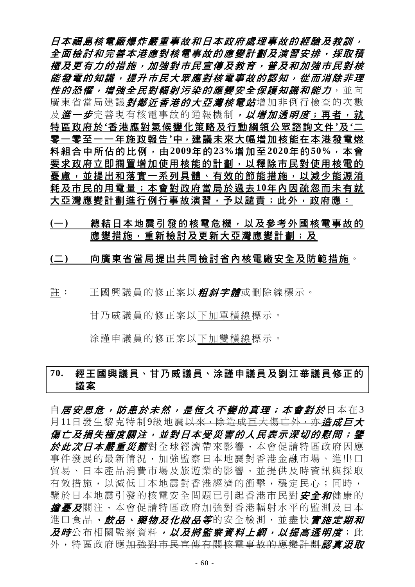日本福島核電廠爆炸嚴重事故和日本政府處理事故的經驗及教訓, 全面檢討和完善本港應對核電事故的應變計劃及演習安排,採取積 極及更有力的措施,加強對市民宣傳及教育,普及和加強市民對核 能發電的知識,提升市民大眾應對核電事故的認知,從而消除非理 性的恐懼,增強全民對輻射污染的應變安全保護知識和能力,並向 廣東省當局建議*對鄰近香港的大亞灣核電站*增加非例行檢查的次數 及 進一步完善現有核電事故的通報機制, 以增加透明度; 再者, 就 特區政府於**'**香港應對氣候變化策略及行動綱領公眾諮詢文件**'**及**'**二 零一零至一一年施政報告**'**中,建議未來大幅增加核能在本港發電燃 料組合中所佔的比例,由**2009**年的**23%**增加至**2020**年的**50%**,本會 要求政府立即擱置增加使用核能的計劃,以釋除市民對使用核電的 憂慮,並提出和落實一系列具體、有效的節能措施,以減少能源消 耗及市民的用電量;本會對政府當局於過去**10**年內因疏忽而未有就 大亞灣應變計劃進行例行事故演習,予以譴責;此外,政府應:

### (一) 總結日本地震引發的核電危機,以及參考外國核電事故的 應變措施,重新檢討及更新大亞灣應變計劃;及

#### **(**二**)** 向廣東省當局提出共同檢討省內核電廠安全及防範措施。

註: 王國興議員的修正案以*粗斜字體*或刪除線標示。

甘乃威議員的修正案以下加單橫線標示。

涂謹申議員的修正案以下加雙橫線標示。

# **70.** 經王國興議員、甘乃威議員、涂謹申議員及劉江華議員修正的 議案

<del>自 居安思危,防患於未然,是恆久不變的真理;本會對於日本在3</del> 月11日發生黎克特制9級地震<del>以來,除造成巨大傷亡外,亦*道成巨大*</del> 傷亡及損失極度關注,並對日本受災害的人民表示深切的慰問;鑒 於此次日本嚴重災難對全球經濟帶來影響,本會促請特區政府因應 事件發展的最新情況,加強監察日本地震對香港金融市場、進出口 貿易、日本產品消費市場及旅遊業的影響,並提供及時資訊與採取 有效措施,以減低日本地震對香港經濟的衝擊,穩定民心;同時, 鑒於日本地震引發的核電安全問題已引起香港市民對安全和健康的 **擔憂及**關注,本會促請特區政府加強對香港輻射水平的監測及日本 進口食品、飲品、藥物及化妝品等的安全檢測,並盡快會施定期和 及時公布相關監察資料,以及將監察資料上網,以提高透明度;此 外,特區政府應<del>加強對市民宣傳有關核電事故的應變計劃</del>認真況取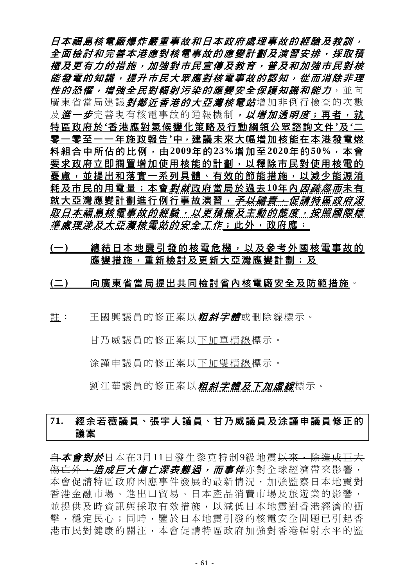日本福島核電廠爆炸嚴重事故和日本政府處理事故的經驗及教訓, 全面檢討和完善本港應對核電事故的應變計劃及演習安排,採取積 極及更有力的措施,加強對市民宣傳及教育,普及和加強市民對核 能發電的知識,提升市民大眾應對核電事故的認知,從而消除非理 性的恐懼,增強全民對輻射污染的應變安全保護知識和能力,並向 廣東省當局建議*對鄰近香港的大亞灣核電站*增加非例行檢查的次數 及 進一步完善現有核電事故的通報機制, 以增加透明度; 再者, 就 特區政府於**'**香港應對氣候變化策略及行動綱領公眾諮詢文件**'**及**'**二 零一零至一一年施政報告**'**中,建議未來大幅增加核能在本港發電燃 料組合中所佔的比例,由**2009**年的**23%**增加至**2020**年的**50%**,本會 要求政府立即擱置增加使用核能的計劃,以釋除市民對使用核電的 憂慮,並提出和落實一系列具體、有效的節能措施,以減少能源消 耗及市民的用電量;本會*對就*政府當局於過去10年內*因疏忽而*未有 就大亞灣應變計劃進行例行事故演習,*予以譴責,促請特區政府汲* 取日本福島核電事故的經驗,以更積極及主動的態度,按照國際標 *準處理涉及大亞灣核電站的安全工作*;此外,政府應:

### **(**一**)** 總結日本地震引發的核電危機,以及參考外國核電事故的 應變措施,重新檢討及更新大亞灣應變計劃;及

#### **(**二**)** 向廣東省當局提出共同檢討省內核電廠安全及防範措施。

註: 王國興議員的修正案以*粗斜字體*或刪除線標示。

甘乃威議員的修正案以下加單橫線標示。

涂謹申議員的修正案以下加雙橫線標示。

劉江華議員的修正案以*粗斜字體及下加虛線*標示。

# **71.** 經余若薇議員、張宇人議員、甘乃威議員及涂謹申議員修正的 議案

白本會對於日本在3月11日發生黎克特制9級地震以來,除造成巨大 <del>傷亡外,*造成巨大傷亡深表難過,而事件***亦對全球經濟帶來影響**,</del> 本會促請特區政府因應事件發展的最新情況,加強監察日本地震對 香港金融市場、進出口貿易、日本產品消費市場及旅遊業的影響, 並提供及時資訊與採取有效措施,以減低日本地震對香港經濟的衝 擊,穩定民心;同時,鑒於日本地震引發的核電安全問題已引起香 港市民對健康的關注,本會促請特區政府加強對香港輻射水平的監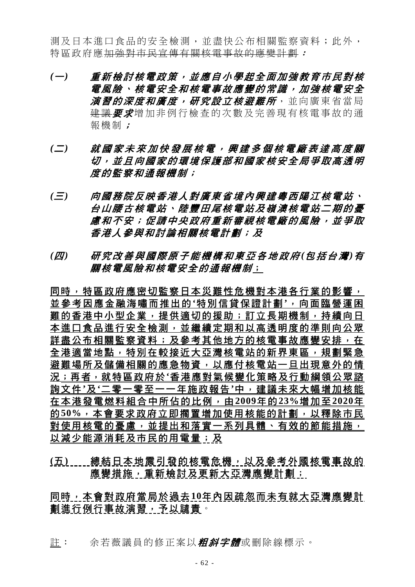測及日本進口食品的安全檢測,並盡快公布相關監察資料;此外, 特區政府應加強對市民宣傳有關核電事故的應變計劃:

- *(*一*)* 重新檢討核電政策,並應自小學起全面加強教育市民對核 電風險、核電安全和核電事故應變的常識,加強核電安全 **演習的深度和廣度,研究設立核避難所**,並向廣東省當局 建議 要求增加非例行檢查的次數及完善現有核電事故的通 報機制;
- *(*二*)* 就國家未來加快發展核電,興建多個核電廠表達高度關 切,並且向國家的環境保護部和國家核安全局爭取高透明 度的監察和通報機制;
- *(*三*)* 向國務院反映香港人對廣東省境內興建粵西陽江核電站、 台山腰古核電站、陸豐田尾核電站及嶺澳核電站二期的憂 慮和不安;促請中央政府重新審視核電廠的風險,並爭取 香港人參與和討論相關核電計劃;及
- *(*四*)* 研究改善與國際原子能機構和東亞各地政府 *(*包括台灣 *)*有 關核電風險和核電安全的通報機制;

同時,特區政府應密切監察日本災難性危機對本港各行業的影響, 並參考因應金融海嘯而推出的 **'**特別信貸保證計劃 **'**,向面臨營運困 難的香港中小型企業,提供適切的援助;訂立長期機制,持續向日 本進口食品進行安全檢測,並繼續定期和以高透明度的準則向公眾 詳盡公布相關監察資料;及參考其他地方的核電事故應變安排, 在 全港適當地點,特別在較接近大亞灣核電站的新界東區,規劃緊急 避難場所及儲備相關的應急物資,以應付核電站一旦出現意外的情 況;再者,就特區政府於**'**香港應對氣候變化策略及行動綱領公眾諮 詢文件**'**及**'**二零一零至一一年施政報告**'**中,建議未來大幅增加核能 在本港發電燃料組合中所佔的比例,由**2009**年的**23%**增加至**2020**年 的50%,本會要求政府立即擱置增加使用核能的計劃,以釋除市民 對使用核電的憂慮,並提出和落實一系列具體、有效的節能措施, 以減少能源消耗及市民的用電量;及

(五) \_\_\_\_總結日本地震引發的核電危機,以及參考外國核電事故的 應變措施,重新檢討及更新大亞灣應變計劃;

同時,本會對政府當局於過去**10**年內因疏忽而未有就大亞灣應變計 劃進行例行事故演習,予以譴責。

註: 余若薇議員的修正案以*粗斜字體***或刪除線標示**。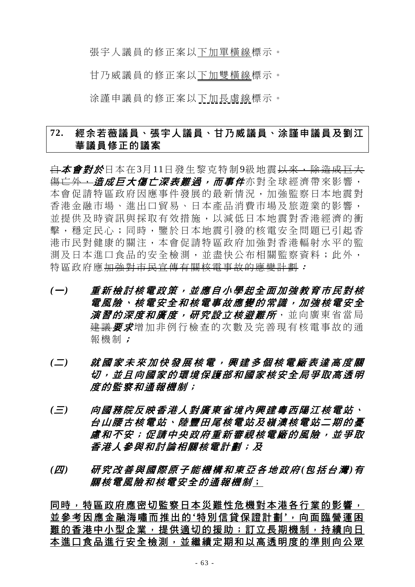張宇人議員的修正案以下加單橫線標示。

甘乃威議員的修正案以下加雙橫線標示。

涂謹申議員的修正案以下加長虛線標示。

# **72.** 經余若薇議員、張宇人議員、甘乃威議員、涂謹申議員及劉江 華議員修正的議案

白本會對於日本在3月11日發生黎克特制9級地震以來,除造成巨大 <del>傷亡外,*浩成巨大傷亡深表難過,而事件***亦對全球經濟帶來影響,**</del> 本會促請特區政府因應事件發展的最新情況,加強監察日本地震對 香港金融市場、進出口貿易、日本產品消費市場及旅遊業的影響, 並提供及時資訊與採取有效措施,以減低日本地震對香港經濟的衝 擊,穩定民心;同時,鑒於日本地震引發的核電安全問題已引起香 港市民對健康的關注,本會促請特區政府加強對香港輻射水平的監 測及日本進口食品的安全檢測,並盡快公布相關監察資料;此外, 特區政府應加強對市民宣傳有關核電事故的應變計劃:

- *(*一*)* 重新檢討核電政策,並應自小學起全面加強教育市民對核 電風險、核電安全和核電事故應變的常識,加強核電安全 *演習的深度和廣度,研究設立核澼難所***,並向廣東省當局** 建議要求增加非例行檢查的次數及完善現有核電事故的通 報機制;
- *(*二*)* 就國家未來加快發展核電,興建多個核電廠表達高度關 切,並且向國家的環境保護部和國家核安全局爭取高透明 度的監察和通報機制;
- *(*三*)* 向國務院反映香港人對廣東省境內興建粵西陽江核電站、 台山腰古核電站、陸豐田尾核電站及嶺澳核電站二期的憂 慮和不安;促請中央政府重新審視核電廠的風險,並爭取 香港人參與和討論相關核電計劃;及
- *(*四*)* 研究改善與國際原子能機構和東亞各地政府 *(*包括台灣 *)*有 關核電風險和核電安全的通報機制;

同時,特區政府應密切監察日本災難性危機對本港各行業的影響, 並參考因應金融海嘯而推出的 **'**特別信貸保證計劃 **'**,向面臨營運困 難的香港中小型企業,提供適切的援助;訂立長期機制,持續向日 本進口食品進行安全檢測,並繼續定期和以高透明度的準則向公眾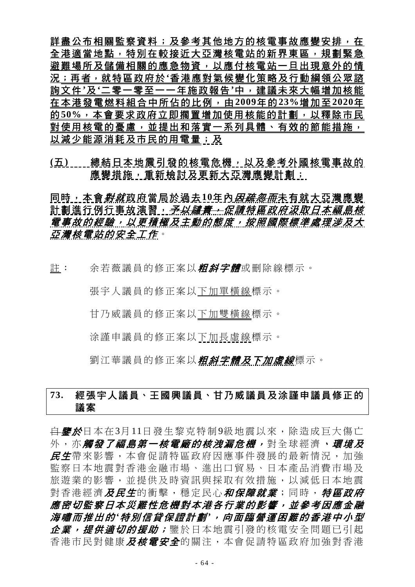詳盡公布相關監察資料;及參考其他地方的核電事故應變安排,在 全港適當地點,特別在較接近大亞灣核電站的新界東區,規劃緊急 避難場所及儲備相關的應急物資,以應付核電站一旦出現意外的情 況;再者,就特區政府於**'**香港應對氣候變化策略及行動綱領公眾諮 詢文件**'**及**'**二零一零至一一年施政報告**'**中,建議未來大幅增加核能 在本港發電燃料組合中所佔的比例,由**2009**年的**23%**增加至**2020**年 的**50%**,本會要求政府立即擱置增加使用核能的計劃,以釋除市民 對使用核電的憂慮,並提出和落實一系列具體、有效的節能措施, 以減少能源消耗及市民的用電量;及

(五) ....總結日本地震引發的核電危機,以及參考外國核電事故的 應變措施,重新檢討及更新大亞灣應變計劃;

同時,本會*對就*政府當局於過去10年內*因疏忽而*未有就大亞灣應變 計劃進行例行事故演習<u>,*予以譴責;促請特區政府汲取日本福島核*</u> 電事故的經驗,以更積極及主動的態度,按照國際標準處理涉及大 亞灣核電站的安全工作。

註: 余若薇議員的修正案以*粗斜字體*或刪除線標示。

張宇人議員的修正案以下加單橫線標示。

甘乃威議員的修正案以下加雙橫線標示。

涂謹申議員的修正案以下加長虛線標示。

劉江華議員的修正案以*粗斜字體及下加虛線*標示。

# **73.** 經張宇人議員、王國興議員、甘乃威議員及涂謹申議員修正的 議案

<del>自**鑒於**日本在3月11日發生黎克特制9級地震以來,除造成巨大傷亡</del> 外, 亦**觸發了福島第一核電廠的核洩漏危機,** 對全球經濟, *環境及* 民生帶來影響,本會促請特區政府因應事件發展的最新情況,加強 監察日本地震對香港金融市場、進出口貿易、日本產品消費市場及 旅遊業的影響,並提供及時資訊與採取有效措施,以減低日本地震 對香港經濟*及民生*的衝擊,穩定民心*和保障就業*;同時, *特區政府* 應密切監察日本災難性危機對本港各行業的影響,並參考因應金融 海嘯而推出的 *'*特別信貸保證計劃 *'*,向面臨營運困難的香港中小型 企業,提供適切的援助;鑒於日本地震引發的核電安全問題已引起 香港市民對健康*及核電安全*的關注,本會促請特區政府加強對香港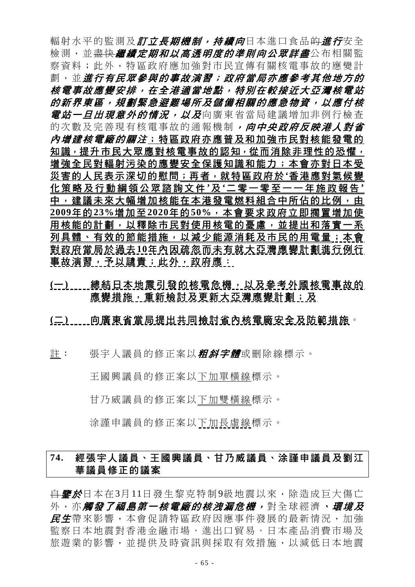輻射水平的監測及*訂立長期機制,持續向*日本進口食品<del>的*進行*安全</del> 檢測,並<del>盡快*繼續定期和以高透明度的準則向公眾詳盡*公布相關監</del> 察資料;此外,特區政府應加強對市民宣傳有關核電事故的應變計 劃,並*進行有民眾參與的事故演習;政府當局亦應參考其他地方的* 核電事故應變安排,在全港適當地點,特別在較接近大亞灣核電站 的新界東區,規劃緊急避難場所及儲備相關的應急物資,以應付核 *電站一日出現意外的情況,以及*向廣東省當局建議增加非例行檢查 的次數及完善現有核電事故的通報機制,向中央政府反映港人對省 內增建核電廠的關注;特區政府亦應普及和加強市民對核能發電的 知識,提升市民大眾應對核電事故的認知,從而消除非理性的恐懼, 增強全民對輻射污染的應變安全保護知識和能力;本會亦對日本受 災害的人民表示深切的慰問;再者,就特區政府於**'**香港應對氣候變 化策略及行動綱領公眾諮詢文件 **'**及 **'**二零一零至一一年施政報告 **'** 中,建議未來大幅增加核能在本港發電燃料組合中所佔的比例,由 **2009**年的**23%**增加至**2020**年的**50%**,本會要求政府立即擱置增加使 用核能的計劃,以釋除市民對使用核電的憂慮,並提出和落實一系 列具體、有效的節能措施,以減少能源消耗及市民的用電量;本會 對政府當局於過去**10**年內因疏忽而未有就大亞灣應變計劃進行例行 事故演習,予以譴責;此外,政府應:

(一) | | 總結日本地震引發的核電危機, 以及參考外國核電事故的 應變措施,重新檢討及更新大亞灣應變計劃;及

### **(**二**)** 向廣東省當局提出共同檢討省內核電廠安全及防範措施。

許: 張宇人議員的修正案以*粗斜字體*或刪除線標示。

王國興議員的修正案以下加單橫線標示。

甘乃威議員的修正案以下加雙橫線標示。

涂謹申議員的修正案以下加長虛線標示。

# **74.** 經張宇人議員、王國興議員、甘乃威議員、涂謹申議員及劉江 華議員修正的議案

自鑒於日本在3月11日發生黎克特制9級地震以來,除造成巨大傷亡 外,亦**觸發了福島第一核電廠的核洩漏危機,**對全球經濟,環境及 民生帶來影響,本會促請特區政府因應事件發展的最新情況,加強 監察日本地震對香港金融市場、進出口貿易、日本產品消費市場及 旅遊業的影響,並提供及時資訊與採取有效措施,以減低日本地震